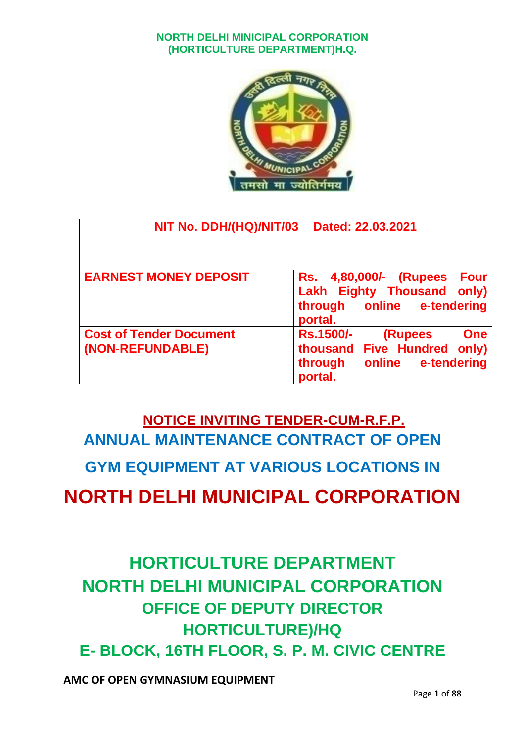

| NIT No. DDH/(HQ)/NIT/03                            | Dated: 22.03.2021                                                                                                              |
|----------------------------------------------------|--------------------------------------------------------------------------------------------------------------------------------|
| <b>EARNEST MONEY DEPOSIT</b>                       | <b>Four</b><br>Rs. 4,80,000/- (Rupees<br><b>Eighty Thousand only)</b><br>Lakh<br>through online e-tendering<br>portal.         |
| <b>Cost of Tender Document</b><br>(NON-REFUNDABLE) | <b>Rs.1500/-</b><br><b>(Rupees</b><br>One<br><b>Five Hundred only)</b><br>thousand<br>online e-tendering<br>through<br>portal. |

## **NOTICE INVITING TENDER-CUM-R.F.P. ANNUAL MAINTENANCE CONTRACT OF OPEN GYM EQUIPMENT AT VARIOUS LOCATIONS IN NORTH DELHI MUNICIPAL CORPORATION**

**HORTICULTURE DEPARTMENT NORTH DELHI MUNICIPAL CORPORATION OFFICE OF DEPUTY DIRECTOR HORTICULTURE)/HQ E- BLOCK, 16TH FLOOR, S. P. M. CIVIC CENTRE**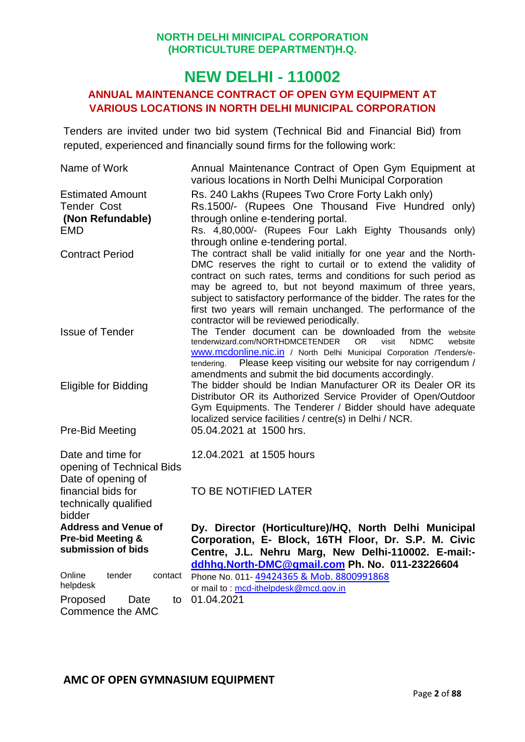#### **NEW DELHI - 110002**

#### **ANNUAL MAINTENANCE CONTRACT OF OPEN GYM EQUIPMENT AT VARIOUS LOCATIONS IN NORTH DELHI MUNICIPAL CORPORATION**

Tenders are invited under two bid system (Technical Bid and Financial Bid) from reputed, experienced and financially sound firms for the following work:

| Name of Work                 | Annual Maintenance Contract of Open Gym Equipment at<br>various locations in North Delhi Municipal Corporation                                           |  |  |  |
|------------------------------|----------------------------------------------------------------------------------------------------------------------------------------------------------|--|--|--|
| <b>Estimated Amount</b>      | Rs. 240 Lakhs (Rupees Two Crore Forty Lakh only)                                                                                                         |  |  |  |
| <b>Tender Cost</b>           | Rs.1500/- (Rupees One Thousand Five Hundred only)                                                                                                        |  |  |  |
| (Non Refundable)             | through online e-tendering portal.                                                                                                                       |  |  |  |
| <b>EMD</b>                   | Rs. 4,80,000/- (Rupees Four Lakh Eighty Thousands only)                                                                                                  |  |  |  |
|                              | through online e-tendering portal.                                                                                                                       |  |  |  |
| <b>Contract Period</b>       | The contract shall be valid initially for one year and the North-                                                                                        |  |  |  |
|                              | DMC reserves the right to curtail or to extend the validity of                                                                                           |  |  |  |
|                              | contract on such rates, terms and conditions for such period as                                                                                          |  |  |  |
|                              | may be agreed to, but not beyond maximum of three years,                                                                                                 |  |  |  |
|                              | subject to satisfactory performance of the bidder. The rates for the                                                                                     |  |  |  |
|                              | first two years will remain unchanged. The performance of the                                                                                            |  |  |  |
|                              | contractor will be reviewed periodically.                                                                                                                |  |  |  |
| <b>Issue of Tender</b>       | The Tender document can be downloaded from the website                                                                                                   |  |  |  |
|                              | tenderwizard.com/NORTHDMCETENDER<br><b>OR</b><br>visit<br><b>NDMC</b><br>website<br>www.mcdonline.nic.in / North Delhi Municipal Corporation /Tenders/e- |  |  |  |
|                              | tendering. Please keep visiting our website for nay corrigendum /                                                                                        |  |  |  |
|                              | amendments and submit the bid documents accordingly.                                                                                                     |  |  |  |
| <b>Eligible for Bidding</b>  | The bidder should be Indian Manufacturer OR its Dealer OR its                                                                                            |  |  |  |
|                              | Distributor OR its Authorized Service Provider of Open/Outdoor                                                                                           |  |  |  |
|                              | Gym Equipments. The Tenderer / Bidder should have adequate                                                                                               |  |  |  |
|                              | localized service facilities / centre(s) in Delhi / NCR.                                                                                                 |  |  |  |
| Pre-Bid Meeting              | 05.04.2021 at 1500 hrs.                                                                                                                                  |  |  |  |
|                              |                                                                                                                                                          |  |  |  |
| Date and time for            | 12.04.2021 at 1505 hours                                                                                                                                 |  |  |  |
| opening of Technical Bids    |                                                                                                                                                          |  |  |  |
| Date of opening of           |                                                                                                                                                          |  |  |  |
| financial bids for           | TO BE NOTIFIED LATER                                                                                                                                     |  |  |  |
| technically qualified        |                                                                                                                                                          |  |  |  |
| bidder                       |                                                                                                                                                          |  |  |  |
| <b>Address and Venue of</b>  | Dy. Director (Horticulture)/HQ, North Delhi Municipal                                                                                                    |  |  |  |
| <b>Pre-bid Meeting &amp;</b> | Corporation, E- Block, 16TH Floor, Dr. S.P. M. Civic                                                                                                     |  |  |  |
| submission of bids           | Centre, J.L. Nehru Marg, New Delhi-110002. E-mail:-                                                                                                      |  |  |  |
|                              | ddhhq.North-DMC@gmail.com Ph. No. 011-23226604                                                                                                           |  |  |  |
| Online<br>tender<br>contact  | Phone No. 011-49424365 & Mob. 8800991868                                                                                                                 |  |  |  |
| helpdesk                     | or mail to: mcd-ithelpdesk@mcd.gov.in                                                                                                                    |  |  |  |
| Proposed<br>Date<br>to       | 01.04.2021                                                                                                                                               |  |  |  |
| Commence the AMC             |                                                                                                                                                          |  |  |  |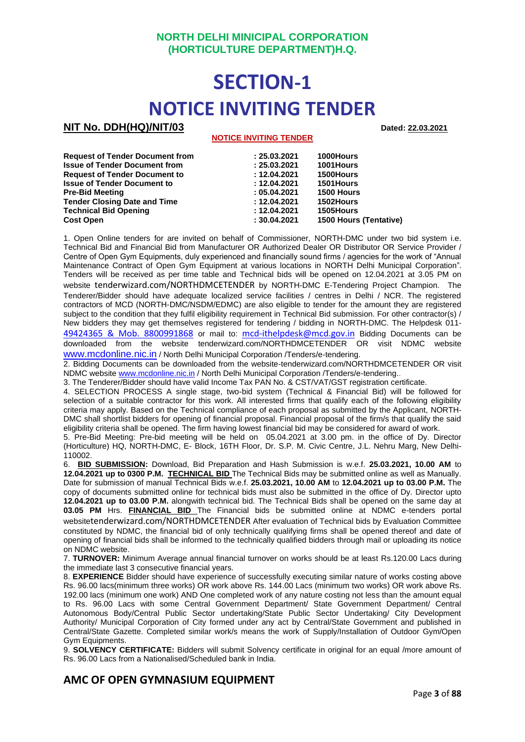## **SECTION-1 NOTICE INVITING TENDER**

#### **NIT No. DDH(HQ)/NIT/03 Dated: 22.03.2021**

#### **NOTICE INVITING TENDER**

| <b>Request of Tender Document from</b> | : 25.03.2021 | 1000Hours                     |
|----------------------------------------|--------------|-------------------------------|
| <b>Issue of Tender Document from</b>   | : 25.03.2021 | 1001Hours                     |
| <b>Request of Tender Document to</b>   | : 12.04.2021 | 1500Hours                     |
| <b>Issue of Tender Document to</b>     | : 12.04.2021 | 1501 Hours                    |
| <b>Pre-Bid Meeting</b>                 | : 05.04.2021 | 1500 Hours                    |
| <b>Tender Closing Date and Time</b>    | : 12.04.2021 | 1502Hours                     |
| <b>Technical Bid Opening</b>           | : 12.04.2021 | 1505Hours                     |
| <b>Cost Open</b>                       | : 30.04.2021 | <b>1500 Hours (Tentative)</b> |

1. Open Online tenders for are invited on behalf of Commissioner, NORTH-DMC under two bid system i.e. Technical Bid and Financial Bid from Manufacturer OR Authorized Dealer OR Distributor OR Service Provider / Centre of Open Gym Equipments, duly experienced and financially sound firms / agencies for the work of "Annual Maintenance Contract of Open Gym Equipment at various locations in NORTH Delhi Municipal Corporation". Tenders will be received as per time table and Technical bids will be opened on 12.04.2021 at 3.05 PM on website tenderwizard.com/NORTHDMCETENDER by NORTH-DMC E-Tendering Project Champion. The Tenderer/Bidder should have adequate localized service facilities / centres in Delhi / NCR. The registered contractors of MCD (NORTH-DMC/NSDM/EDMC) are also eligible to tender for the amount they are registered subject to the condition that they fulfil eligibility requirement in Technical Bid submission. For other contractor(s) / New bidders they may get themselves registered for tendering / bidding in NORTH-DMC. The Helpdesk 011-

[49424365 & Mob. 8800991868](mailto:49424365%20&%20Mob.%208800991868) or mail to: [mcd-ithelpdesk@mcd.gov.in](mailto:mcd-ithelpdesk@mcd.gov.in) Bidding Documents can be downloaded from the website tenderwizard.com/NORTHDMCETENDER OR visit NDMC website [www.mcdonline.nic.in](http://www.mcdonline.nic.in/) / North Delhi Municipal Corporation /Tenders/e-tendering.

2. Bidding Documents can be downloaded from the website-tenderwizard.com/NORTHDMCETENDER OR visit NDMC websit[e www.mcdonline.nic.in](http://www.mcdonline.nic.in/) / North Delhi Municipal Corporation /Tenders/e-tendering..

3. The Tenderer/Bidder should have valid Income Tax PAN No. & CST/VAT/GST registration certificate.

4. SELECTION PROCESS A single stage, two-bid system (Technical & Financial Bid) will be followed for selection of a suitable contractor for this work. All interested firms that qualify each of the following eligibility criteria may apply. Based on the Technical compliance of each proposal as submitted by the Applicant, NORTH-DMC shall shortlist bidders for opening of financial proposal. Financial proposal of the firm/s that qualify the said eligibility criteria shall be opened. The firm having lowest financial bid may be considered for award of work.

5. Pre-Bid Meeting: Pre-bid meeting will be held on 05.04.2021 at 3.00 pm. in the office of Dy. Director (Horticulture) HQ, NORTH-DMC, E- Block, 16TH Floor, Dr. S.P. M. Civic Centre, J.L. Nehru Marg, New Delhi-110002.

6. **BID SUBMISSION:** Download, Bid Preparation and Hash Submission is w.e.f. **25.03.2021, 10.00 AM** to **12.04.2021 up to 0300 P.M. TECHNICAL BID** The Technical Bids may be submitted online as well as Manually. Date for submission of manual Technical Bids w.e.f. **25.03.2021, 10.00 AM** to **12.04.2021 up to 03.00 P.M.** The copy of documents submitted online for technical bids must also be submitted in the office of Dy. Director upto **12.04.2021 up to 03.00 P.M.** alongwith technical bid. The Technical Bids shall be opened on the same day at **03.05 PM** Hrs. **FINANCIAL BID** The Financial bids be submitted online at NDMC e-tenders portal websitetenderwizard.com/NORTHDMCETENDER After evaluation of Technical bids by Evaluation Committee constituted by NDMC, the financial bid of only technically qualifying firms shall be opened thereof and date of opening of financial bids shall be informed to the technically qualified bidders through mail or uploading its notice on NDMC website.

7. **TURNOVER:** Minimum Average annual financial turnover on works should be at least Rs.120.00 Lacs during the immediate last 3 consecutive financial years.

8. **EXPERIENCE** Bidder should have experience of successfully executing similar nature of works costing above Rs. 96.00 lacs(minimum three works) OR work above Rs. 144.00 Lacs (minimum two works) OR work above Rs. 192.00 lacs (minimum one work) AND One completed work of any nature costing not less than the amount equal to Rs. 96.00 Lacs with some Central Government Department/ State Government Department/ Central Autonomous Body/Central Public Sector undertaking/State Public Sector Undertaking/ City Development Authority/ Municipal Corporation of City formed under any act by Central/State Government and published in Central/State Gazette. Completed similar work/s means the work of Supply/Installation of Outdoor Gym/Open Gym Equipments.

9. **SOLVENCY CERTIFICATE:** Bidders will submit Solvency certificate in original for an equal /more amount of Rs. 96.00 Lacs from a Nationalised/Scheduled bank in India.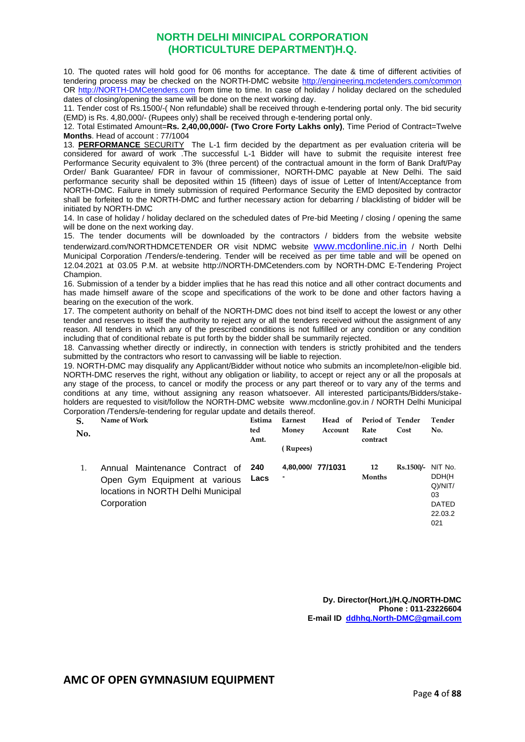10. The quoted rates will hold good for 06 months for acceptance. The date & time of different activities of tendering process may be checked on the NORTH-DMC website http://engineering.mcdetenders.com/common OR [http://NORTH-DMCetenders.com](http://sdmcetenders.com/) from time to time. In case of holiday / holiday declared on the scheduled dates of closing/opening the same will be done on the next working day.

11. Tender cost of Rs.1500/-( Non refundable) shall be received through e-tendering portal only. The bid security (EMD) is Rs. 4,80,000/- (Rupees only) shall be received through e-tendering portal only.

12. Total Estimated Amount=**Rs. 2,40,00,000/- (Two Crore Forty Lakhs only)**, Time Period of Contract=Twelve **Months**. Head of account : 77/1004

13. **PERFORMANCE** SECURITY The L-1 firm decided by the department as per evaluation criteria will be considered for award of work .The successful L-1 Bidder will have to submit the requisite interest free Performance Security equivalent to 3% (three percent) of the contractual amount in the form of Bank Draft/Pay Order/ Bank Guarantee/ FDR in favour of commissioner, NORTH-DMC payable at New Delhi. The said performance security shall be deposited within 15 (fifteen) days of issue of Letter of Intent/Acceptance from NORTH-DMC. Failure in timely submission of required Performance Security the EMD deposited by contractor shall be forfeited to the NORTH-DMC and further necessary action for debarring / blacklisting of bidder will be initiated by NORTH-DMC

14. In case of holiday / holiday declared on the scheduled dates of Pre-bid Meeting / closing / opening the same will be done on the next working day.

15. The tender documents will be downloaded by the contractors / bidders from the website website tenderwizard.com/NORTHDMCETENDER OR visit NDMC website [www.mcdonline.nic.in](http://www.mcdonline.nic.in/) / North Delhi Municipal Corporation /Tenders/e-tendering. Tender will be received as per time table and will be opened on 12.04.2021 at 03.05 P.M. at website http://NORTH-DMCetenders.com by NORTH-DMC E-Tendering Project **Champion** 

16. Submission of a tender by a bidder implies that he has read this notice and all other contract documents and has made himself aware of the scope and specifications of the work to be done and other factors having a bearing on the execution of the work.

17. The competent authority on behalf of the NORTH-DMC does not bind itself to accept the lowest or any other tender and reserves to itself the authority to reject any or all the tenders received without the assignment of any reason. All tenders in which any of the prescribed conditions is not fulfilled or any condition or any condition including that of conditional rebate is put forth by the bidder shall be summarily rejected.

18. Canvassing whether directly or indirectly, in connection with tenders is strictly prohibited and the tenders submitted by the contractors who resort to canvassing will be liable to rejection.

19. NORTH-DMC may disqualify any Applicant/Bidder without notice who submits an incomplete/non-eligible bid. NORTH-DMC reserves the right, without any obligation or liability, to accept or reject any or all the proposals at any stage of the process, to cancel or modify the process or any part thereof or to vary any of the terms and conditions at any time, without assigning any reason whatsoever. All interested participants/Bidders/stakeholders are requested to visit/follow the NORTH-DMC website [www.mcdonline.gov.in](http://www.mcdonline.gov.in/) / NORTH Delhi Municipal Corporation /Tenders/e-tendering for regular update and details thereof.

| S.<br>No. | Name of Work                                                                                                         | Estima<br>ted<br>Amt. | Earnest<br>Money<br>(Rupees) | Head of<br>Account | Period of Tender<br>Rate<br>contract | Cost        | Tender<br>No.                                                          |
|-----------|----------------------------------------------------------------------------------------------------------------------|-----------------------|------------------------------|--------------------|--------------------------------------|-------------|------------------------------------------------------------------------|
|           | Annual Maintenance Contract of<br>Open Gym Equipment at various<br>locations in NORTH Delhi Municipal<br>Corporation | 240<br>Lacs           | 4,80,000/ 77/1031            |                    | 12<br>Months                         | $Rs.1500/-$ | NIT No.<br>DDH(H<br>$Q$ )/NIT/<br>03<br><b>DATED</b><br>22.03.2<br>021 |

**Dy. Director(Hort.)/H.Q./NORTH-DMC Phone : 011-23226604 E-mail ID [ddhhq.North-DMC@gmail.com](mailto:ddhhq.sdmc@gmail.com)**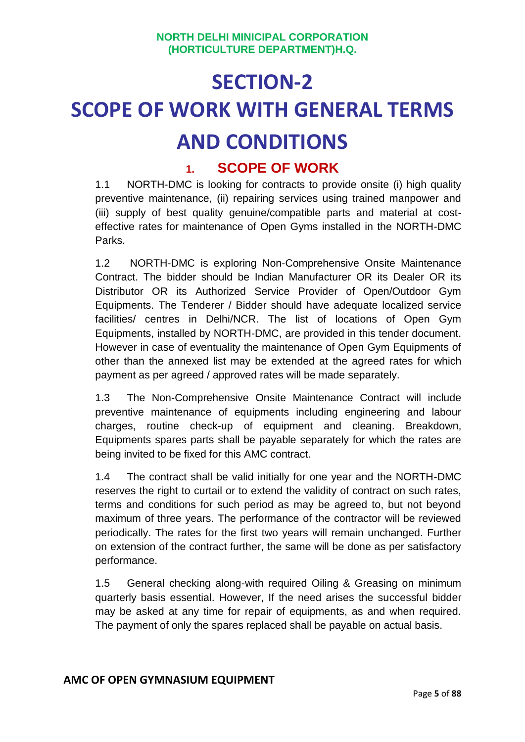## **SECTION-2 SCOPE OF WORK WITH GENERAL TERMS AND CONDITIONS**

#### **1. SCOPE OF WORK**

1.1 NORTH-DMC is looking for contracts to provide onsite (i) high quality preventive maintenance, (ii) repairing services using trained manpower and (iii) supply of best quality genuine/compatible parts and material at costeffective rates for maintenance of Open Gyms installed in the NORTH-DMC Parks.

1.2 NORTH-DMC is exploring Non-Comprehensive Onsite Maintenance Contract. The bidder should be Indian Manufacturer OR its Dealer OR its Distributor OR its Authorized Service Provider of Open/Outdoor Gym Equipments. The Tenderer / Bidder should have adequate localized service facilities/ centres in Delhi/NCR. The list of locations of Open Gym Equipments, installed by NORTH-DMC, are provided in this tender document. However in case of eventuality the maintenance of Open Gym Equipments of other than the annexed list may be extended at the agreed rates for which payment as per agreed / approved rates will be made separately.

1.3 The Non-Comprehensive Onsite Maintenance Contract will include preventive maintenance of equipments including engineering and labour charges, routine check-up of equipment and cleaning. Breakdown, Equipments spares parts shall be payable separately for which the rates are being invited to be fixed for this AMC contract.

1.4 The contract shall be valid initially for one year and the NORTH-DMC reserves the right to curtail or to extend the validity of contract on such rates, terms and conditions for such period as may be agreed to, but not beyond maximum of three years. The performance of the contractor will be reviewed periodically. The rates for the first two years will remain unchanged. Further on extension of the contract further, the same will be done as per satisfactory performance.

1.5 General checking along-with required Oiling & Greasing on minimum quarterly basis essential. However, If the need arises the successful bidder may be asked at any time for repair of equipments, as and when required. The payment of only the spares replaced shall be payable on actual basis.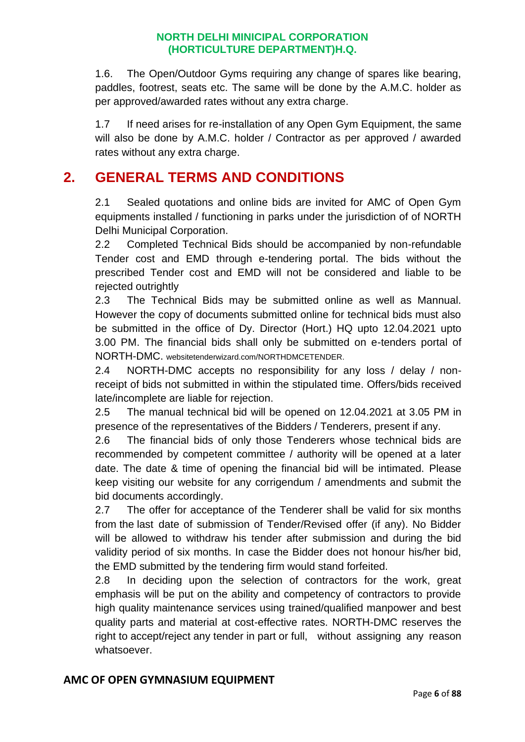1.6. The Open/Outdoor Gyms requiring any change of spares like bearing, paddles, footrest, seats etc. The same will be done by the A.M.C. holder as per approved/awarded rates without any extra charge.

1.7 If need arises for re-installation of any Open Gym Equipment, the same will also be done by A.M.C. holder / Contractor as per approved / awarded rates without any extra charge.

#### **2. GENERAL TERMS AND CONDITIONS**

2.1 Sealed quotations and online bids are invited for AMC of Open Gym equipments installed / functioning in parks under the jurisdiction of of NORTH Delhi Municipal Corporation.

2.2 Completed Technical Bids should be accompanied by non-refundable Tender cost and EMD through e-tendering portal. The bids without the prescribed Tender cost and EMD will not be considered and liable to be rejected outrightly

2.3 The Technical Bids may be submitted online as well as Mannual. However the copy of documents submitted online for technical bids must also be submitted in the office of Dy. Director (Hort.) HQ upto 12.04.2021 upto 3.00 PM. The financial bids shall only be submitted on e-tenders portal of NORTH-DMC. websitetenderwizard.com/NORTHDMCETENDER.

2.4 NORTH-DMC accepts no responsibility for any loss / delay / nonreceipt of bids not submitted in within the stipulated time. Offers/bids received late/incomplete are liable for rejection.

2.5 The manual technical bid will be opened on 12.04.2021 at 3.05 PM in presence of the representatives of the Bidders / Tenderers, present if any.

2.6 The financial bids of only those Tenderers whose technical bids are recommended by competent committee / authority will be opened at a later date. The date & time of opening the financial bid will be intimated. Please keep visiting our website for any corrigendum / amendments and submit the bid documents accordingly.

2.7 The offer for acceptance of the Tenderer shall be valid for six months from the last date of submission of Tender/Revised offer (if any). No Bidder will be allowed to withdraw his tender after submission and during the bid validity period of six months. In case the Bidder does not honour his/her bid, the EMD submitted by the tendering firm would stand forfeited.

2.8 In deciding upon the selection of contractors for the work, great emphasis will be put on the ability and competency of contractors to provide high quality maintenance services using trained/qualified manpower and best quality parts and material at cost-effective rates. NORTH-DMC reserves the right to accept/reject any tender in part or full, without assigning any reason whatsoever.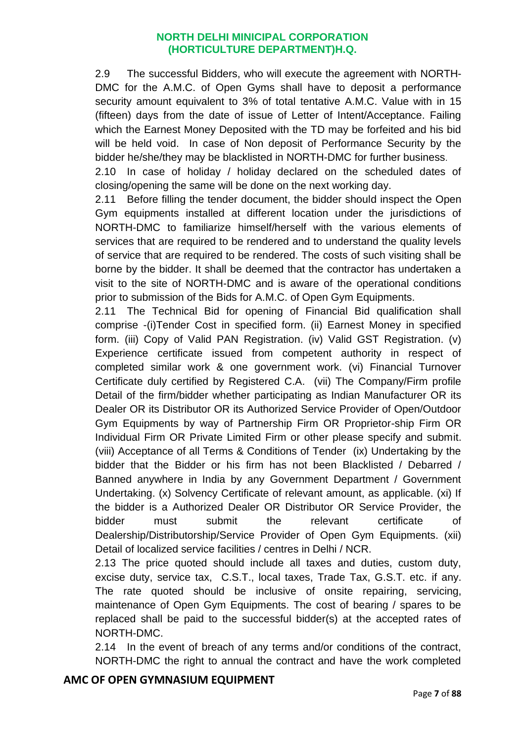2.9 The successful Bidders, who will execute the agreement with NORTH-DMC for the A.M.C. of Open Gyms shall have to deposit a performance security amount equivalent to 3% of total tentative A.M.C. Value with in 15 (fifteen) days from the date of issue of Letter of Intent/Acceptance. Failing which the Earnest Money Deposited with the TD may be forfeited and his bid will be held void. In case of Non deposit of Performance Security by the bidder he/she/they may be blacklisted in NORTH-DMC for further business.

2.10 In case of holiday / holiday declared on the scheduled dates of closing/opening the same will be done on the next working day.

2.11 Before filling the tender document, the bidder should inspect the Open Gym equipments installed at different location under the jurisdictions of NORTH-DMC to familiarize himself/herself with the various elements of services that are required to be rendered and to understand the quality levels of service that are required to be rendered. The costs of such visiting shall be borne by the bidder. It shall be deemed that the contractor has undertaken a visit to the site of NORTH-DMC and is aware of the operational conditions prior to submission of the Bids for A.M.C. of Open Gym Equipments.

2.11 The Technical Bid for opening of Financial Bid qualification shall comprise -(i)Tender Cost in specified form. (ii) Earnest Money in specified form. (iii) Copy of Valid PAN Registration. (iv) Valid GST Registration. (v) Experience certificate issued from competent authority in respect of completed similar work & one government work. (vi) Financial Turnover Certificate duly certified by Registered C.A. (vii) The Company/Firm profile Detail of the firm/bidder whether participating as Indian Manufacturer OR its Dealer OR its Distributor OR its Authorized Service Provider of Open/Outdoor Gym Equipments by way of Partnership Firm OR Proprietor-ship Firm OR Individual Firm OR Private Limited Firm or other please specify and submit. (viii) Acceptance of all Terms & Conditions of Tender (ix) Undertaking by the bidder that the Bidder or his firm has not been Blacklisted / Debarred / Banned anywhere in India by any Government Department / Government Undertaking. (x) Solvency Certificate of relevant amount, as applicable. (xi) If the bidder is a Authorized Dealer OR Distributor OR Service Provider, the bidder must submit the relevant certificate of Dealership/Distributorship/Service Provider of Open Gym Equipments. (xii) Detail of localized service facilities / centres in Delhi / NCR.

2.13 The price quoted should include all taxes and duties, custom duty, excise duty, service tax, C.S.T., local taxes, Trade Tax, G.S.T. etc. if any. The rate quoted should be inclusive of onsite repairing, servicing, maintenance of Open Gym Equipments. The cost of bearing / spares to be replaced shall be paid to the successful bidder(s) at the accepted rates of NORTH-DMC.

2.14 In the event of breach of any terms and/or conditions of the contract, NORTH-DMC the right to annual the contract and have the work completed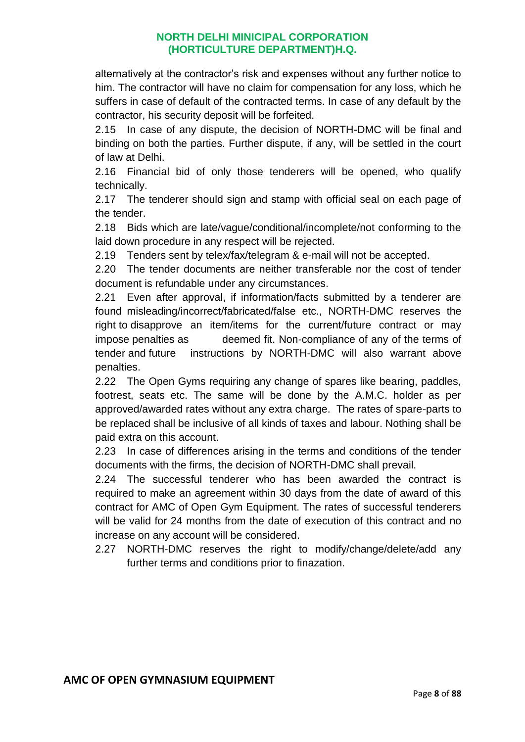alternatively at the contractor's risk and expenses without any further notice to him. The contractor will have no claim for compensation for any loss, which he suffers in case of default of the contracted terms. In case of any default by the contractor, his security deposit will be forfeited.

2.15 In case of any dispute, the decision of NORTH-DMC will be final and binding on both the parties. Further dispute, if any, will be settled in the court of law at Delhi.

2.16 Financial bid of only those tenderers will be opened, who qualify technically.

2.17 The tenderer should sign and stamp with official seal on each page of the tender.

2.18 Bids which are late/vague/conditional/incomplete/not conforming to the laid down procedure in any respect will be rejected.

2.19 Tenders sent by telex/fax/telegram & e-mail will not be accepted.

2.20 The tender documents are neither transferable nor the cost of tender document is refundable under any circumstances.

2.21 Even after approval, if information/facts submitted by a tenderer are found misleading/incorrect/fabricated/false etc., NORTH-DMC reserves the right to disapprove an item/items for the current/future contract or may impose penalties as deemed fit. Non-compliance of any of the terms of tender and future instructions by NORTH-DMC will also warrant above penalties.

2.22 The Open Gyms requiring any change of spares like bearing, paddles, footrest, seats etc. The same will be done by the A.M.C. holder as per approved/awarded rates without any extra charge. The rates of spare-parts to be replaced shall be inclusive of all kinds of taxes and labour. Nothing shall be paid extra on this account.

2.23 In case of differences arising in the terms and conditions of the tender documents with the firms, the decision of NORTH-DMC shall prevail.

2.24 The successful tenderer who has been awarded the contract is required to make an agreement within 30 days from the date of award of this contract for AMC of Open Gym Equipment. The rates of successful tenderers will be valid for 24 months from the date of execution of this contract and no increase on any account will be considered.

2.27 NORTH-DMC reserves the right to modify/change/delete/add any further terms and conditions prior to finazation.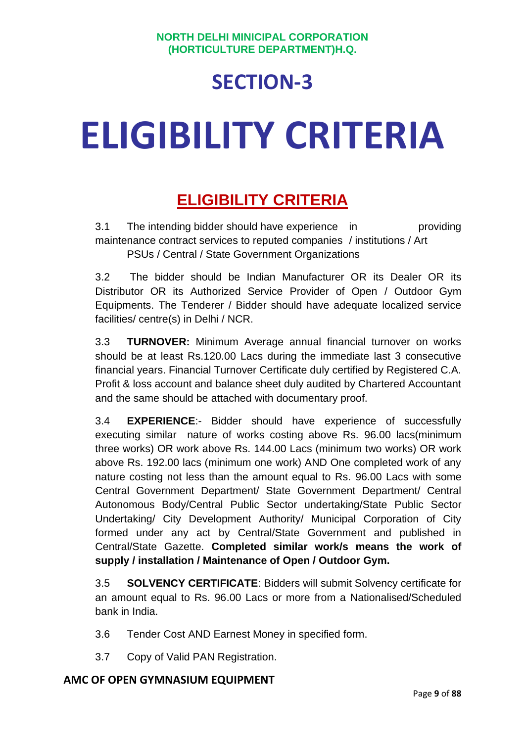## **SECTION-3**

# **ELIGIBILITY CRITERIA**

### **ELIGIBILITY CRITERIA**

3.1 The intending bidder should have experience in providing maintenance contract services to reputed companies / institutions / Art PSUs / Central / State Government Organizations

3.2 The bidder should be Indian Manufacturer OR its Dealer OR its Distributor OR its Authorized Service Provider of Open / Outdoor Gym Equipments. The Tenderer / Bidder should have adequate localized service facilities/ centre(s) in Delhi / NCR.

3.3 **TURNOVER:** Minimum Average annual financial turnover on works should be at least Rs.120.00 Lacs during the immediate last 3 consecutive financial years. Financial Turnover Certificate duly certified by Registered C.A. Profit & loss account and balance sheet duly audited by Chartered Accountant and the same should be attached with documentary proof.

3.4 **EXPERIENCE**:- Bidder should have experience of successfully executing similar nature of works costing above Rs. 96.00 lacs(minimum three works) OR work above Rs. 144.00 Lacs (minimum two works) OR work above Rs. 192.00 lacs (minimum one work) AND One completed work of any nature costing not less than the amount equal to Rs. 96.00 Lacs with some Central Government Department/ State Government Department/ Central Autonomous Body/Central Public Sector undertaking/State Public Sector Undertaking/ City Development Authority/ Municipal Corporation of City formed under any act by Central/State Government and published in Central/State Gazette. **Completed similar work/s means the work of supply / installation / Maintenance of Open / Outdoor Gym.**

3.5 **SOLVENCY CERTIFICATE**: Bidders will submit Solvency certificate for an amount equal to Rs. 96.00 Lacs or more from a Nationalised/Scheduled bank in India.

- 3.6 Tender Cost AND Earnest Money in specified form.
- 3.7 Copy of Valid PAN Registration.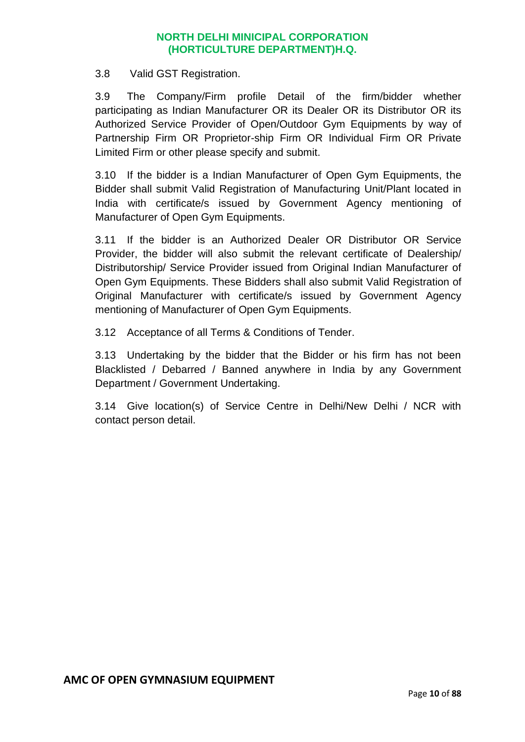3.8 Valid GST Registration.

3.9 The Company/Firm profile Detail of the firm/bidder whether participating as Indian Manufacturer OR its Dealer OR its Distributor OR its Authorized Service Provider of Open/Outdoor Gym Equipments by way of Partnership Firm OR Proprietor-ship Firm OR Individual Firm OR Private Limited Firm or other please specify and submit.

3.10 If the bidder is a Indian Manufacturer of Open Gym Equipments, the Bidder shall submit Valid Registration of Manufacturing Unit/Plant located in India with certificate/s issued by Government Agency mentioning of Manufacturer of Open Gym Equipments.

3.11 If the bidder is an Authorized Dealer OR Distributor OR Service Provider, the bidder will also submit the relevant certificate of Dealership/ Distributorship/ Service Provider issued from Original Indian Manufacturer of Open Gym Equipments. These Bidders shall also submit Valid Registration of Original Manufacturer with certificate/s issued by Government Agency mentioning of Manufacturer of Open Gym Equipments.

3.12 Acceptance of all Terms & Conditions of Tender.

3.13 Undertaking by the bidder that the Bidder or his firm has not been Blacklisted / Debarred / Banned anywhere in India by any Government Department / Government Undertaking.

3.14 Give location(s) of Service Centre in Delhi/New Delhi / NCR with contact person detail.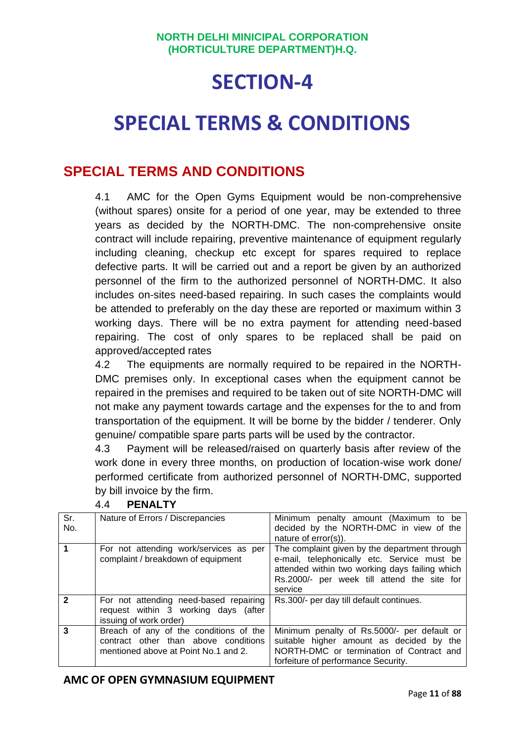## **SECTION-4**

## **SPECIAL TERMS & CONDITIONS**

#### **SPECIAL TERMS AND CONDITIONS**

4.1 AMC for the Open Gyms Equipment would be non-comprehensive (without spares) onsite for a period of one year, may be extended to three years as decided by the NORTH-DMC. The non-comprehensive onsite contract will include repairing, preventive maintenance of equipment regularly including cleaning, checkup etc except for spares required to replace defective parts. It will be carried out and a report be given by an authorized personnel of the firm to the authorized personnel of NORTH-DMC. It also includes on-sites need-based repairing. In such cases the complaints would be attended to preferably on the day these are reported or maximum within 3 working days. There will be no extra payment for attending need-based repairing. The cost of only spares to be replaced shall be paid on approved/accepted rates

4.2 The equipments are normally required to be repaired in the NORTH-DMC premises only. In exceptional cases when the equipment cannot be repaired in the premises and required to be taken out of site NORTH-DMC will not make any payment towards cartage and the expenses for the to and from transportation of the equipment. It will be borne by the bidder / tenderer. Only genuine/ compatible spare parts parts will be used by the contractor.

4.3 Payment will be released/raised on quarterly basis after review of the work done in every three months, on production of location-wise work done/ performed certificate from authorized personnel of NORTH-DMC, supported by bill invoice by the firm.

| Sr.<br>No.   | Nature of Errors / Discrepancies                                                                                       | Minimum penalty amount (Maximum to be<br>decided by the NORTH-DMC in view of the<br>nature of error(s)).                                                                                                 |
|--------------|------------------------------------------------------------------------------------------------------------------------|----------------------------------------------------------------------------------------------------------------------------------------------------------------------------------------------------------|
|              | For not attending work/services as per<br>complaint / breakdown of equipment                                           | The complaint given by the department through<br>e-mail, telephonically etc. Service must be<br>attended within two working days failing which<br>Rs.2000/- per week till attend the site for<br>service |
| $\mathbf{2}$ | For not attending need-based repairing<br>request within 3 working days (after<br>issuing of work order)               | Rs.300/- per day till default continues.                                                                                                                                                                 |
| 3            | Breach of any of the conditions of the<br>contract other than above conditions<br>mentioned above at Point No.1 and 2. | Minimum penalty of Rs.5000/- per default or<br>suitable higher amount as decided by the<br>NORTH-DMC or termination of Contract and<br>forfeiture of performance Security.                               |

#### 4.4 **PENALTY**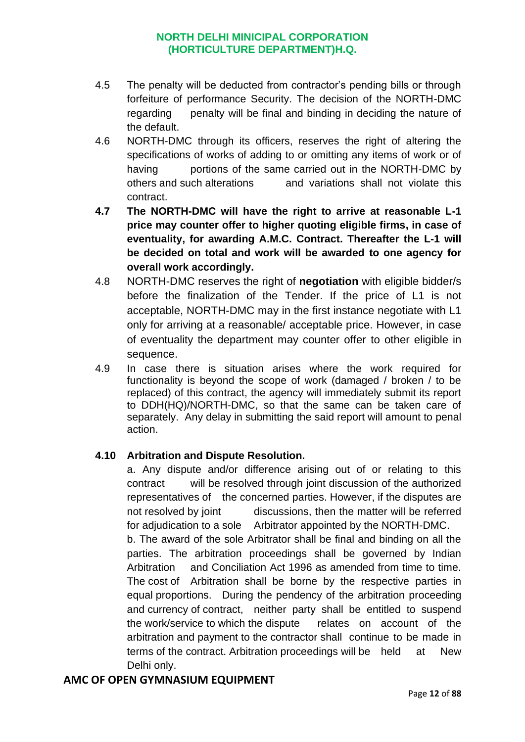- 4.5 The penalty will be deducted from contractor's pending bills or through forfeiture of performance Security. The decision of the NORTH-DMC regarding penalty will be final and binding in deciding the nature of the default.
- 4.6 NORTH-DMC through its officers, reserves the right of altering the specifications of works of adding to or omitting any items of work or of having portions of the same carried out in the NORTH-DMC by others and such alterations and variations shall not violate this contract.
- **4.7 The NORTH-DMC will have the right to arrive at reasonable L-1 price may counter offer to higher quoting eligible firms, in case of eventuality, for awarding A.M.C. Contract. Thereafter the L-1 will be decided on total and work will be awarded to one agency for overall work accordingly.**
- 4.8 NORTH-DMC reserves the right of **negotiation** with eligible bidder/s before the finalization of the Tender. If the price of L1 is not acceptable, NORTH-DMC may in the first instance negotiate with L1 only for arriving at a reasonable/ acceptable price. However, in case of eventuality the department may counter offer to other eligible in sequence.
- 4.9 In case there is situation arises where the work required for functionality is beyond the scope of work (damaged / broken / to be replaced) of this contract, the agency will immediately submit its report to DDH(HQ)/NORTH-DMC, so that the same can be taken care of separately. Any delay in submitting the said report will amount to penal action.

#### **4.10 Arbitration and Dispute Resolution.**

a. Any dispute and/or difference arising out of or relating to this contract will be resolved through joint discussion of the authorized representatives of the concerned parties. However, if the disputes are not resolved by joint discussions, then the matter will be referred for adjudication to a sole Arbitrator appointed by the NORTH-DMC. b. The award of the sole Arbitrator shall be final and binding on all the

parties. The arbitration proceedings shall be governed by Indian Arbitration and Conciliation Act 1996 as amended from time to time. The cost of Arbitration shall be borne by the respective parties in equal proportions. During the pendency of the arbitration proceeding and currency of contract, neither party shall be entitled to suspend the work/service to which the dispute relates on account of the arbitration and payment to the contractor shall continue to be made in terms of the contract. Arbitration proceedings will be held at New Delhi only.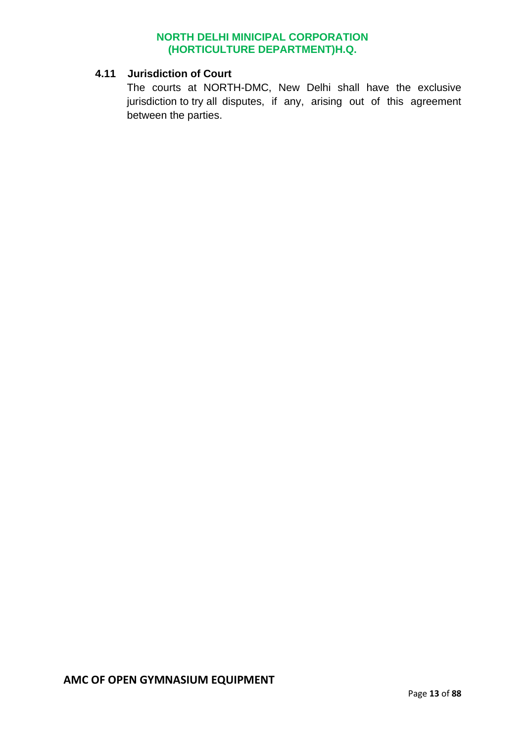#### **4.11 Jurisdiction of Court**

The courts at NORTH-DMC, New Delhi shall have the exclusive jurisdiction to try all disputes, if any, arising out of this agreement between the parties.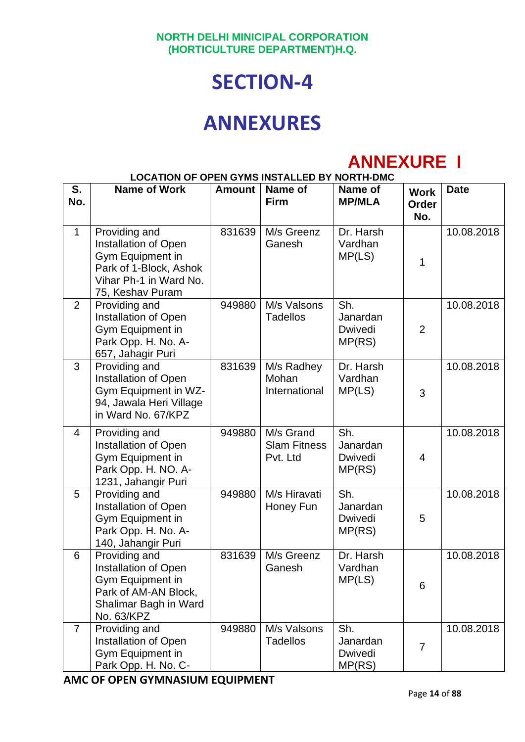## **SECTION-4**

## **ANNEXURES**

## **ANNEXURE I**

|                | <b>LOCATION OF OPEN GYMS INSTALLED BY NORTH-DMC</b>                                                                               |               |                                              |                                      |                                    |             |
|----------------|-----------------------------------------------------------------------------------------------------------------------------------|---------------|----------------------------------------------|--------------------------------------|------------------------------------|-------------|
| S.<br>No.      | <b>Name of Work</b>                                                                                                               | <b>Amount</b> | Name of<br><b>Firm</b>                       | Name of<br><b>MP/MLA</b>             | <b>Work</b><br><b>Order</b><br>No. | <b>Date</b> |
| $\mathbf{1}$   | Providing and<br>Installation of Open<br>Gym Equipment in<br>Park of 1-Block, Ashok<br>Vihar Ph-1 in Ward No.<br>75, Keshav Puram | 831639        | M/s Greenz<br>Ganesh                         | Dr. Harsh<br>Vardhan<br>MP(LS)       | 1                                  | 10.08.2018  |
| 2              | Providing and<br>Installation of Open<br>Gym Equipment in<br>Park Opp. H. No. A-<br>657, Jahagir Puri                             | 949880        | M/s Valsons<br><b>Tadellos</b>               | Sh.<br>Janardan<br>Dwivedi<br>MP(RS) | $\overline{2}$                     | 10.08.2018  |
| 3              | Providing and<br>Installation of Open<br>Gym Equipment in WZ-<br>94, Jawala Heri Village<br>in Ward No. 67/KPZ                    | 831639        | M/s Radhey<br>Mohan<br>International         | Dr. Harsh<br>Vardhan<br>MP(LS)       | 3                                  | 10.08.2018  |
| 4              | Providing and<br>Installation of Open<br>Gym Equipment in<br>Park Opp. H. NO. A-<br>1231, Jahangir Puri                           | 949880        | M/s Grand<br><b>Slam Fitness</b><br>Pvt. Ltd | Sh.<br>Janardan<br>Dwivedi<br>MP(RS) | $\overline{4}$                     | 10.08.2018  |
| 5              | Providing and<br>Installation of Open<br>Gym Equipment in<br>Park Opp. H. No. A-<br>140, Jahangir Puri                            | 949880        | M/s Hiravati<br>Honey Fun                    | Sh.<br>Janardan<br>Dwivedi<br>MP(RS) | 5                                  | 10.08.2018  |
| 6              | Providing and<br>Installation of Open<br>Gym Equipment in<br>Park of AM-AN Block,<br>Shalimar Bagh in Ward<br>No. 63/KPZ          | 831639        | M/s Greenz<br>Ganesh                         | Dr. Harsh<br>Vardhan<br>MP(LS)       | 6                                  | 10.08.2018  |
| $\overline{7}$ | Providing and<br>Installation of Open<br>Gym Equipment in<br>Park Opp. H. No. C-                                                  | 949880        | M/s Valsons<br><b>Tadellos</b>               | Sh.<br>Janardan<br>Dwivedi<br>MP(RS) | 7                                  | 10.08.2018  |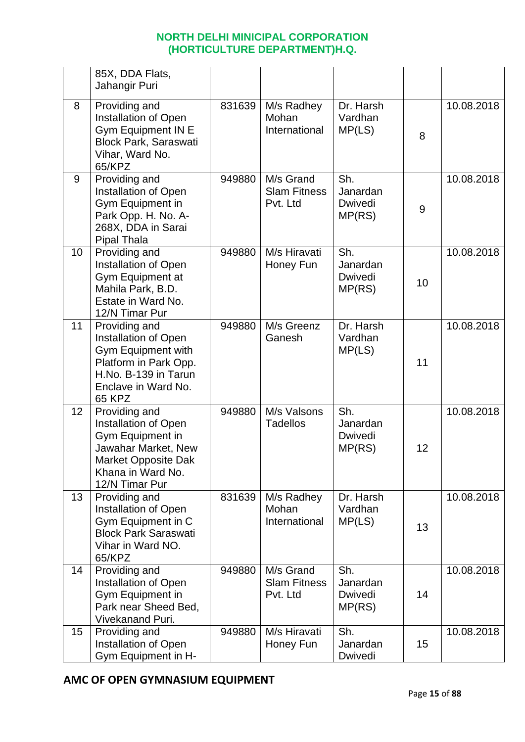|    | 85X, DDA Flats,<br>Jahangir Puri                                                                                                                     |        |                                              |                                             |    |            |
|----|------------------------------------------------------------------------------------------------------------------------------------------------------|--------|----------------------------------------------|---------------------------------------------|----|------------|
| 8  | Providing and<br>Installation of Open<br><b>Gym Equipment IN E</b><br><b>Block Park, Saraswati</b><br>Vihar, Ward No.<br>65/KPZ                      | 831639 | M/s Radhey<br>Mohan<br>International         | Dr. Harsh<br>Vardhan<br>MP(LS)              | 8  | 10.08.2018 |
| 9  | Providing and<br>Installation of Open<br>Gym Equipment in<br>Park Opp. H. No. A-<br>268X, DDA in Sarai<br>Pipal Thala                                | 949880 | M/s Grand<br><b>Slam Fitness</b><br>Pvt. Ltd | Sh.<br>Janardan<br>Dwivedi<br>MP(RS)        | 9  | 10.08.2018 |
| 10 | Providing and<br>Installation of Open<br>Gym Equipment at<br>Mahila Park, B.D.<br>Estate in Ward No.<br>12/N Timar Pur                               | 949880 | M/s Hiravati<br>Honey Fun                    | Sh.<br>Janardan<br><b>Dwivedi</b><br>MP(RS) | 10 | 10.08.2018 |
| 11 | Providing and<br>Installation of Open<br>Gym Equipment with<br>Platform in Park Opp.<br>H.No. B-139 in Tarun<br>Enclave in Ward No.<br><b>65 KPZ</b> | 949880 | M/s Greenz<br>Ganesh                         | Dr. Harsh<br>Vardhan<br>MP(LS)              | 11 | 10.08.2018 |
| 12 | Providing and<br>Installation of Open<br>Gym Equipment in<br>Jawahar Market, New<br>Market Opposite Dak<br>Khana in Ward No.<br>12/N Timar Pur       | 949880 | M/s Valsons<br><b>Tadellos</b>               | Sh.<br>Janardan<br><b>Dwivedi</b><br>MP(RS) | 12 | 10.08.2018 |
| 13 | Providing and<br>Installation of Open<br>Gym Equipment in C<br><b>Block Park Saraswati</b><br>Vihar in Ward NO.<br>65/KPZ                            | 831639 | M/s Radhey<br>Mohan<br>International         | Dr. Harsh<br>Vardhan<br>MP(LS)              | 13 | 10.08.2018 |
| 14 | Providing and<br>Installation of Open<br>Gym Equipment in<br>Park near Sheed Bed,<br><b>Vivekanand Puri.</b>                                         | 949880 | M/s Grand<br><b>Slam Fitness</b><br>Pvt. Ltd | Sh.<br>Janardan<br>Dwivedi<br>MP(RS)        | 14 | 10.08.2018 |
| 15 | Providing and<br>Installation of Open<br>Gym Equipment in H-                                                                                         | 949880 | M/s Hiravati<br>Honey Fun                    | Sh.<br>Janardan<br>Dwivedi                  | 15 | 10.08.2018 |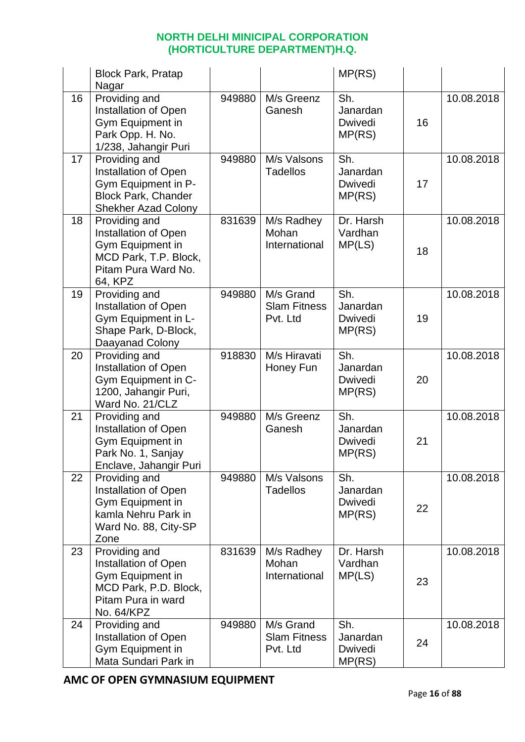|    | <b>Block Park, Pratap</b><br>Nagar                                                                                            |        |                                              | MP(RS)                                      |    |            |
|----|-------------------------------------------------------------------------------------------------------------------------------|--------|----------------------------------------------|---------------------------------------------|----|------------|
| 16 | Providing and<br>Installation of Open<br>Gym Equipment in<br>Park Opp. H. No.<br>1/238, Jahangir Puri                         | 949880 | M/s Greenz<br>Ganesh                         | Sh.<br>Janardan<br>Dwivedi<br>MP(RS)        | 16 | 10.08.2018 |
| 17 | Providing and<br>Installation of Open<br>Gym Equipment in P-<br><b>Block Park, Chander</b><br><b>Shekher Azad Colony</b>      | 949880 | M/s Valsons<br><b>Tadellos</b>               | Sh.<br>Janardan<br><b>Dwivedi</b><br>MP(RS) | 17 | 10.08.2018 |
| 18 | Providing and<br>Installation of Open<br>Gym Equipment in<br>MCD Park, T.P. Block,<br>Pitam Pura Ward No.<br>64, KPZ          | 831639 | M/s Radhey<br>Mohan<br>International         | Dr. Harsh<br>Vardhan<br>MP(LS)              | 18 | 10.08.2018 |
| 19 | Providing and<br>Installation of Open<br>Gym Equipment in L-<br>Shape Park, D-Block,<br>Daayanad Colony                       | 949880 | M/s Grand<br><b>Slam Fitness</b><br>Pvt. Ltd | Sh.<br>Janardan<br><b>Dwivedi</b><br>MP(RS) | 19 | 10.08.2018 |
| 20 | Providing and<br>Installation of Open<br>Gym Equipment in C-<br>1200, Jahangir Puri,<br>Ward No. 21/CLZ                       | 918830 | M/s Hiravati<br>Honey Fun                    | Sh.<br>Janardan<br>Dwivedi<br>MP(RS)        | 20 | 10.08.2018 |
| 21 | Providing and<br>Installation of Open<br>Gym Equipment in<br>Park No. 1, Sanjay<br>Enclave, Jahangir Puri                     | 949880 | M/s Greenz<br>Ganesh                         | Sh.<br>Janardan<br><b>Dwivedi</b><br>MP(RS) | 21 | 10.08.2018 |
| 22 | Providing and<br>Installation of Open<br>Gym Equipment in<br>kamla Nehru Park in<br>Ward No. 88, City-SP<br>Zone              | 949880 | M/s Valsons<br><b>Tadellos</b>               | Sh.<br>Janardan<br>Dwivedi<br>MP(RS)        | 22 | 10.08.2018 |
| 23 | Providing and<br><b>Installation of Open</b><br>Gym Equipment in<br>MCD Park, P.D. Block,<br>Pitam Pura in ward<br>No. 64/KPZ | 831639 | M/s Radhey<br>Mohan<br>International         | Dr. Harsh<br>Vardhan<br>MP(LS)              | 23 | 10.08.2018 |
| 24 | Providing and<br>Installation of Open<br>Gym Equipment in<br>Mata Sundari Park in                                             | 949880 | M/s Grand<br><b>Slam Fitness</b><br>Pvt. Ltd | Sh.<br>Janardan<br>Dwivedi<br>MP(RS)        | 24 | 10.08.2018 |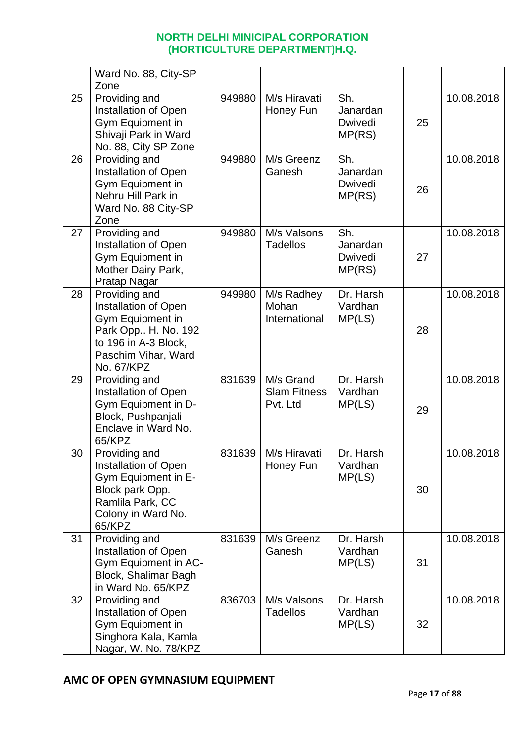|    | Ward No. 88, City-SP<br>Zone                                                                                                                  |        |                                              |                                             |    |            |
|----|-----------------------------------------------------------------------------------------------------------------------------------------------|--------|----------------------------------------------|---------------------------------------------|----|------------|
| 25 | Providing and<br>Installation of Open<br>Gym Equipment in<br>Shivaji Park in Ward<br>No. 88, City SP Zone                                     | 949880 | M/s Hiravati<br>Honey Fun                    | Sh.<br>Janardan<br><b>Dwivedi</b><br>MP(RS) | 25 | 10.08.2018 |
| 26 | Providing and<br>Installation of Open<br>Gym Equipment in<br>Nehru Hill Park in<br>Ward No. 88 City-SP<br>Zone                                | 949880 | M/s Greenz<br>Ganesh                         | Sh.<br>Janardan<br>Dwivedi<br>MP(RS)        | 26 | 10.08.2018 |
| 27 | Providing and<br>Installation of Open<br>Gym Equipment in<br>Mother Dairy Park,<br>Pratap Nagar                                               | 949880 | M/s Valsons<br><b>Tadellos</b>               | Sh.<br>Janardan<br><b>Dwivedi</b><br>MP(RS) | 27 | 10.08.2018 |
| 28 | Providing and<br>Installation of Open<br>Gym Equipment in<br>Park Opp H. No. 192<br>to 196 in A-3 Block,<br>Paschim Vihar, Ward<br>No. 67/KPZ | 949980 | M/s Radhey<br>Mohan<br>International         | Dr. Harsh<br>Vardhan<br>MP(LS)              | 28 | 10.08.2018 |
| 29 | Providing and<br>Installation of Open<br>Gym Equipment in D-<br>Block, Pushpanjali<br>Enclave in Ward No.<br>65/KPZ                           | 831639 | M/s Grand<br><b>Slam Fitness</b><br>Pvt. Ltd | Dr. Harsh<br>Vardhan<br>MP(LS)              | 29 | 10.08.2018 |
| 30 | Providing and<br>Installation of Open<br>Gym Equipment in E-<br>Block park Opp.<br>Ramlila Park, CC<br>Colony in Ward No.<br>65/KPZ           | 831639 | M/s Hiravati<br>Honey Fun                    | Dr. Harsh<br>Vardhan<br>MP(LS)              | 30 | 10.08.2018 |
| 31 | Providing and<br>Installation of Open<br>Gym Equipment in AC-<br>Block, Shalimar Bagh<br>in Ward No. 65/KPZ                                   | 831639 | M/s Greenz<br>Ganesh                         | Dr. Harsh<br>Vardhan<br>MP(LS)              | 31 | 10.08.2018 |
| 32 | Providing and<br><b>Installation of Open</b><br>Gym Equipment in<br>Singhora Kala, Kamla<br>Nagar, W. No. 78/KPZ                              | 836703 | M/s Valsons<br><b>Tadellos</b>               | Dr. Harsh<br>Vardhan<br>MP(LS)              | 32 | 10.08.2018 |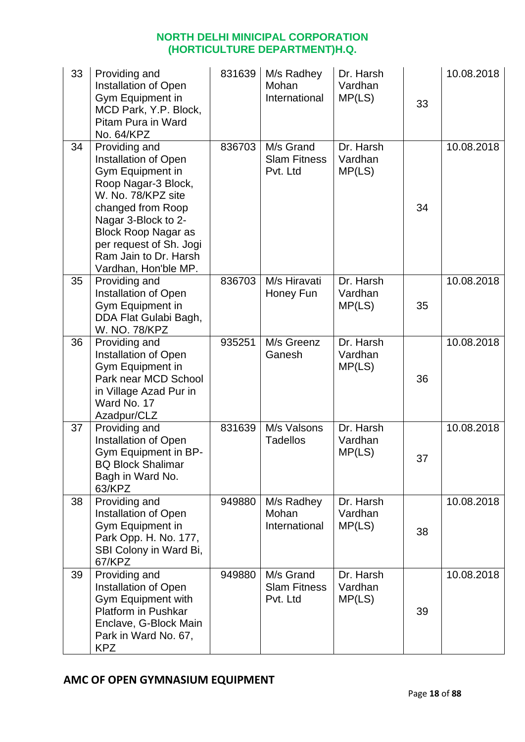| 33 | Providing and<br>Installation of Open<br>Gym Equipment in<br>MCD Park, Y.P. Block,<br>Pitam Pura in Ward<br>No. 64/KPZ                                                                                                                                       | 831639 | M/s Radhey<br>Mohan<br>International         | Dr. Harsh<br>Vardhan<br>MP(LS) | 33 | 10.08.2018 |
|----|--------------------------------------------------------------------------------------------------------------------------------------------------------------------------------------------------------------------------------------------------------------|--------|----------------------------------------------|--------------------------------|----|------------|
| 34 | Providing and<br>Installation of Open<br>Gym Equipment in<br>Roop Nagar-3 Block,<br>W. No. 78/KPZ site<br>changed from Roop<br>Nagar 3-Block to 2-<br><b>Block Roop Nagar as</b><br>per request of Sh. Jogi<br>Ram Jain to Dr. Harsh<br>Vardhan, Hon'ble MP. | 836703 | M/s Grand<br><b>Slam Fitness</b><br>Pvt. Ltd | Dr. Harsh<br>Vardhan<br>MP(LS) | 34 | 10.08.2018 |
| 35 | Providing and<br>Installation of Open<br>Gym Equipment in<br>DDA Flat Gulabi Bagh,<br>W. NO. 78/KPZ                                                                                                                                                          | 836703 | M/s Hiravati<br>Honey Fun                    | Dr. Harsh<br>Vardhan<br>MP(LS) | 35 | 10.08.2018 |
| 36 | Providing and<br>Installation of Open<br>Gym Equipment in<br>Park near MCD School<br>in Village Azad Pur in<br>Ward No. 17<br>Azadpur/CLZ                                                                                                                    | 935251 | M/s Greenz<br>Ganesh                         | Dr. Harsh<br>Vardhan<br>MP(LS) | 36 | 10.08.2018 |
| 37 | Providing and<br>Installation of Open<br>Gym Equipment in BP-<br><b>BQ Block Shalimar</b><br>Bagh in Ward No.<br>63/KPZ                                                                                                                                      | 831639 | M/s Valsons<br><b>Tadellos</b>               | Dr. Harsh<br>Vardhan<br>MP(LS) | 37 | 10.08.2018 |
| 38 | Providing and<br>Installation of Open<br>Gym Equipment in<br>Park Opp. H. No. 177,<br>SBI Colony in Ward Bi,<br>67/KPZ                                                                                                                                       | 949880 | M/s Radhey<br>Mohan<br>International         | Dr. Harsh<br>Vardhan<br>MP(LS) | 38 | 10.08.2018 |
| 39 | Providing and<br>Installation of Open<br>Gym Equipment with<br><b>Platform in Pushkar</b><br>Enclave, G-Block Main<br>Park in Ward No. 67,<br><b>KPZ</b>                                                                                                     | 949880 | M/s Grand<br><b>Slam Fitness</b><br>Pvt. Ltd | Dr. Harsh<br>Vardhan<br>MP(LS) | 39 | 10.08.2018 |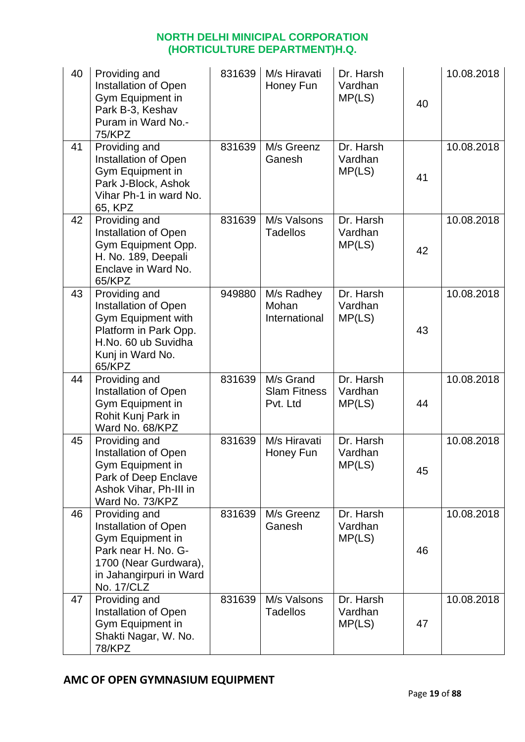| 40 | Providing and<br>Installation of Open<br>Gym Equipment in<br>Park B-3, Keshav<br>Puram in Ward No.-<br><b>75/KPZ</b>                               | 831639 | M/s Hiravati<br>Honey Fun                    | Dr. Harsh<br>Vardhan<br>MP(LS) | 40 | 10.08.2018 |
|----|----------------------------------------------------------------------------------------------------------------------------------------------------|--------|----------------------------------------------|--------------------------------|----|------------|
| 41 | Providing and<br><b>Installation of Open</b><br>Gym Equipment in<br>Park J-Block, Ashok<br>Vihar Ph-1 in ward No.<br>65, KPZ                       | 831639 | M/s Greenz<br>Ganesh                         | Dr. Harsh<br>Vardhan<br>MP(LS) | 41 | 10.08.2018 |
| 42 | Providing and<br>Installation of Open<br>Gym Equipment Opp.<br>H. No. 189, Deepali<br>Enclave in Ward No.<br>65/KPZ                                | 831639 | M/s Valsons<br><b>Tadellos</b>               | Dr. Harsh<br>Vardhan<br>MP(LS) | 42 | 10.08.2018 |
| 43 | Providing and<br>Installation of Open<br>Gym Equipment with<br>Platform in Park Opp.<br>H.No. 60 ub Suvidha<br>Kunj in Ward No.<br>65/KPZ          | 949880 | M/s Radhey<br>Mohan<br>International         | Dr. Harsh<br>Vardhan<br>MP(LS) | 43 | 10.08.2018 |
| 44 | Providing and<br>Installation of Open<br>Gym Equipment in<br>Rohit Kunj Park in<br>Ward No. 68/KPZ                                                 | 831639 | M/s Grand<br><b>Slam Fitness</b><br>Pvt. Ltd | Dr. Harsh<br>Vardhan<br>MP(LS) | 44 | 10.08.2018 |
| 45 | Providing and<br>Installation of Open<br>Gym Equipment in<br>Park of Deep Enclave<br>Ashok Vihar, Ph-III in<br>Ward No. 73/KPZ                     | 831639 | M/s Hiravati<br>Honey Fun                    | Dr. Harsh<br>Vardhan<br>MP(LS) | 45 | 10.08.2018 |
| 46 | Providing and<br>Installation of Open<br>Gym Equipment in<br>Park near H. No. G-<br>1700 (Near Gurdwara),<br>in Jahangirpuri in Ward<br>No. 17/CLZ | 831639 | M/s Greenz<br>Ganesh                         | Dr. Harsh<br>Vardhan<br>MP(LS) | 46 | 10.08.2018 |
| 47 | Providing and<br>Installation of Open<br>Gym Equipment in<br>Shakti Nagar, W. No.<br>78/KPZ                                                        | 831639 | M/s Valsons<br>Tadellos                      | Dr. Harsh<br>Vardhan<br>MP(LS) | 47 | 10.08.2018 |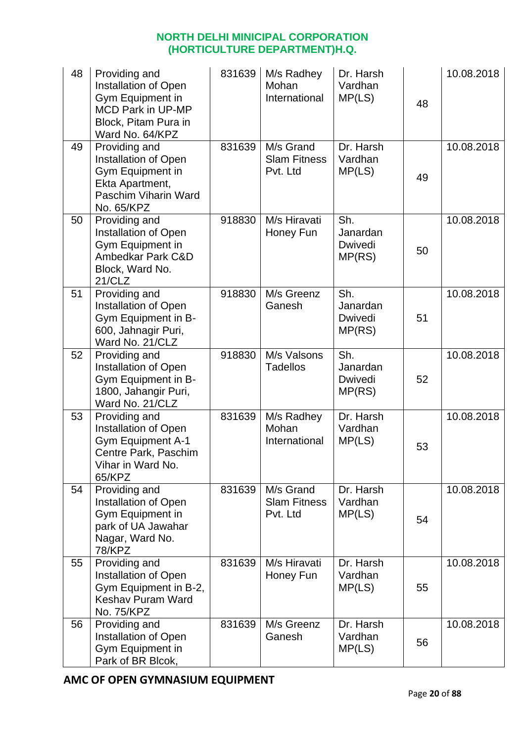| 48 | Providing and<br>Installation of Open<br>Gym Equipment in<br><b>MCD Park in UP-MP</b><br>Block, Pitam Pura in<br>Ward No. 64/KPZ | 831639 | M/s Radhey<br>Mohan<br>International         | Dr. Harsh<br>Vardhan<br>MP(LS)       | 48 | 10.08.2018 |
|----|----------------------------------------------------------------------------------------------------------------------------------|--------|----------------------------------------------|--------------------------------------|----|------------|
| 49 | Providing and<br>Installation of Open<br>Gym Equipment in<br>Ekta Apartment,<br>Paschim Viharin Ward<br>No. 65/KPZ               | 831639 | M/s Grand<br><b>Slam Fitness</b><br>Pvt. Ltd | Dr. Harsh<br>Vardhan<br>MP(LS)       | 49 | 10.08.2018 |
| 50 | Providing and<br>Installation of Open<br>Gym Equipment in<br>Ambedkar Park C&D<br>Block, Ward No.<br>21/CLZ                      | 918830 | M/s Hiravati<br>Honey Fun                    | Sh.<br>Janardan<br>Dwivedi<br>MP(RS) | 50 | 10.08.2018 |
| 51 | Providing and<br>Installation of Open<br>Gym Equipment in B-<br>600, Jahnagir Puri,<br>Ward No. 21/CLZ                           | 918830 | M/s Greenz<br>Ganesh                         | Sh.<br>Janardan<br>Dwivedi<br>MP(RS) | 51 | 10.08.2018 |
| 52 | Providing and<br>Installation of Open<br>Gym Equipment in B-<br>1800, Jahangir Puri,<br>Ward No. 21/CLZ                          | 918830 | M/s Valsons<br><b>Tadellos</b>               | Sh.<br>Janardan<br>Dwivedi<br>MP(RS) | 52 | 10.08.2018 |
| 53 | Providing and<br>Installation of Open<br><b>Gym Equipment A-1</b><br>Centre Park, Paschim<br>Vihar in Ward No.<br>65/KPZ         | 831639 | M/s Radhey<br>Mohan<br>International         | Dr. Harsh<br>Vardhan<br>MP(LS)       | 53 | 10.08.2018 |
| 54 | Providing and<br>Installation of Open<br>Gym Equipment in<br>park of UA Jawahar<br>Nagar, Ward No.<br><b>78/KPZ</b>              | 831639 | M/s Grand<br><b>Slam Fitness</b><br>Pvt. Ltd | Dr. Harsh<br>Vardhan<br>MP(LS)       | 54 | 10.08.2018 |
| 55 | Providing and<br>Installation of Open<br>Gym Equipment in B-2,<br><b>Keshav Puram Ward</b><br>No. 75/KPZ                         | 831639 | M/s Hiravati<br>Honey Fun                    | Dr. Harsh<br>Vardhan<br>MP(LS)       | 55 | 10.08.2018 |
| 56 | Providing and<br>Installation of Open<br>Gym Equipment in<br>Park of BR Blcok,                                                   | 831639 | M/s Greenz<br>Ganesh                         | Dr. Harsh<br>Vardhan<br>MP(LS)       | 56 | 10.08.2018 |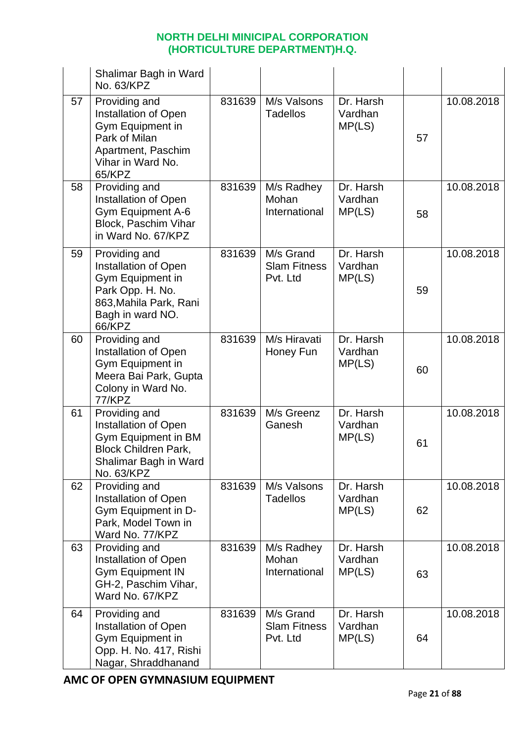|    | Shalimar Bagh in Ward<br>No. 63/KPZ                                                                                                   |        |                                              |                                |    |            |
|----|---------------------------------------------------------------------------------------------------------------------------------------|--------|----------------------------------------------|--------------------------------|----|------------|
| 57 | Providing and<br>Installation of Open<br>Gym Equipment in<br>Park of Milan<br>Apartment, Paschim<br>Vihar in Ward No.<br>65/KPZ       | 831639 | M/s Valsons<br><b>Tadellos</b>               | Dr. Harsh<br>Vardhan<br>MP(LS) | 57 | 10.08.2018 |
| 58 | Providing and<br>Installation of Open<br>Gym Equipment A-6<br>Block, Paschim Vihar<br>in Ward No. 67/KPZ                              | 831639 | M/s Radhey<br>Mohan<br>International         | Dr. Harsh<br>Vardhan<br>MP(LS) | 58 | 10.08.2018 |
| 59 | Providing and<br>Installation of Open<br>Gym Equipment in<br>Park Opp. H. No.<br>863, Mahila Park, Rani<br>Bagh in ward NO.<br>66/KPZ | 831639 | M/s Grand<br><b>Slam Fitness</b><br>Pvt. Ltd | Dr. Harsh<br>Vardhan<br>MP(LS) | 59 | 10.08.2018 |
| 60 | Providing and<br>Installation of Open<br>Gym Equipment in<br>Meera Bai Park, Gupta<br>Colony in Ward No.<br>77/KPZ                    | 831639 | M/s Hiravati<br>Honey Fun                    | Dr. Harsh<br>Vardhan<br>MP(LS) | 60 | 10.08.2018 |
| 61 | Providing and<br>Installation of Open<br>Gym Equipment in BM<br><b>Block Children Park,</b><br>Shalimar Bagh in Ward<br>No. 63/KPZ    | 831639 | M/s Greenz<br>Ganesh                         | Dr. Harsh<br>Vardhan<br>MP(LS) | 61 | 10.08.2018 |
| 62 | Providing and<br>Installation of Open<br>Gym Equipment in D-<br>Park, Model Town in<br>Ward No. 77/KPZ                                | 831639 | M/s Valsons<br><b>Tadellos</b>               | Dr. Harsh<br>Vardhan<br>MP(LS) | 62 | 10.08.2018 |
| 63 | Providing and<br><b>Installation of Open</b><br><b>Gym Equipment IN</b><br>GH-2, Paschim Vihar,<br>Ward No. 67/KPZ                    | 831639 | M/s Radhey<br>Mohan<br>International         | Dr. Harsh<br>Vardhan<br>MP(LS) | 63 | 10.08.2018 |
| 64 | Providing and<br>Installation of Open<br>Gym Equipment in<br>Opp. H. No. 417, Rishi<br>Nagar, Shraddhanand                            | 831639 | M/s Grand<br><b>Slam Fitness</b><br>Pvt. Ltd | Dr. Harsh<br>Vardhan<br>MP(LS) | 64 | 10.08.2018 |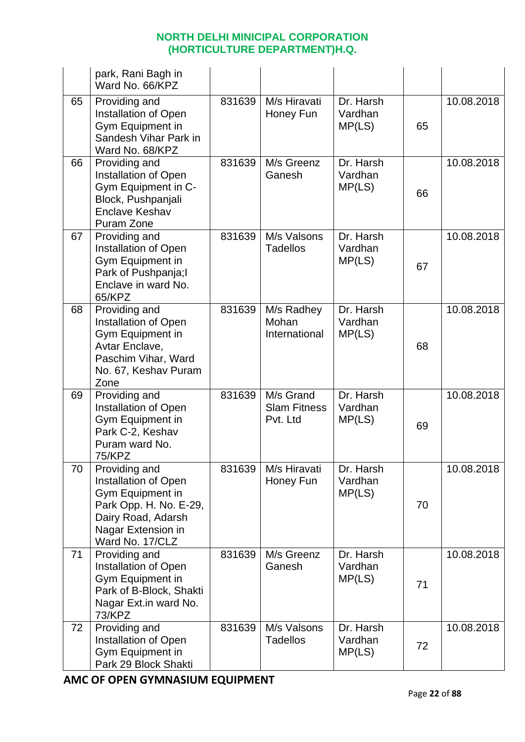|    | park, Rani Bagh in<br>Ward No. 66/KPZ                                                                                                              |        |                                              |                                |    |            |
|----|----------------------------------------------------------------------------------------------------------------------------------------------------|--------|----------------------------------------------|--------------------------------|----|------------|
| 65 | Providing and<br>Installation of Open<br>Gym Equipment in<br>Sandesh Vihar Park in<br>Ward No. 68/KPZ                                              | 831639 | M/s Hiravati<br>Honey Fun                    | Dr. Harsh<br>Vardhan<br>MP(LS) | 65 | 10.08.2018 |
| 66 | Providing and<br>Installation of Open<br>Gym Equipment in C-<br>Block, Pushpanjali<br><b>Enclave Keshav</b><br>Puram Zone                          | 831639 | M/s Greenz<br>Ganesh                         | Dr. Harsh<br>Vardhan<br>MP(LS) | 66 | 10.08.2018 |
| 67 | Providing and<br><b>Installation of Open</b><br>Gym Equipment in<br>Park of Pushpanja; I<br>Enclave in ward No.<br>65/KPZ                          | 831639 | M/s Valsons<br><b>Tadellos</b>               | Dr. Harsh<br>Vardhan<br>MP(LS) | 67 | 10.08.2018 |
| 68 | Providing and<br>Installation of Open<br>Gym Equipment in<br>Avtar Enclave,<br>Paschim Vihar, Ward<br>No. 67, Keshav Puram<br>Zone                 | 831639 | M/s Radhey<br>Mohan<br>International         | Dr. Harsh<br>Vardhan<br>MP(LS) | 68 | 10.08.2018 |
| 69 | Providing and<br>Installation of Open<br>Gym Equipment in<br>Park C-2, Keshav<br>Puram ward No.<br>75/KPZ                                          | 831639 | M/s Grand<br><b>Slam Fitness</b><br>Pvt. Ltd | Dr. Harsh<br>Vardhan<br>MP(LS) | 69 | 10.08.2018 |
| 70 | Providing and<br>Installation of Open<br>Gym Equipment in<br>Park Opp. H. No. E-29,<br>Dairy Road, Adarsh<br>Nagar Extension in<br>Ward No. 17/CLZ | 831639 | M/s Hiravati<br>Honey Fun                    | Dr. Harsh<br>Vardhan<br>MP(LS) | 70 | 10.08.2018 |
| 71 | Providing and<br>Installation of Open<br>Gym Equipment in<br>Park of B-Block, Shakti<br>Nagar Ext.in ward No.<br>73/KPZ                            | 831639 | M/s Greenz<br>Ganesh                         | Dr. Harsh<br>Vardhan<br>MP(LS) | 71 | 10.08.2018 |
| 72 | Providing and<br>Installation of Open<br>Gym Equipment in<br>Park 29 Block Shakti                                                                  | 831639 | M/s Valsons<br><b>Tadellos</b>               | Dr. Harsh<br>Vardhan<br>MP(LS) | 72 | 10.08.2018 |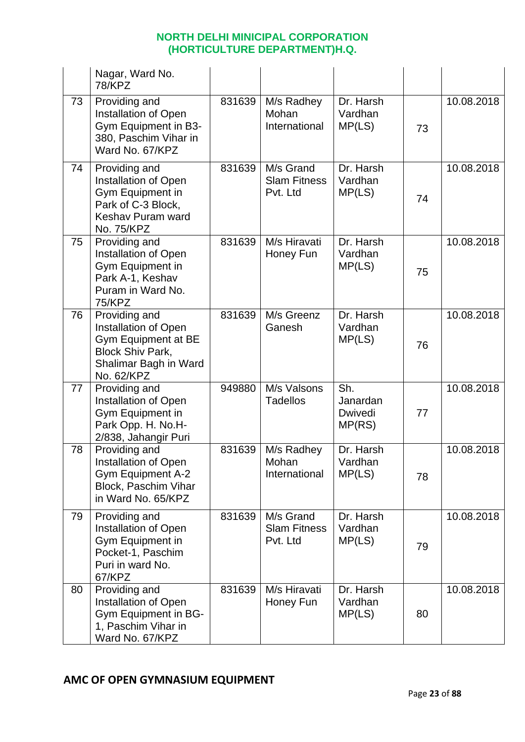|    | Nagar, Ward No.<br><b>78/KPZ</b>                                                                                               |        |                                              |                                      |    |            |
|----|--------------------------------------------------------------------------------------------------------------------------------|--------|----------------------------------------------|--------------------------------------|----|------------|
| 73 | Providing and<br>Installation of Open<br>Gym Equipment in B3-<br>380, Paschim Vihar in<br>Ward No. 67/KPZ                      | 831639 | M/s Radhey<br>Mohan<br>International         | Dr. Harsh<br>Vardhan<br>MP(LS)       | 73 | 10.08.2018 |
| 74 | Providing and<br><b>Installation of Open</b><br>Gym Equipment in<br>Park of C-3 Block,<br>Keshav Puram ward<br>No. 75/KPZ      | 831639 | M/s Grand<br><b>Slam Fitness</b><br>Pvt. Ltd | Dr. Harsh<br>Vardhan<br>MP(LS)       | 74 | 10.08.2018 |
| 75 | Providing and<br>Installation of Open<br>Gym Equipment in<br>Park A-1, Keshav<br>Puram in Ward No.<br><b>75/KPZ</b>            | 831639 | M/s Hiravati<br>Honey Fun                    | Dr. Harsh<br>Vardhan<br>MP(LS)       | 75 | 10.08.2018 |
| 76 | Providing and<br>Installation of Open<br>Gym Equipment at BE<br><b>Block Shiv Park,</b><br>Shalimar Bagh in Ward<br>No. 62/KPZ | 831639 | M/s Greenz<br>Ganesh                         | Dr. Harsh<br>Vardhan<br>MP(LS)       | 76 | 10.08.2018 |
| 77 | Providing and<br>Installation of Open<br>Gym Equipment in<br>Park Opp. H. No.H-<br>2/838, Jahangir Puri                        | 949880 | M/s Valsons<br><b>Tadellos</b>               | Sh.<br>Janardan<br>Dwivedi<br>MP(RS) | 77 | 10.08.2018 |
| 78 | Providing and<br>Installation of Open<br><b>Gym Equipment A-2</b><br>Block, Paschim Vihar<br>in Ward No. 65/KPZ                | 831639 | M/s Radhey<br>Mohan<br>International         | Dr. Harsh<br>Vardhan<br>MP(LS)       | 78 | 10.08.2018 |
| 79 | Providing and<br><b>Installation of Open</b><br>Gym Equipment in<br>Pocket-1, Paschim<br>Puri in ward No.<br>67/KPZ            | 831639 | M/s Grand<br><b>Slam Fitness</b><br>Pvt. Ltd | Dr. Harsh<br>Vardhan<br>MP(LS)       | 79 | 10.08.2018 |
| 80 | Providing and<br>Installation of Open<br>Gym Equipment in BG-<br>1, Paschim Vihar in<br>Ward No. 67/KPZ                        | 831639 | M/s Hiravati<br>Honey Fun                    | Dr. Harsh<br>Vardhan<br>MP(LS)       | 80 | 10.08.2018 |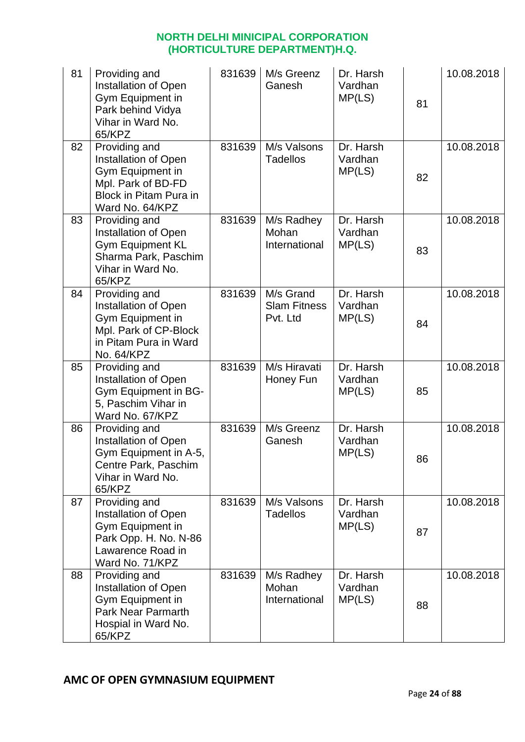| 81 | Providing and<br>Installation of Open<br>Gym Equipment in<br>Park behind Vidya<br>Vihar in Ward No.<br>65/KPZ                     | 831639 | M/s Greenz<br>Ganesh                         | Dr. Harsh<br>Vardhan<br>MP(LS) | 81 | 10.08.2018 |
|----|-----------------------------------------------------------------------------------------------------------------------------------|--------|----------------------------------------------|--------------------------------|----|------------|
| 82 | Providing and<br>Installation of Open<br>Gym Equipment in<br>Mpl. Park of BD-FD<br>Block in Pitam Pura in<br>Ward No. 64/KPZ      | 831639 | M/s Valsons<br><b>Tadellos</b>               | Dr. Harsh<br>Vardhan<br>MP(LS) | 82 | 10.08.2018 |
| 83 | Providing and<br>Installation of Open<br><b>Gym Equipment KL</b><br>Sharma Park, Paschim<br>Vihar in Ward No.<br>65/KPZ           | 831639 | M/s Radhey<br>Mohan<br>International         | Dr. Harsh<br>Vardhan<br>MP(LS) | 83 | 10.08.2018 |
| 84 | Providing and<br>Installation of Open<br>Gym Equipment in<br>Mpl. Park of CP-Block<br>in Pitam Pura in Ward<br>No. 64/KPZ         | 831639 | M/s Grand<br><b>Slam Fitness</b><br>Pvt. Ltd | Dr. Harsh<br>Vardhan<br>MP(LS) | 84 | 10.08.2018 |
| 85 | Providing and<br>Installation of Open<br>Gym Equipment in BG-<br>5, Paschim Vihar in<br>Ward No. 67/KPZ                           | 831639 | M/s Hiravati<br>Honey Fun                    | Dr. Harsh<br>Vardhan<br>MP(LS) | 85 | 10.08.2018 |
| 86 | Providing and<br>Installation of Open<br>Gym Equipment in A-5,<br>Centre Park, Paschim<br>Vihar in Ward No.<br>65/KPZ             | 831639 | M/s Greenz<br>Ganesh                         | Dr. Harsh<br>Vardhan<br>MP(LS) | 86 | 10.08.2018 |
| 87 | Providing and<br><b>Installation of Open</b><br>Gym Equipment in<br>Park Opp. H. No. N-86<br>Lawarence Road in<br>Ward No. 71/KPZ | 831639 | M/s Valsons<br><b>Tadellos</b>               | Dr. Harsh<br>Vardhan<br>MP(LS) | 87 | 10.08.2018 |
| 88 | Providing and<br>Installation of Open<br>Gym Equipment in<br><b>Park Near Parmarth</b><br>Hospial in Ward No.<br>65/KPZ           | 831639 | M/s Radhey<br>Mohan<br>International         | Dr. Harsh<br>Vardhan<br>MP(LS) | 88 | 10.08.2018 |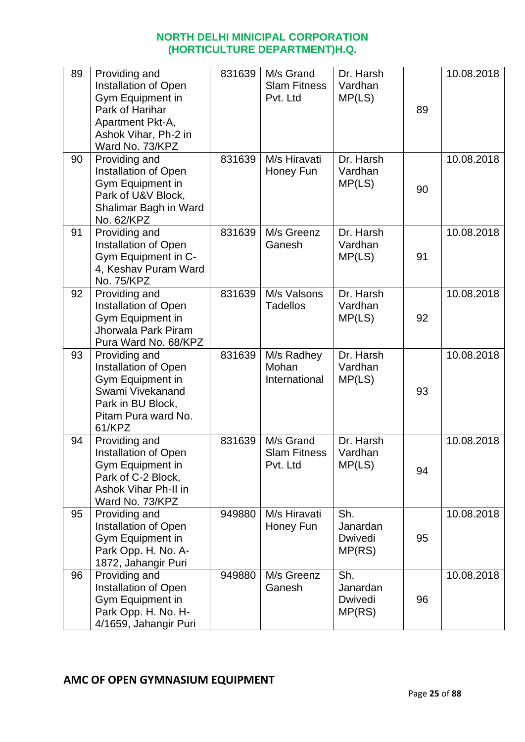| 89 | Providing and<br>Installation of Open<br><b>Gym Equipment in</b><br>Park of Harihar<br>Apartment Pkt-A,<br>Ashok Vihar, Ph-2 in<br>Ward No. 73/KPZ | 831639 | M/s Grand<br><b>Slam Fitness</b><br>Pvt. Ltd | Dr. Harsh<br>Vardhan<br>MP(LS)       | 89 | 10.08.2018 |
|----|----------------------------------------------------------------------------------------------------------------------------------------------------|--------|----------------------------------------------|--------------------------------------|----|------------|
| 90 | Providing and<br><b>Installation of Open</b><br>Gym Equipment in<br>Park of U&V Block,<br>Shalimar Bagh in Ward<br>No. 62/KPZ                      | 831639 | M/s Hiravati<br>Honey Fun                    | Dr. Harsh<br>Vardhan<br>MP(LS)       | 90 | 10.08.2018 |
| 91 | Providing and<br>Installation of Open<br>Gym Equipment in C-<br>4, Keshav Puram Ward<br>No. 75/KPZ                                                 | 831639 | M/s Greenz<br>Ganesh                         | Dr. Harsh<br>Vardhan<br>MP(LS)       | 91 | 10.08.2018 |
| 92 | Providing and<br>Installation of Open<br>Gym Equipment in<br>Jhorwala Park Piram<br>Pura Ward No. 68/KPZ                                           | 831639 | M/s Valsons<br><b>Tadellos</b>               | Dr. Harsh<br>Vardhan<br>MP(LS)       | 92 | 10.08.2018 |
| 93 | Providing and<br>Installation of Open<br>Gym Equipment in<br>Swami Vivekanand<br>Park in BU Block,<br>Pitam Pura ward No.<br>61/KPZ                | 831639 | M/s Radhey<br>Mohan<br>International         | Dr. Harsh<br>Vardhan<br>MP(LS)       | 93 | 10.08.2018 |
| 94 | Providing and<br>Installation of Open<br>Gym Equipment in<br>Park of C-2 Block,<br>Ashok Vihar Ph-II in<br>Ward No. 73/KPZ                         | 831639 | M/s Grand<br><b>Slam Fitness</b><br>Pvt. Ltd | Dr. Harsh<br>Vardhan<br>MP(LS)       | 94 | 10.08.2018 |
| 95 | Providing and<br>Installation of Open<br>Gym Equipment in<br>Park Opp. H. No. A-<br>1872, Jahangir Puri                                            | 949880 | M/s Hiravati<br>Honey Fun                    | Sh.<br>Janardan<br>Dwivedi<br>MP(RS) | 95 | 10.08.2018 |
| 96 | Providing and<br>Installation of Open<br>Gym Equipment in<br>Park Opp. H. No. H-<br>4/1659, Jahangir Puri                                          | 949880 | M/s Greenz<br>Ganesh                         | Sh.<br>Janardan<br>Dwivedi<br>MP(RS) | 96 | 10.08.2018 |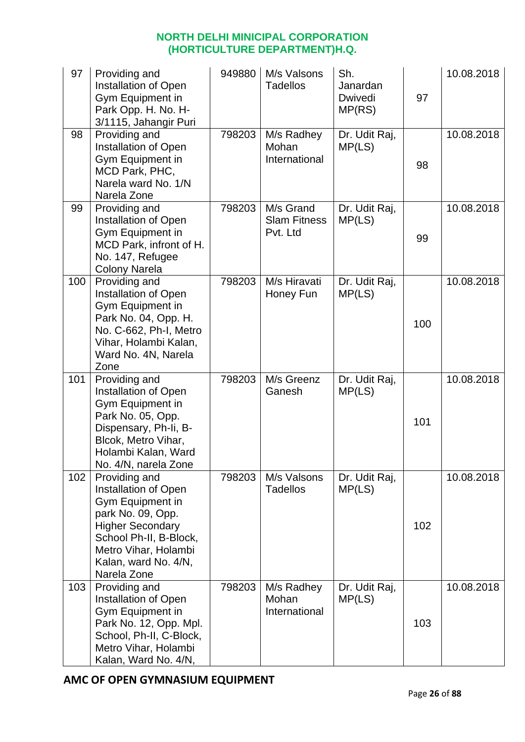| 97  | Providing and<br><b>Installation of Open</b><br>Gym Equipment in<br>Park Opp. H. No. H-<br>3/1115, Jahangir Puri                                                                                   | 949880 | M/s Valsons<br><b>Tadellos</b>               | Sh.<br>Janardan<br>Dwivedi<br>MP(RS) | 97  | 10.08.2018 |
|-----|----------------------------------------------------------------------------------------------------------------------------------------------------------------------------------------------------|--------|----------------------------------------------|--------------------------------------|-----|------------|
| 98  | Providing and<br>Installation of Open<br>Gym Equipment in<br>MCD Park, PHC,<br>Narela ward No. 1/N<br>Narela Zone                                                                                  | 798203 | M/s Radhey<br>Mohan<br>International         | Dr. Udit Raj,<br>MP(LS)              | 98  | 10.08.2018 |
| 99  | Providing and<br>Installation of Open<br>Gym Equipment in<br>MCD Park, infront of H.<br>No. 147, Refugee<br><b>Colony Narela</b>                                                                   | 798203 | M/s Grand<br><b>Slam Fitness</b><br>Pvt. Ltd | Dr. Udit Raj,<br>MP(LS)              | 99  | 10.08.2018 |
| 100 | Providing and<br>Installation of Open<br>Gym Equipment in<br>Park No. 04, Opp. H.<br>No. C-662, Ph-I, Metro<br>Vihar, Holambi Kalan,<br>Ward No. 4N, Narela<br>Zone                                | 798203 | M/s Hiravati<br>Honey Fun                    | Dr. Udit Raj,<br>MP(LS)              | 100 | 10.08.2018 |
| 101 | Providing and<br>Installation of Open<br>Gym Equipment in<br>Park No. 05, Opp.<br>Dispensary, Ph-Ii, B-<br>Blcok, Metro Vihar,<br>Holambi Kalan, Ward<br>No. 4/N, narela Zone                      | 798203 | M/s Greenz<br>Ganesh                         | Dr. Udit Raj,<br>MP(LS)              | 101 | 10.08.2018 |
| 102 | Providing and<br>Installation of Open<br>Gym Equipment in<br>park No. 09, Opp.<br><b>Higher Secondary</b><br>School Ph-II, B-Block,<br>Metro Vihar, Holambi<br>Kalan, ward No. 4/N,<br>Narela Zone | 798203 | M/s Valsons<br><b>Tadellos</b>               | Dr. Udit Raj,<br>MP(LS)              | 102 | 10.08.2018 |
| 103 | Providing and<br>Installation of Open<br>Gym Equipment in<br>Park No. 12, Opp. Mpl.<br>School, Ph-II, C-Block,<br>Metro Vihar, Holambi<br>Kalan, Ward No. 4/N,                                     | 798203 | M/s Radhey<br>Mohan<br>International         | Dr. Udit Raj,<br>MP(LS)              | 103 | 10.08.2018 |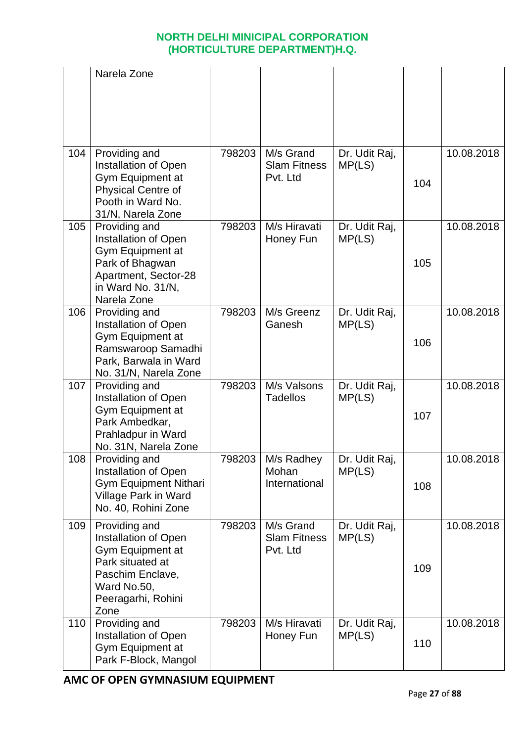|     | Narela Zone                                                                                                                                            |        |                                              |                         |     |            |
|-----|--------------------------------------------------------------------------------------------------------------------------------------------------------|--------|----------------------------------------------|-------------------------|-----|------------|
| 104 | Providing and<br>Installation of Open                                                                                                                  | 798203 | M/s Grand<br><b>Slam Fitness</b>             | Dr. Udit Raj,<br>MP(LS) |     | 10.08.2018 |
|     | Gym Equipment at<br><b>Physical Centre of</b><br>Pooth in Ward No.<br>31/N, Narela Zone                                                                |        | Pvt. Ltd                                     |                         | 104 |            |
| 105 | Providing and<br><b>Installation of Open</b><br><b>Gym Equipment at</b><br>Park of Bhagwan<br>Apartment, Sector-28<br>in Ward No. 31/N,<br>Narela Zone | 798203 | M/s Hiravati<br>Honey Fun                    | Dr. Udit Raj,<br>MP(LS) | 105 | 10.08.2018 |
| 106 | Providing and<br>Installation of Open<br>Gym Equipment at<br>Ramswaroop Samadhi<br>Park, Barwala in Ward<br>No. 31/N, Narela Zone                      | 798203 | M/s Greenz<br>Ganesh                         | Dr. Udit Raj,<br>MP(LS) | 106 | 10.08.2018 |
| 107 | Providing and<br>Installation of Open<br>Gym Equipment at<br>Park Ambedkar,<br>Prahladpur in Ward<br>No. 31N, Narela Zone                              | 798203 | M/s Valsons<br><b>Tadellos</b>               | Dr. Udit Raj,<br>MP(LS) | 107 | 10.08.2018 |
| 108 | Providing and<br><b>Installation of Open</b><br><b>Gym Equipment Nithari</b><br>Village Park in Ward<br>No. 40, Rohini Zone                            | 798203 | M/s Radhey<br>Mohan<br>International         | Dr. Udit Raj,<br>MP(LS) | 108 | 10.08.2018 |
| 109 | Providing and<br>Installation of Open<br><b>Gym Equipment at</b><br>Park situated at<br>Paschim Enclave,<br>Ward No.50,<br>Peeragarhi, Rohini<br>Zone  | 798203 | M/s Grand<br><b>Slam Fitness</b><br>Pvt. Ltd | Dr. Udit Raj,<br>MP(LS) | 109 | 10.08.2018 |
| 110 | Providing and<br>Installation of Open<br>Gym Equipment at<br>Park F-Block, Mangol                                                                      | 798203 | M/s Hiravati<br>Honey Fun                    | Dr. Udit Raj,<br>MP(LS) | 110 | 10.08.2018 |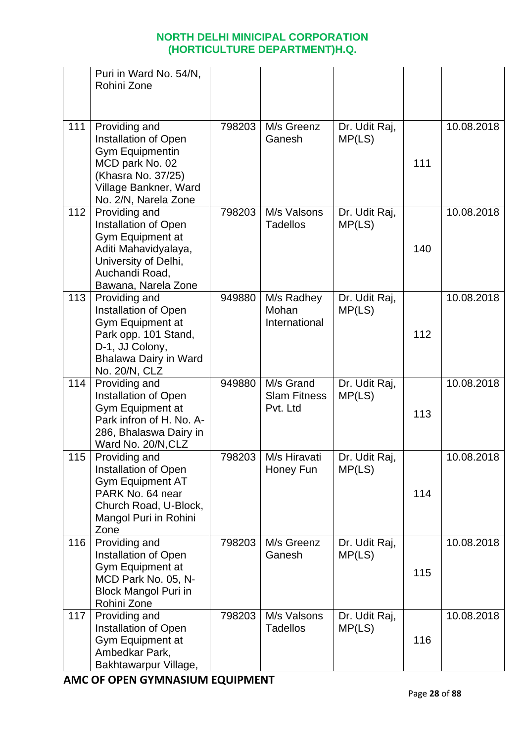|     | Puri in Ward No. 54/N,<br>Rohini Zone                                                                                                                     |        |                                              |                         |     |            |
|-----|-----------------------------------------------------------------------------------------------------------------------------------------------------------|--------|----------------------------------------------|-------------------------|-----|------------|
| 111 | Providing and<br>Installation of Open<br><b>Gym Equipmentin</b><br>MCD park No. 02<br>(Khasra No. 37/25)<br>Village Bankner, Ward<br>No. 2/N, Narela Zone | 798203 | M/s Greenz<br>Ganesh                         | Dr. Udit Raj,<br>MP(LS) | 111 | 10.08.2018 |
| 112 | Providing and<br>Installation of Open<br>Gym Equipment at<br>Aditi Mahavidyalaya,<br>University of Delhi,<br>Auchandi Road,<br>Bawana, Narela Zone        | 798203 | M/s Valsons<br><b>Tadellos</b>               | Dr. Udit Raj,<br>MP(LS) | 140 | 10.08.2018 |
| 113 | Providing and<br>Installation of Open<br>Gym Equipment at<br>Park opp. 101 Stand,<br>D-1, JJ Colony,<br><b>Bhalawa Dairy in Ward</b><br>No. 20/N, CLZ     | 949880 | M/s Radhey<br>Mohan<br>International         | Dr. Udit Raj,<br>MP(LS) | 112 | 10.08.2018 |
| 114 | Providing and<br>Installation of Open<br>Gym Equipment at<br>Park infron of H. No. A-<br>286, Bhalaswa Dairy in<br>Ward No. 20/N, CLZ                     | 949880 | M/s Grand<br><b>Slam Fitness</b><br>Pvt. Ltd | Dr. Udit Raj,<br>MP(LS) | 113 | 10.08.2018 |
| 115 | Providing and<br>Installation of Open<br><b>Gym Equipment AT</b><br>PARK No. 64 near<br>Church Road, U-Block,<br>Mangol Puri in Rohini<br>Zone            | 798203 | M/s Hiravati<br>Honey Fun                    | Dr. Udit Raj,<br>MP(LS) | 114 | 10.08.2018 |
| 116 | Providing and<br><b>Installation of Open</b><br>Gym Equipment at<br>MCD Park No. 05, N-<br><b>Block Mangol Puri in</b><br>Rohini Zone                     | 798203 | M/s Greenz<br>Ganesh                         | Dr. Udit Raj,<br>MP(LS) | 115 | 10.08.2018 |
| 117 | Providing and<br>Installation of Open<br>Gym Equipment at<br>Ambedkar Park,<br>Bakhtawarpur Village,                                                      | 798203 | M/s Valsons<br><b>Tadellos</b>               | Dr. Udit Raj,<br>MP(LS) | 116 | 10.08.2018 |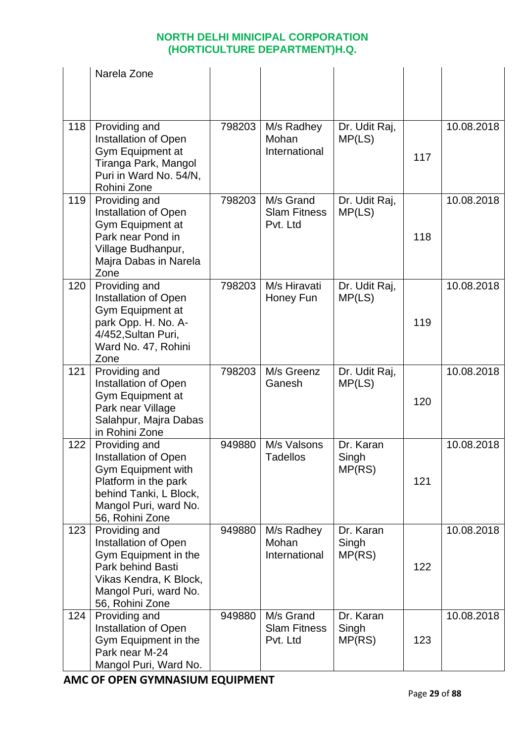|     | Narela Zone                                                                                                                                                             |        |                                              |                              |     |            |
|-----|-------------------------------------------------------------------------------------------------------------------------------------------------------------------------|--------|----------------------------------------------|------------------------------|-----|------------|
| 118 | Providing and<br>Installation of Open<br>Gym Equipment at<br>Tiranga Park, Mangol<br>Puri in Ward No. 54/N,<br>Rohini Zone                                              | 798203 | M/s Radhey<br>Mohan<br>International         | Dr. Udit Raj,<br>MP(LS)      | 117 | 10.08.2018 |
| 119 | Providing and<br>Installation of Open<br>Gym Equipment at<br>Park near Pond in<br>Village Budhanpur,<br>Majra Dabas in Narela<br>Zone                                   | 798203 | M/s Grand<br><b>Slam Fitness</b><br>Pvt. Ltd | Dr. Udit Raj,<br>MP(LS)      | 118 | 10.08.2018 |
| 120 | Providing and<br>Installation of Open<br>Gym Equipment at<br>park Opp. H. No. A-<br>4/452, Sultan Puri,<br>Ward No. 47, Rohini<br>Zone                                  | 798203 | M/s Hiravati<br>Honey Fun                    | Dr. Udit Raj,<br>MP(LS)      | 119 | 10.08.2018 |
| 121 | Providing and<br>Installation of Open<br>Gym Equipment at<br>Park near Village<br>Salahpur, Majra Dabas<br>in Rohini Zone                                               | 798203 | M/s Greenz<br>Ganesh                         | Dr. Udit Raj,<br>MP(LS)      | 120 | 10.08.2018 |
| 122 | Providing and<br><b>Installation of Open</b><br><b>Gym Equipment with</b><br>Platform in the park<br>behind Tanki, L Block,<br>Mangol Puri, ward No.<br>56, Rohini Zone | 949880 | M/s Valsons<br><b>Tadellos</b>               | Dr. Karan<br>Singh<br>MP(RS) | 121 | 10.08.2018 |
| 123 | Providing and<br>Installation of Open<br>Gym Equipment in the<br>Park behind Basti<br>Vikas Kendra, K Block,<br>Mangol Puri, ward No.<br>56, Rohini Zone                | 949880 | M/s Radhey<br>Mohan<br>International         | Dr. Karan<br>Singh<br>MP(RS) | 122 | 10.08.2018 |
| 124 | Providing and<br>Installation of Open<br>Gym Equipment in the<br>Park near M-24<br>Mangol Puri, Ward No.                                                                | 949880 | M/s Grand<br><b>Slam Fitness</b><br>Pvt. Ltd | Dr. Karan<br>Singh<br>MP(RS) | 123 | 10.08.2018 |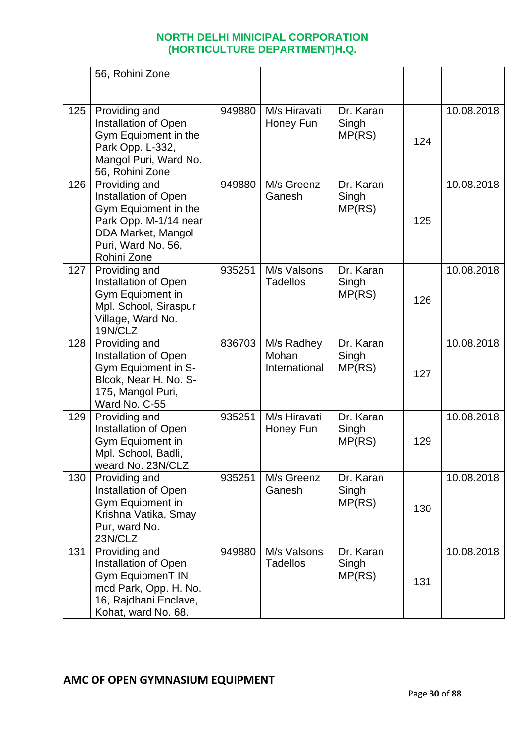|     | 56, Rohini Zone                                                                                                                                   |        |                                      |                              |     |            |
|-----|---------------------------------------------------------------------------------------------------------------------------------------------------|--------|--------------------------------------|------------------------------|-----|------------|
| 125 | Providing and<br>Installation of Open<br>Gym Equipment in the<br>Park Opp. L-332,<br>Mangol Puri, Ward No.<br>56, Rohini Zone                     | 949880 | M/s Hiravati<br>Honey Fun            | Dr. Karan<br>Singh<br>MP(RS) | 124 | 10.08.2018 |
| 126 | Providing and<br>Installation of Open<br>Gym Equipment in the<br>Park Opp. M-1/14 near<br>DDA Market, Mangol<br>Puri, Ward No. 56,<br>Rohini Zone | 949880 | M/s Greenz<br>Ganesh                 | Dr. Karan<br>Singh<br>MP(RS) | 125 | 10.08.2018 |
| 127 | Providing and<br>Installation of Open<br>Gym Equipment in<br>Mpl. School, Siraspur<br>Village, Ward No.<br>19N/CLZ                                | 935251 | M/s Valsons<br><b>Tadellos</b>       | Dr. Karan<br>Singh<br>MP(RS) | 126 | 10.08.2018 |
| 128 | Providing and<br>Installation of Open<br>Gym Equipment in S-<br>Blcok, Near H. No. S-<br>175, Mangol Puri,<br>Ward No. C-55                       | 836703 | M/s Radhey<br>Mohan<br>International | Dr. Karan<br>Singh<br>MP(RS) | 127 | 10.08.2018 |
| 129 | Providing and<br>Installation of Open<br>Gym Equipment in<br>Mpl. School, Badli,<br>weard No. 23N/CLZ                                             | 935251 | M/s Hiravati<br>Honey Fun            | Dr. Karan<br>Singh<br>MP(RS) | 129 | 10.08.2018 |
| 130 | Providing and<br>Installation of Open<br>Gym Equipment in<br>Krishna Vatika, Smay<br>Pur, ward No.<br>23N/CLZ                                     | 935251 | M/s Greenz<br>Ganesh                 | Dr. Karan<br>Singh<br>MP(RS) | 130 | 10.08.2018 |
| 131 | Providing and<br><b>Installation of Open</b><br><b>Gym EquipmenT IN</b><br>mcd Park, Opp. H. No.<br>16, Rajdhani Enclave,<br>Kohat, ward No. 68.  | 949880 | M/s Valsons<br><b>Tadellos</b>       | Dr. Karan<br>Singh<br>MP(RS) | 131 | 10.08.2018 |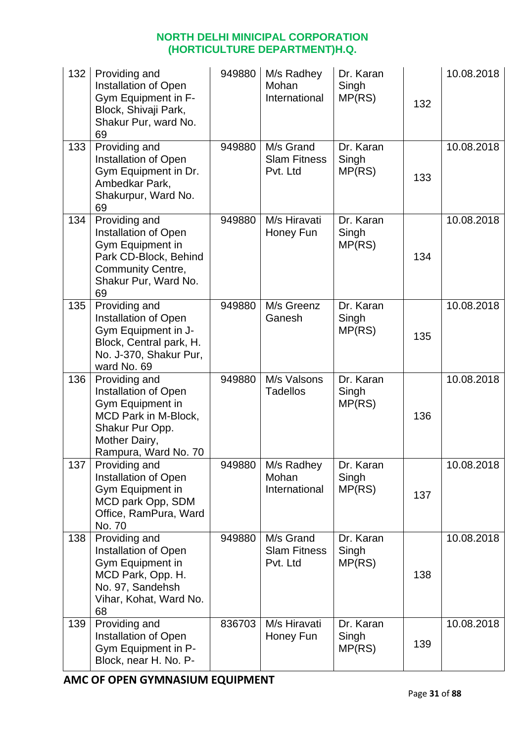| 132 | Providing and<br>Installation of Open<br>Gym Equipment in F-<br>Block, Shivaji Park,<br>Shakur Pur, ward No.<br>69                            | 949880 | M/s Radhey<br>Mohan<br>International         | Dr. Karan<br>Singh<br>MP(RS) | 132 | 10.08.2018 |
|-----|-----------------------------------------------------------------------------------------------------------------------------------------------|--------|----------------------------------------------|------------------------------|-----|------------|
| 133 | Providing and<br>Installation of Open<br>Gym Equipment in Dr.<br>Ambedkar Park,<br>Shakurpur, Ward No.<br>69                                  | 949880 | M/s Grand<br><b>Slam Fitness</b><br>Pvt. Ltd | Dr. Karan<br>Singh<br>MP(RS) | 133 | 10.08.2018 |
| 134 | Providing and<br>Installation of Open<br>Gym Equipment in<br>Park CD-Block, Behind<br><b>Community Centre,</b><br>Shakur Pur, Ward No.<br>69  | 949880 | M/s Hiravati<br>Honey Fun                    | Dr. Karan<br>Singh<br>MP(RS) | 134 | 10.08.2018 |
| 135 | Providing and<br>Installation of Open<br>Gym Equipment in J-<br>Block, Central park, H.<br>No. J-370, Shakur Pur,<br>ward No. 69              | 949880 | M/s Greenz<br>Ganesh                         | Dr. Karan<br>Singh<br>MP(RS) | 135 | 10.08.2018 |
| 136 | Providing and<br>Installation of Open<br>Gym Equipment in<br>MCD Park in M-Block,<br>Shakur Pur Opp.<br>Mother Dairy,<br>Rampura, Ward No. 70 | 949880 | M/s Valsons<br><b>Tadellos</b>               | Dr. Karan<br>Singh<br>MP(RS) | 136 | 10.08.2018 |
| 137 | Providing and<br>Installation of Open<br>Gym Equipment in<br>MCD park Opp, SDM<br>Office, RamPura, Ward<br>No. 70                             | 949880 | M/s Radhey<br>Mohan<br>International         | Dr. Karan<br>Singh<br>MP(RS) | 137 | 10.08.2018 |
| 138 | Providing and<br>Installation of Open<br>Gym Equipment in<br>MCD Park, Opp. H.<br>No. 97, Sandehsh<br>Vihar, Kohat, Ward No.<br>68            | 949880 | M/s Grand<br><b>Slam Fitness</b><br>Pvt. Ltd | Dr. Karan<br>Singh<br>MP(RS) | 138 | 10.08.2018 |
| 139 | Providing and<br>Installation of Open<br>Gym Equipment in P-<br>Block, near H. No. P-                                                         | 836703 | M/s Hiravati<br>Honey Fun                    | Dr. Karan<br>Singh<br>MP(RS) | 139 | 10.08.2018 |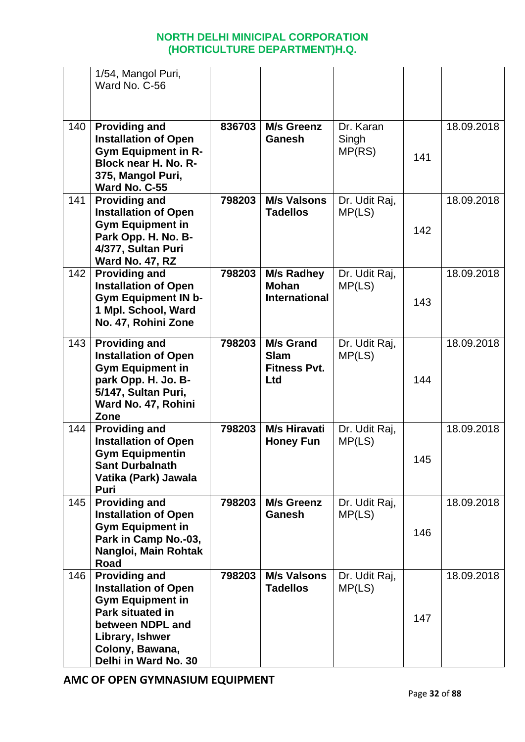|     | 1/54, Mangol Puri,<br>Ward No. C-56                                                                                                                                                         |        |                                                               |                              |     |            |
|-----|---------------------------------------------------------------------------------------------------------------------------------------------------------------------------------------------|--------|---------------------------------------------------------------|------------------------------|-----|------------|
| 140 | <b>Providing and</b><br><b>Installation of Open</b><br><b>Gym Equipment in R-</b><br>Block near H. No. R-<br>375, Mangol Puri,<br>Ward No. C-55                                             | 836703 | <b>M/s Greenz</b><br><b>Ganesh</b>                            | Dr. Karan<br>Singh<br>MP(RS) | 141 | 18.09.2018 |
| 141 | <b>Providing and</b><br><b>Installation of Open</b><br><b>Gym Equipment in</b><br>Park Opp. H. No. B-<br>4/377, Sultan Puri<br>Ward No. 47, RZ                                              | 798203 | <b>M/s Valsons</b><br><b>Tadellos</b>                         | Dr. Udit Raj,<br>MP(LS)      | 142 | 18.09.2018 |
| 142 | <b>Providing and</b><br><b>Installation of Open</b><br><b>Gym Equipment IN b-</b><br>1 Mpl. School, Ward<br>No. 47, Rohini Zone                                                             | 798203 | <b>M/s Radhey</b><br><b>Mohan</b><br><b>International</b>     | Dr. Udit Raj,<br>MP(LS)      | 143 | 18.09.2018 |
| 143 | <b>Providing and</b><br><b>Installation of Open</b><br><b>Gym Equipment in</b><br>park Opp. H. Jo. B-<br>5/147, Sultan Puri,<br>Ward No. 47, Rohini<br>Zone                                 | 798203 | <b>M/s Grand</b><br><b>Slam</b><br><b>Fitness Pvt.</b><br>Ltd | Dr. Udit Raj,<br>MP(LS)      | 144 | 18.09.2018 |
| 144 | <b>Providing and</b><br><b>Installation of Open</b><br><b>Gym Equipmentin</b><br><b>Sant Durbalnath</b><br>Vatika (Park) Jawala<br>Puri                                                     | 798203 | <b>M/s Hiravati</b><br><b>Honey Fun</b>                       | Dr. Udit Raj,<br>MP(LS)      | 145 | 18.09.2018 |
| 145 | <b>Providing and</b><br><b>Installation of Open</b><br><b>Gym Equipment in</b><br>Park in Camp No.-03,<br>Nangloi, Main Rohtak<br>Road                                                      | 798203 | M/s Greenz<br><b>Ganesh</b>                                   | Dr. Udit Raj,<br>MP(LS)      | 146 | 18.09.2018 |
| 146 | <b>Providing and</b><br><b>Installation of Open</b><br><b>Gym Equipment in</b><br><b>Park situated in</b><br>between NDPL and<br>Library, Ishwer<br>Colony, Bawana,<br>Delhi in Ward No. 30 | 798203 | <b>M/s Valsons</b><br><b>Tadellos</b>                         | Dr. Udit Raj,<br>MP(LS)      | 147 | 18.09.2018 |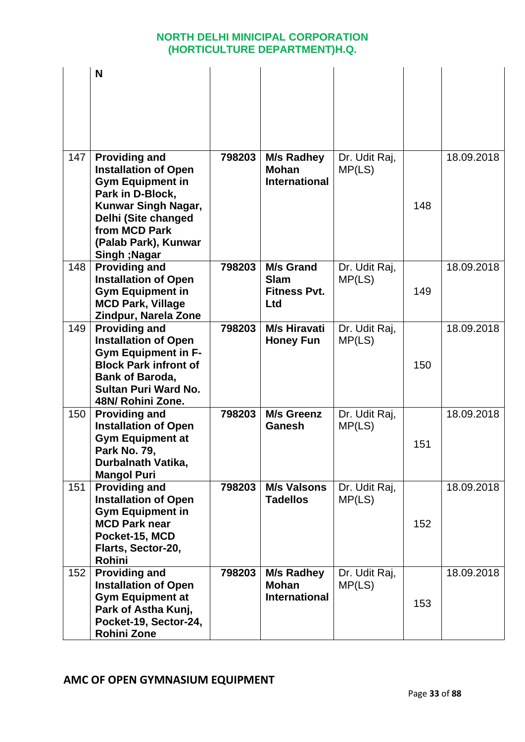|     | N                                                                                                                                                                                               |        |                                                               |                         |     |            |
|-----|-------------------------------------------------------------------------------------------------------------------------------------------------------------------------------------------------|--------|---------------------------------------------------------------|-------------------------|-----|------------|
|     |                                                                                                                                                                                                 |        |                                                               |                         |     |            |
|     |                                                                                                                                                                                                 |        |                                                               |                         |     |            |
| 147 | <b>Providing and</b><br><b>Installation of Open</b><br><b>Gym Equipment in</b><br>Park in D-Block,<br><b>Kunwar Singh Nagar,</b><br>Delhi (Site changed<br>from MCD Park                        | 798203 | <b>M/s Radhey</b><br><b>Mohan</b><br><b>International</b>     | Dr. Udit Raj,<br>MP(LS) | 148 | 18.09.2018 |
|     | (Palab Park), Kunwar<br>Singh; Nagar                                                                                                                                                            |        |                                                               |                         |     |            |
| 148 | <b>Providing and</b><br><b>Installation of Open</b><br><b>Gym Equipment in</b><br><b>MCD Park, Village</b><br>Zindpur, Narela Zone                                                              | 798203 | <b>M/s Grand</b><br><b>Slam</b><br><b>Fitness Pvt.</b><br>Ltd | Dr. Udit Raj,<br>MP(LS) | 149 | 18.09.2018 |
| 149 | <b>Providing and</b><br><b>Installation of Open</b><br><b>Gym Equipment in F-</b><br><b>Block Park infront of</b><br><b>Bank of Baroda,</b><br><b>Sultan Puri Ward No.</b><br>48N/ Rohini Zone. | 798203 | <b>M/s Hiravati</b><br><b>Honey Fun</b>                       | Dr. Udit Raj,<br>MP(LS) | 150 | 18.09.2018 |
| 150 | <b>Providing and</b><br><b>Installation of Open</b><br><b>Gym Equipment at</b><br><b>Park No. 79,</b><br>Durbalnath Vatika,<br><b>Mangol Puri</b>                                               | 798203 | <b>M/s Greenz</b><br>Ganesh                                   | Dr. Udit Raj,<br>MP(LS) | 151 | 18.09.2018 |
| 151 | <b>Providing and</b><br><b>Installation of Open</b><br><b>Gym Equipment in</b><br><b>MCD Park near</b><br>Pocket-15, MCD<br>Flarts, Sector-20,<br>Rohini                                        | 798203 | <b>M/s Valsons</b><br><b>Tadellos</b>                         | Dr. Udit Raj,<br>MP(LS) | 152 | 18.09.2018 |
| 152 | <b>Providing and</b><br><b>Installation of Open</b><br><b>Gym Equipment at</b><br>Park of Astha Kunj,<br>Pocket-19, Sector-24,<br><b>Rohini Zone</b>                                            | 798203 | <b>M/s Radhey</b><br><b>Mohan</b><br><b>International</b>     | Dr. Udit Raj,<br>MP(LS) | 153 | 18.09.2018 |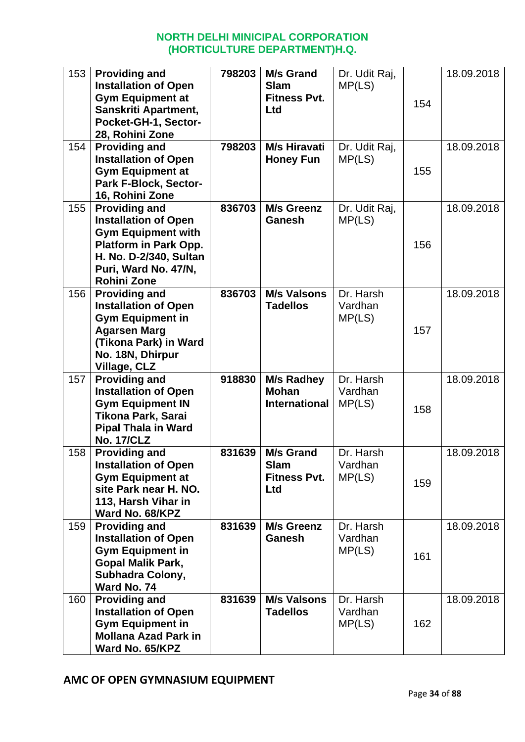| 153<br>154 | <b>Providing and</b><br><b>Installation of Open</b><br><b>Gym Equipment at</b><br>Sanskriti Apartment,<br>Pocket-GH-1, Sector-<br>28, Rohini Zone<br><b>Providing and</b>                | 798203<br>798203 | <b>M/s Grand</b><br><b>Slam</b><br><b>Fitness Pvt.</b><br>Ltd<br>M/s Hiravati | Dr. Udit Raj,<br>MP(LS)<br>Dr. Udit Raj, | 154 | 18.09.2018<br>18.09.2018 |
|------------|------------------------------------------------------------------------------------------------------------------------------------------------------------------------------------------|------------------|-------------------------------------------------------------------------------|------------------------------------------|-----|--------------------------|
|            | <b>Installation of Open</b><br><b>Gym Equipment at</b><br>Park F-Block, Sector-<br>16, Rohini Zone                                                                                       |                  | <b>Honey Fun</b>                                                              | MP(LS)                                   | 155 |                          |
| 155        | <b>Providing and</b><br><b>Installation of Open</b><br><b>Gym Equipment with</b><br><b>Platform in Park Opp.</b><br>H. No. D-2/340, Sultan<br>Puri, Ward No. 47/N,<br><b>Rohini Zone</b> | 836703           | <b>M/s Greenz</b><br><b>Ganesh</b>                                            | Dr. Udit Raj,<br>MP(LS)                  | 156 | 18.09.2018               |
| 156        | <b>Providing and</b><br><b>Installation of Open</b><br><b>Gym Equipment in</b><br><b>Agarsen Marg</b><br>(Tikona Park) in Ward<br>No. 18N, Dhirpur<br><b>Village, CLZ</b>                | 836703           | <b>M/s Valsons</b><br><b>Tadellos</b>                                         | Dr. Harsh<br>Vardhan<br>MP(LS)           | 157 | 18.09.2018               |
| 157        | <b>Providing and</b><br><b>Installation of Open</b><br><b>Gym Equipment IN</b><br><b>Tikona Park, Sarai</b><br><b>Pipal Thala in Ward</b><br><b>No. 17/CLZ</b>                           | 918830           | <b>M/s Radhey</b><br><b>Mohan</b><br><b>International</b>                     | Dr. Harsh<br>Vardhan<br>MP(LS)           | 158 | 18.09.2018               |
| 158        | <b>Providing and</b><br><b>Installation of Open</b><br><b>Gym Equipment at</b><br>site Park near H. NO.<br>113, Harsh Vihar in<br>Ward No. 68/KPZ                                        | 831639           | <b>M/s Grand</b><br><b>Slam</b><br><b>Fitness Pvt.</b><br>Ltd                 | Dr. Harsh<br>Vardhan<br>MP(LS)           | 159 | 18.09.2018               |
| 159        | <b>Providing and</b><br><b>Installation of Open</b><br><b>Gym Equipment in</b><br><b>Gopal Malik Park,</b><br><b>Subhadra Colony,</b><br>Ward No. 74                                     | 831639           | <b>M/s Greenz</b><br><b>Ganesh</b>                                            | Dr. Harsh<br>Vardhan<br>MP(LS)           | 161 | 18.09.2018               |
| 160        | <b>Providing and</b><br><b>Installation of Open</b><br><b>Gym Equipment in</b><br><b>Mollana Azad Park in</b><br>Ward No. 65/KPZ                                                         | 831639           | <b>M/s Valsons</b><br><b>Tadellos</b>                                         | Dr. Harsh<br>Vardhan<br>MP(LS)           | 162 | 18.09.2018               |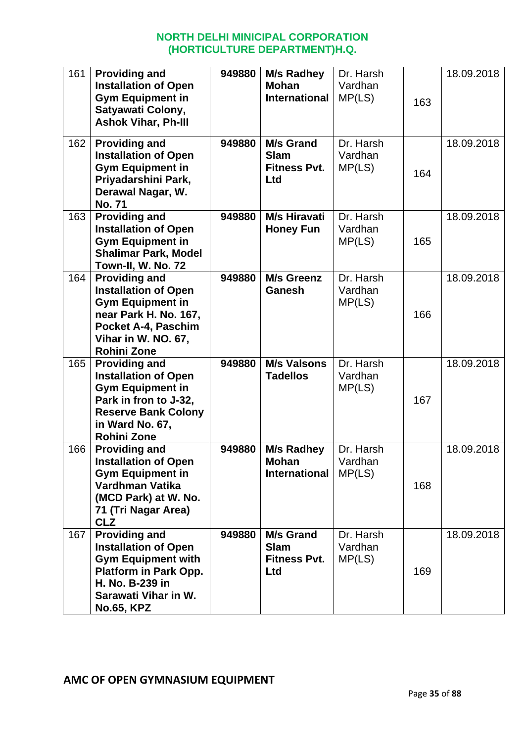| 161 | <b>Providing and</b><br><b>Installation of Open</b><br><b>Gym Equipment in</b><br>Satyawati Colony,<br><b>Ashok Vihar, Ph-III</b>                                                | 949880 | M/s Radhey<br><b>Mohan</b><br><b>International</b>            | Dr. Harsh<br>Vardhan<br>MP(LS) | 163 | 18.09.2018 |
|-----|----------------------------------------------------------------------------------------------------------------------------------------------------------------------------------|--------|---------------------------------------------------------------|--------------------------------|-----|------------|
| 162 | <b>Providing and</b><br><b>Installation of Open</b><br><b>Gym Equipment in</b><br>Priyadarshini Park,<br>Derawal Nagar, W.<br><b>No. 71</b>                                      | 949880 | <b>M/s Grand</b><br><b>Slam</b><br><b>Fitness Pvt.</b><br>Ltd | Dr. Harsh<br>Vardhan<br>MP(LS) | 164 | 18.09.2018 |
| 163 | <b>Providing and</b><br><b>Installation of Open</b><br><b>Gym Equipment in</b><br><b>Shalimar Park, Model</b><br>Town-II, W. No. 72                                              | 949880 | <b>M/s Hiravati</b><br><b>Honey Fun</b>                       | Dr. Harsh<br>Vardhan<br>MP(LS) | 165 | 18.09.2018 |
| 164 | <b>Providing and</b><br><b>Installation of Open</b><br><b>Gym Equipment in</b><br>near Park H. No. 167,<br>Pocket A-4, Paschim<br>Vihar in W. NO. 67,<br><b>Rohini Zone</b>      | 949880 | <b>M/s Greenz</b><br><b>Ganesh</b>                            | Dr. Harsh<br>Vardhan<br>MP(LS) | 166 | 18.09.2018 |
| 165 | <b>Providing and</b><br><b>Installation of Open</b><br><b>Gym Equipment in</b><br>Park in fron to J-32,<br><b>Reserve Bank Colony</b><br>in Ward No. 67,<br><b>Rohini Zone</b>   | 949880 | <b>M/s Valsons</b><br><b>Tadellos</b>                         | Dr. Harsh<br>Vardhan<br>MP(LS) | 167 | 18.09.2018 |
| 166 | <b>Providing and</b><br><b>Installation of Open</b><br><b>Gym Equipment in</b><br>Vardhman Vatika<br>(MCD Park) at W. No.<br>71 (Tri Nagar Area)<br><b>CLZ</b>                   | 949880 | <b>M/s Radhey</b><br><b>Mohan</b><br><b>International</b>     | Dr. Harsh<br>Vardhan<br>MP(LS) | 168 | 18.09.2018 |
| 167 | <b>Providing and</b><br><b>Installation of Open</b><br><b>Gym Equipment with</b><br><b>Platform in Park Opp.</b><br>H. No. B-239 in<br>Sarawati Vihar in W.<br><b>No.65, KPZ</b> | 949880 | <b>M/s Grand</b><br><b>Slam</b><br><b>Fitness Pvt.</b><br>Ltd | Dr. Harsh<br>Vardhan<br>MP(LS) | 169 | 18.09.2018 |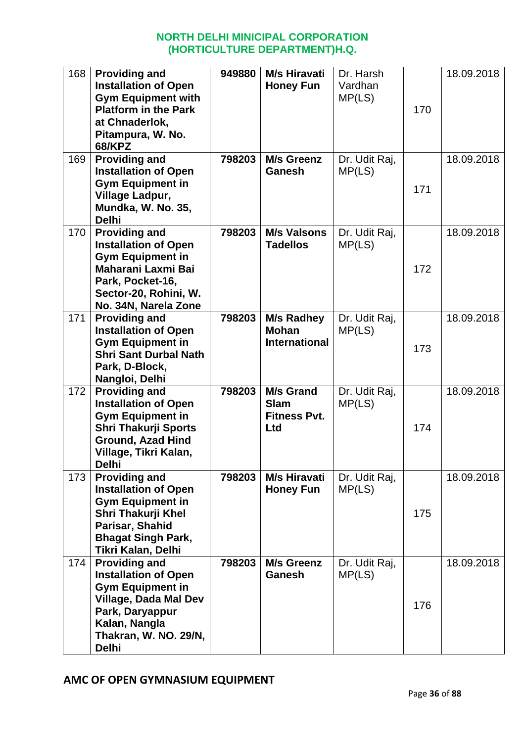| 168 | <b>Providing and</b><br><b>Installation of Open</b><br><b>Gym Equipment with</b><br><b>Platform in the Park</b><br>at Chnaderlok,<br>Pitampura, W. No.<br><b>68/KPZ</b>                     | 949880 | <b>M/s Hiravati</b><br><b>Honey Fun</b>                       | Dr. Harsh<br>Vardhan<br>MP(LS) | 170 | 18.09.2018 |
|-----|---------------------------------------------------------------------------------------------------------------------------------------------------------------------------------------------|--------|---------------------------------------------------------------|--------------------------------|-----|------------|
| 169 | <b>Providing and</b><br><b>Installation of Open</b><br><b>Gym Equipment in</b><br>Village Ladpur,<br>Mundka, W. No. 35,<br><b>Delhi</b>                                                     | 798203 | M/s Greenz<br><b>Ganesh</b>                                   | Dr. Udit Raj,<br>MP(LS)        | 171 | 18.09.2018 |
| 170 | <b>Providing and</b><br><b>Installation of Open</b><br><b>Gym Equipment in</b><br>Maharani Laxmi Bai<br>Park, Pocket-16,<br>Sector-20, Rohini, W.<br>No. 34N, Narela Zone                   | 798203 | <b>M/s Valsons</b><br><b>Tadellos</b>                         | Dr. Udit Raj,<br>MP(LS)        | 172 | 18.09.2018 |
| 171 | <b>Providing and</b><br><b>Installation of Open</b><br><b>Gym Equipment in</b><br><b>Shri Sant Durbal Nath</b><br>Park, D-Block,<br>Nangloi, Delhi                                          | 798203 | <b>M/s Radhey</b><br><b>Mohan</b><br><b>International</b>     | Dr. Udit Raj,<br>MP(LS)        | 173 | 18.09.2018 |
| 172 | <b>Providing and</b><br><b>Installation of Open</b><br><b>Gym Equipment in</b><br><b>Shri Thakurji Sports</b><br><b>Ground, Azad Hind</b><br>Village, Tikri Kalan,<br><b>Delhi</b>          | 798203 | <b>M/s Grand</b><br><b>Slam</b><br><b>Fitness Pvt.</b><br>Ltd | Dr. Udit Raj,<br>MP(LS)        | 174 | 18.09.2018 |
| 173 | <b>Providing and</b><br><b>Installation of Open</b><br><b>Gym Equipment in</b><br>Shri Thakurji Khel<br>Parisar, Shahid<br><b>Bhagat Singh Park,</b><br>Tikri Kalan, Delhi                  | 798203 | <b>M/s Hiravati</b><br><b>Honey Fun</b>                       | Dr. Udit Raj,<br>MP(LS)        | 175 | 18.09.2018 |
| 174 | <b>Providing and</b><br><b>Installation of Open</b><br><b>Gym Equipment in</b><br><b>Village, Dada Mal Dev</b><br>Park, Daryappur<br>Kalan, Nangla<br>Thakran, W. NO. 29/N,<br><b>Delhi</b> | 798203 | <b>M/s Greenz</b><br><b>Ganesh</b>                            | Dr. Udit Raj,<br>MP(LS)        | 176 | 18.09.2018 |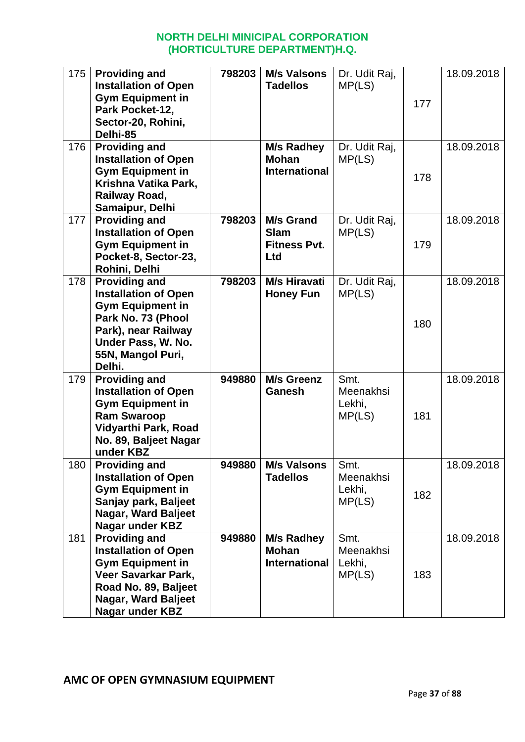| 175 | <b>Providing and</b><br><b>Installation of Open</b><br><b>Gym Equipment in</b><br>Park Pocket-12,<br>Sector-20, Rohini,<br>Delhi-85                                              | 798203 | <b>M/s Valsons</b><br><b>Tadellos</b>                         | Dr. Udit Raj,<br>MP(LS)               | 177 | 18.09.2018 |
|-----|----------------------------------------------------------------------------------------------------------------------------------------------------------------------------------|--------|---------------------------------------------------------------|---------------------------------------|-----|------------|
| 176 | <b>Providing and</b><br><b>Installation of Open</b><br><b>Gym Equipment in</b><br>Krishna Vatika Park,<br>Railway Road,<br>Samaipur, Delhi                                       |        | <b>M/s Radhey</b><br><b>Mohan</b><br><b>International</b>     | Dr. Udit Raj,<br>MP(LS)               | 178 | 18.09.2018 |
| 177 | <b>Providing and</b><br><b>Installation of Open</b><br><b>Gym Equipment in</b><br>Pocket-8, Sector-23,<br>Rohini, Delhi                                                          | 798203 | <b>M/s Grand</b><br><b>Slam</b><br><b>Fitness Pvt.</b><br>Ltd | Dr. Udit Raj,<br>MP(LS)               | 179 | 18.09.2018 |
| 178 | <b>Providing and</b><br><b>Installation of Open</b><br><b>Gym Equipment in</b><br>Park No. 73 (Phool<br>Park), near Railway<br>Under Pass, W. No.<br>55N, Mangol Puri,<br>Delhi. | 798203 | <b>M/s Hiravati</b><br><b>Honey Fun</b>                       | Dr. Udit Raj,<br>MP(LS)               | 180 | 18.09.2018 |
| 179 | <b>Providing and</b><br><b>Installation of Open</b><br><b>Gym Equipment in</b><br><b>Ram Swaroop</b><br>Vidyarthi Park, Road<br>No. 89, Baljeet Nagar<br>under KBZ               | 949880 | <b>M/s Greenz</b><br><b>Ganesh</b>                            | Smt.<br>Meenakhsi<br>Lekhi,<br>MP(LS) | 181 | 18.09.2018 |
| 180 | <b>Providing and</b><br><b>Installation of Open</b><br><b>Gym Equipment in</b><br>Sanjay park, Baljeet<br>Nagar, Ward Baljeet<br>Nagar under KBZ                                 | 949880 | <b>M/s Valsons</b><br><b>Tadellos</b>                         | Smt.<br>Meenakhsi<br>Lekhi,<br>MP(LS) | 182 | 18.09.2018 |
| 181 | <b>Providing and</b><br><b>Installation of Open</b><br><b>Gym Equipment in</b><br>Veer Savarkar Park,<br>Road No. 89, Baljeet<br>Nagar, Ward Baljeet<br><b>Nagar under KBZ</b>   | 949880 | <b>M/s Radhey</b><br><b>Mohan</b><br><b>International</b>     | Smt.<br>Meenakhsi<br>Lekhi,<br>MP(LS) | 183 | 18.09.2018 |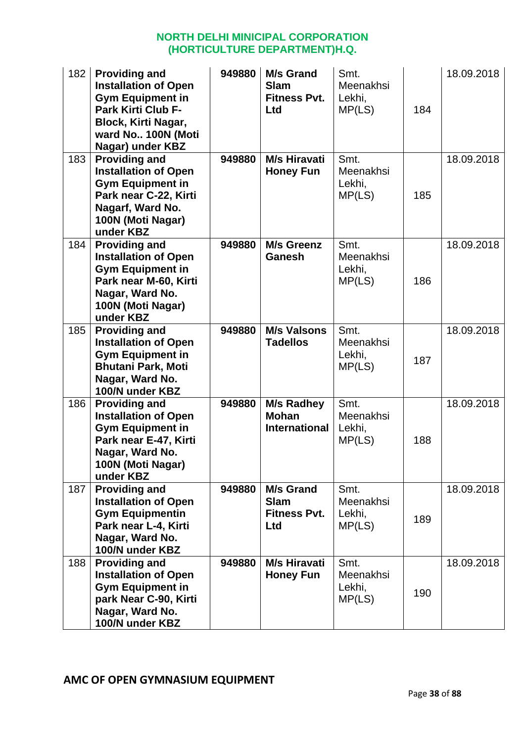| 182 | <b>Providing and</b><br><b>Installation of Open</b><br><b>Gym Equipment in</b><br><b>Park Kirti Club F-</b><br><b>Block, Kirti Nagar,</b><br>ward No 100N (Moti<br>Nagar) under KBZ | 949880 | <b>M/s Grand</b><br><b>Slam</b><br><b>Fitness Pvt.</b><br><b>Ltd</b> | Smt.<br>Meenakhsi<br>Lekhi,<br>MP(LS) | 184 | 18.09.2018 |
|-----|-------------------------------------------------------------------------------------------------------------------------------------------------------------------------------------|--------|----------------------------------------------------------------------|---------------------------------------|-----|------------|
| 183 | <b>Providing and</b><br><b>Installation of Open</b><br><b>Gym Equipment in</b><br>Park near C-22, Kirti<br>Nagarf, Ward No.<br>100N (Moti Nagar)<br>under KBZ                       | 949880 | <b>M/s Hiravati</b><br><b>Honey Fun</b>                              | Smt.<br>Meenakhsi<br>Lekhi,<br>MP(LS) | 185 | 18.09.2018 |
| 184 | <b>Providing and</b><br><b>Installation of Open</b><br><b>Gym Equipment in</b><br>Park near M-60, Kirti<br>Nagar, Ward No.<br>100N (Moti Nagar)<br>under KBZ                        | 949880 | <b>M/s Greenz</b><br>Ganesh                                          | Smt.<br>Meenakhsi<br>Lekhi,<br>MP(LS) | 186 | 18.09.2018 |
| 185 | <b>Providing and</b><br><b>Installation of Open</b><br><b>Gym Equipment in</b><br><b>Bhutani Park, Moti</b><br>Nagar, Ward No.<br>100/N under KBZ                                   | 949880 | <b>M/s Valsons</b><br><b>Tadellos</b>                                | Smt.<br>Meenakhsi<br>Lekhi,<br>MP(LS) | 187 | 18.09.2018 |
| 186 | <b>Providing and</b><br><b>Installation of Open</b><br><b>Gym Equipment in</b><br>Park near E-47, Kirti<br>Nagar, Ward No.<br>100N (Moti Nagar)<br>under KBZ                        | 949880 | <b>M/s Radhey</b><br><b>Mohan</b><br><b>International</b>            | Smt.<br>Meenakhsi<br>Lekhi,<br>MP(LS) | 188 | 18.09.2018 |
| 187 | <b>Providing and</b><br><b>Installation of Open</b><br><b>Gym Equipmentin</b><br>Park near L-4, Kirti<br>Nagar, Ward No.<br>100/N under KBZ                                         | 949880 | <b>M/s Grand</b><br><b>Slam</b><br><b>Fitness Pvt.</b><br>Ltd        | Smt.<br>Meenakhsi<br>Lekhi,<br>MP(LS) | 189 | 18.09.2018 |
| 188 | <b>Providing and</b><br><b>Installation of Open</b><br><b>Gym Equipment in</b><br>park Near C-90, Kirti<br>Nagar, Ward No.<br>100/N under KBZ                                       | 949880 | <b>M/s Hiravati</b><br><b>Honey Fun</b>                              | Smt.<br>Meenakhsi<br>Lekhi,<br>MP(LS) | 190 | 18.09.2018 |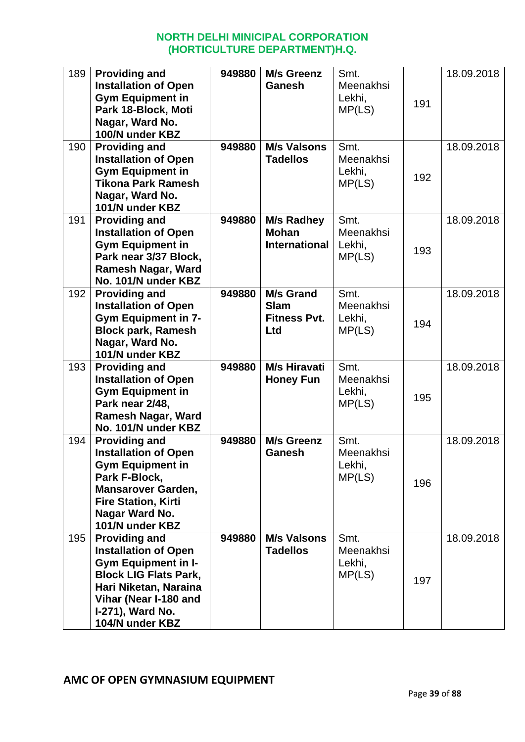| 189 | <b>Providing and</b><br><b>Installation of Open</b><br><b>Gym Equipment in</b><br>Park 18-Block, Moti<br>Nagar, Ward No.<br>100/N under KBZ                                                                | 949880 | <b>M/s Greenz</b><br>Ganesh                                   | Smt.<br>Meenakhsi<br>Lekhi,<br>MP(LS) | 191 | 18.09.2018 |
|-----|------------------------------------------------------------------------------------------------------------------------------------------------------------------------------------------------------------|--------|---------------------------------------------------------------|---------------------------------------|-----|------------|
| 190 | <b>Providing and</b><br><b>Installation of Open</b><br><b>Gym Equipment in</b><br><b>Tikona Park Ramesh</b><br>Nagar, Ward No.<br>101/N under KBZ                                                          | 949880 | <b>M/s Valsons</b><br><b>Tadellos</b>                         | Smt.<br>Meenakhsi<br>Lekhi,<br>MP(LS) | 192 | 18.09.2018 |
| 191 | <b>Providing and</b><br><b>Installation of Open</b><br><b>Gym Equipment in</b><br>Park near 3/37 Block,<br><b>Ramesh Nagar, Ward</b><br>No. 101/N under KBZ                                                | 949880 | <b>M/s Radhey</b><br><b>Mohan</b><br><b>International</b>     | Smt.<br>Meenakhsi<br>Lekhi,<br>MP(LS) | 193 | 18.09.2018 |
| 192 | <b>Providing and</b><br><b>Installation of Open</b><br><b>Gym Equipment in 7-</b><br><b>Block park, Ramesh</b><br>Nagar, Ward No.<br>101/N under KBZ                                                       | 949880 | <b>M/s Grand</b><br><b>Slam</b><br><b>Fitness Pvt.</b><br>Ltd | Smt.<br>Meenakhsi<br>Lekhi,<br>MP(LS) | 194 | 18.09.2018 |
| 193 | <b>Providing and</b><br><b>Installation of Open</b><br><b>Gym Equipment in</b><br>Park near 2/48,<br>Ramesh Nagar, Ward<br>No. 101/N under KBZ                                                             | 949880 | <b>M/s Hiravati</b><br><b>Honey Fun</b>                       | Smt.<br>Meenakhsi<br>Lekhi,<br>MP(LS) | 195 | 18.09.2018 |
| 194 | <b>Providing and</b><br><b>Installation of Open</b><br><b>Gym Equipment in</b><br>Park F-Block,<br><b>Mansarover Garden,</b><br><b>Fire Station, Kirti</b><br>Nagar Ward No.<br>101/N under KBZ            | 949880 | <b>M/s Greenz</b><br><b>Ganesh</b>                            | Smt.<br>Meenakhsi<br>Lekhi,<br>MP(LS) | 196 | 18.09.2018 |
| 195 | <b>Providing and</b><br><b>Installation of Open</b><br><b>Gym Equipment in I-</b><br><b>Block LIG Flats Park,</b><br>Hari Niketan, Naraina<br>Vihar (Near I-180 and<br>I-271), Ward No.<br>104/N under KBZ | 949880 | <b>M/s Valsons</b><br><b>Tadellos</b>                         | Smt.<br>Meenakhsi<br>Lekhi,<br>MP(LS) | 197 | 18.09.2018 |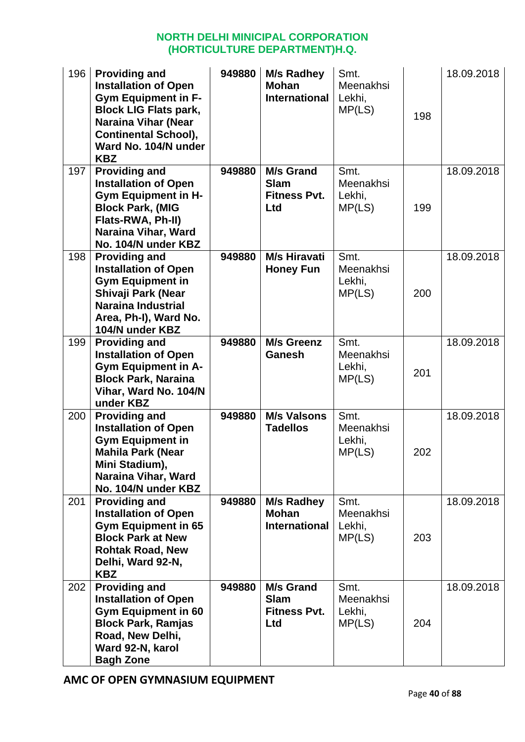| 196 | <b>Providing and</b><br><b>Installation of Open</b><br><b>Gym Equipment in F-</b><br><b>Block LIG Flats park,</b><br><b>Naraina Vihar (Near</b><br><b>Continental School),</b><br>Ward No. 104/N under<br><b>KBZ</b> | 949880 | M/s Radhey<br><b>Mohan</b><br><b>International</b>            | Smt.<br>Meenakhsi<br>Lekhi,<br>MP(LS) | 198 | 18.09.2018 |
|-----|----------------------------------------------------------------------------------------------------------------------------------------------------------------------------------------------------------------------|--------|---------------------------------------------------------------|---------------------------------------|-----|------------|
| 197 | <b>Providing and</b><br><b>Installation of Open</b><br><b>Gym Equipment in H-</b><br><b>Block Park, (MIG</b><br>Flats-RWA, Ph-II)<br>Naraina Vihar, Ward<br>No. 104/N under KBZ                                      | 949880 | <b>M/s Grand</b><br><b>Slam</b><br><b>Fitness Pvt.</b><br>Ltd | Smt.<br>Meenakhsi<br>Lekhi,<br>MP(LS) | 199 | 18.09.2018 |
| 198 | <b>Providing and</b><br><b>Installation of Open</b><br><b>Gym Equipment in</b><br>Shivaji Park (Near<br><b>Naraina Industrial</b><br>Area, Ph-I), Ward No.<br>104/N under KBZ                                        | 949880 | <b>M/s Hiravati</b><br><b>Honey Fun</b>                       | Smt.<br>Meenakhsi<br>Lekhi,<br>MP(LS) | 200 | 18.09.2018 |
| 199 | <b>Providing and</b><br><b>Installation of Open</b><br><b>Gym Equipment in A-</b><br><b>Block Park, Naraina</b><br>Vihar, Ward No. 104/N<br>under KBZ                                                                | 949880 | <b>M/s Greenz</b><br>Ganesh                                   | Smt.<br>Meenakhsi<br>Lekhi,<br>MP(LS) | 201 | 18.09.2018 |
| 200 | <b>Providing and</b><br><b>Installation of Open</b><br><b>Gym Equipment in</b><br><b>Mahila Park (Near</b><br>Mini Stadium),<br>Naraina Vihar, Ward<br>No. 104/N under KBZ                                           | 949880 | <b>M/s Valsons</b><br><b>Tadellos</b>                         | Smt.<br>Meenakhsi<br>Lekhi,<br>MP(LS) | 202 | 18.09.2018 |
| 201 | <b>Providing and</b><br><b>Installation of Open</b><br><b>Gym Equipment in 65</b><br><b>Block Park at New</b><br><b>Rohtak Road, New</b><br>Delhi, Ward 92-N,<br><b>KBZ</b>                                          | 949880 | <b>M/s Radhey</b><br><b>Mohan</b><br><b>International</b>     | Smt.<br>Meenakhsi<br>Lekhi,<br>MP(LS) | 203 | 18.09.2018 |
| 202 | <b>Providing and</b><br><b>Installation of Open</b><br><b>Gym Equipment in 60</b><br><b>Block Park, Ramjas</b><br>Road, New Delhi,<br>Ward 92-N, karol<br><b>Bagh Zone</b>                                           | 949880 | <b>M/s Grand</b><br><b>Slam</b><br><b>Fitness Pvt.</b><br>Ltd | Smt.<br>Meenakhsi<br>Lekhi,<br>MP(LS) | 204 | 18.09.2018 |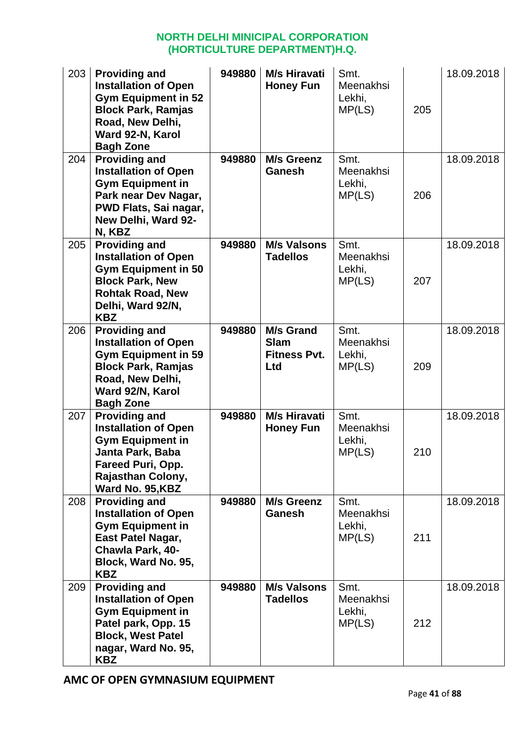| 203 | <b>Providing and</b><br><b>Installation of Open</b><br><b>Gym Equipment in 52</b><br><b>Block Park, Ramjas</b><br>Road, New Delhi,<br>Ward 92-N, Karol<br><b>Bagh Zone</b> | 949880 | <b>M/s Hiravati</b><br><b>Honey Fun</b>                              | Smt.<br>Meenakhsi<br>Lekhi,<br>MP(LS) | 205 | 18.09.2018 |
|-----|----------------------------------------------------------------------------------------------------------------------------------------------------------------------------|--------|----------------------------------------------------------------------|---------------------------------------|-----|------------|
| 204 | <b>Providing and</b><br><b>Installation of Open</b><br><b>Gym Equipment in</b><br>Park near Dev Nagar,<br>PWD Flats, Sai nagar,<br>New Delhi, Ward 92-<br>N, KBZ           | 949880 | <b>M/s Greenz</b><br>Ganesh                                          | Smt.<br>Meenakhsi<br>Lekhi,<br>MP(LS) | 206 | 18.09.2018 |
| 205 | <b>Providing and</b><br><b>Installation of Open</b><br><b>Gym Equipment in 50</b><br><b>Block Park, New</b><br><b>Rohtak Road, New</b><br>Delhi, Ward 92/N,<br><b>KBZ</b>  | 949880 | <b>M/s Valsons</b><br><b>Tadellos</b>                                | Smt.<br>Meenakhsi<br>Lekhi,<br>MP(LS) | 207 | 18.09.2018 |
| 206 | <b>Providing and</b><br><b>Installation of Open</b><br><b>Gym Equipment in 59</b><br><b>Block Park, Ramjas</b><br>Road, New Delhi,<br>Ward 92/N, Karol<br><b>Bagh Zone</b> | 949880 | <b>M/s Grand</b><br><b>Slam</b><br><b>Fitness Pvt.</b><br><b>Ltd</b> | Smt.<br>Meenakhsi<br>Lekhi,<br>MP(LS) | 209 | 18.09.2018 |
| 207 | <b>Providing and</b><br><b>Installation of Open</b><br><b>Gym Equipment in</b><br>Janta Park, Baba<br>Fareed Puri, Opp.<br>Rajasthan Colony,<br>Ward No. 95, KBZ           | 949880 | <b>M/s Hiravati</b><br><b>Honey Fun</b>                              | Smt.<br>Meenakhsi<br>Lekhi,<br>MP(LS) | 210 | 18.09.2018 |
| 208 | <b>Providing and</b><br><b>Installation of Open</b><br><b>Gym Equipment in</b><br>East Patel Nagar,<br>Chawla Park, 40-<br>Block, Ward No. 95,<br><b>KBZ</b>               | 949880 | <b>M/s Greenz</b><br>Ganesh                                          | Smt.<br>Meenakhsi<br>Lekhi,<br>MP(LS) | 211 | 18.09.2018 |
| 209 | <b>Providing and</b><br><b>Installation of Open</b><br><b>Gym Equipment in</b><br>Patel park, Opp. 15<br><b>Block, West Patel</b><br>nagar, Ward No. 95,<br><b>KBZ</b>     | 949880 | <b>M/s Valsons</b><br><b>Tadellos</b>                                | Smt.<br>Meenakhsi<br>Lekhi,<br>MP(LS) | 212 | 18.09.2018 |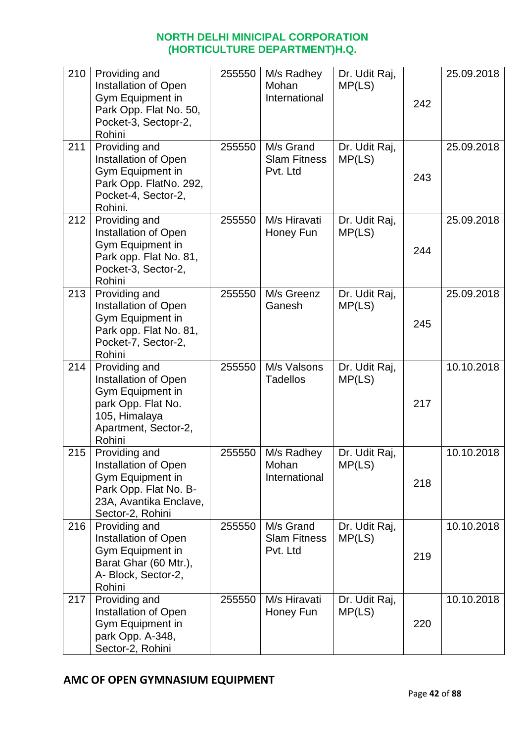| 210 | Providing and<br>Installation of Open<br>Gym Equipment in<br>Park Opp. Flat No. 50,<br>Pocket-3, Sectopr-2,<br>Rohini              | 255550 | M/s Radhey<br>Mohan<br>International         | Dr. Udit Raj,<br>MP(LS) | 242 | 25.09.2018 |
|-----|------------------------------------------------------------------------------------------------------------------------------------|--------|----------------------------------------------|-------------------------|-----|------------|
| 211 | Providing and<br>Installation of Open<br>Gym Equipment in<br>Park Opp. FlatNo. 292,<br>Pocket-4, Sector-2,<br>Rohini.              | 255550 | M/s Grand<br><b>Slam Fitness</b><br>Pvt. Ltd | Dr. Udit Raj,<br>MP(LS) | 243 | 25.09.2018 |
| 212 | Providing and<br>Installation of Open<br>Gym Equipment in<br>Park opp. Flat No. 81,<br>Pocket-3, Sector-2,<br>Rohini               | 255550 | M/s Hiravati<br>Honey Fun                    | Dr. Udit Raj,<br>MP(LS) | 244 | 25.09.2018 |
| 213 | Providing and<br>Installation of Open<br>Gym Equipment in<br>Park opp. Flat No. 81,<br>Pocket-7, Sector-2,<br>Rohini               | 255550 | M/s Greenz<br>Ganesh                         | Dr. Udit Raj,<br>MP(LS) | 245 | 25.09.2018 |
| 214 | Providing and<br>Installation of Open<br>Gym Equipment in<br>park Opp. Flat No.<br>105, Himalaya<br>Apartment, Sector-2,<br>Rohini | 255550 | M/s Valsons<br><b>Tadellos</b>               | Dr. Udit Raj,<br>MP(LS) | 217 | 10.10.2018 |
| 215 | Providing and<br>Installation of Open<br>Gym Equipment in<br>Park Opp. Flat No. B-<br>23A, Avantika Enclave,<br>Sector-2, Rohini   | 255550 | M/s Radhey<br>Mohan<br>International         | Dr. Udit Raj,<br>MP(LS) | 218 | 10.10.2018 |
| 216 | Providing and<br><b>Installation of Open</b><br>Gym Equipment in<br>Barat Ghar (60 Mtr.),<br>A- Block, Sector-2,<br>Rohini         | 255550 | M/s Grand<br><b>Slam Fitness</b><br>Pvt. Ltd | Dr. Udit Raj,<br>MP(LS) | 219 | 10.10.2018 |
| 217 | Providing and<br>Installation of Open<br>Gym Equipment in<br>park Opp. A-348,<br>Sector-2, Rohini                                  | 255550 | M/s Hiravati<br>Honey Fun                    | Dr. Udit Raj,<br>MP(LS) | 220 | 10.10.2018 |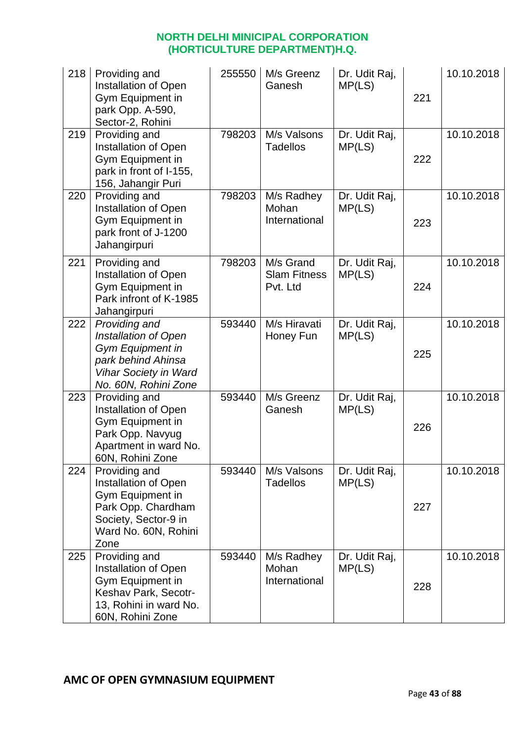| 218 | Providing and<br>Installation of Open<br>Gym Equipment in<br>park Opp. A-590,<br>Sector-2, Rohini                                              | 255550 | M/s Greenz<br>Ganesh                         | Dr. Udit Raj,<br>MP(LS) | 221 | 10.10.2018 |
|-----|------------------------------------------------------------------------------------------------------------------------------------------------|--------|----------------------------------------------|-------------------------|-----|------------|
| 219 | Providing and<br>Installation of Open<br>Gym Equipment in<br>park in front of I-155,<br>156, Jahangir Puri                                     | 798203 | M/s Valsons<br><b>Tadellos</b>               | Dr. Udit Raj,<br>MP(LS) | 222 | 10.10.2018 |
| 220 | Providing and<br>Installation of Open<br>Gym Equipment in<br>park front of J-1200<br>Jahangirpuri                                              | 798203 | M/s Radhey<br>Mohan<br>International         | Dr. Udit Raj,<br>MP(LS) | 223 | 10.10.2018 |
| 221 | Providing and<br>Installation of Open<br>Gym Equipment in<br>Park infront of K-1985<br>Jahangirpuri                                            | 798203 | M/s Grand<br><b>Slam Fitness</b><br>Pvt. Ltd | Dr. Udit Raj,<br>MP(LS) | 224 | 10.10.2018 |
| 222 | Providing and<br>Installation of Open<br><b>Gym Equipment in</b><br>park behind Ahinsa<br><b>Vihar Society in Ward</b><br>No. 60N, Rohini Zone | 593440 | M/s Hiravati<br>Honey Fun                    | Dr. Udit Raj,<br>MP(LS) | 225 | 10.10.2018 |
| 223 | Providing and<br>Installation of Open<br>Gym Equipment in<br>Park Opp. Navyug<br>Apartment in ward No.<br>60N, Rohini Zone                     | 593440 | M/s Greenz<br>Ganesh                         | Dr. Udit Raj,<br>MP(LS) | 226 | 10.10.2018 |
| 224 | Providing and<br>Installation of Open<br>Gym Equipment in<br>Park Opp. Chardham<br>Society, Sector-9 in<br>Ward No. 60N, Rohini<br>Zone        | 593440 | M/s Valsons<br><b>Tadellos</b>               | Dr. Udit Raj,<br>MP(LS) | 227 | 10.10.2018 |
| 225 | Providing and<br>Installation of Open<br>Gym Equipment in<br>Keshav Park, Secotr-<br>13, Rohini in ward No.<br>60N, Rohini Zone                | 593440 | M/s Radhey<br>Mohan<br>International         | Dr. Udit Raj,<br>MP(LS) | 228 | 10.10.2018 |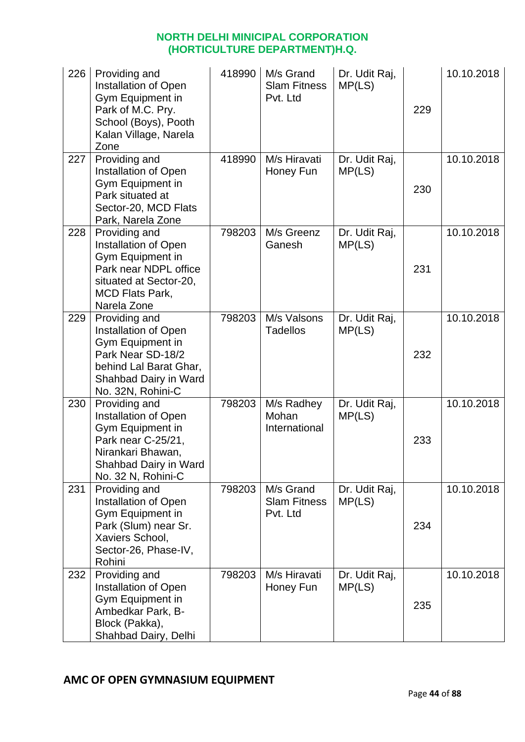| 226 | Providing and<br>Installation of Open<br>Gym Equipment in<br>Park of M.C. Pry.<br>School (Boys), Pooth<br>Kalan Village, Narela<br>Zone                | 418990 | M/s Grand<br><b>Slam Fitness</b><br>Pvt. Ltd | Dr. Udit Raj,<br>MP(LS) | 229 | 10.10.2018 |
|-----|--------------------------------------------------------------------------------------------------------------------------------------------------------|--------|----------------------------------------------|-------------------------|-----|------------|
| 227 | Providing and<br>Installation of Open<br>Gym Equipment in<br>Park situated at<br>Sector-20, MCD Flats<br>Park, Narela Zone                             | 418990 | M/s Hiravati<br>Honey Fun                    | Dr. Udit Raj,<br>MP(LS) | 230 | 10.10.2018 |
| 228 | Providing and<br>Installation of Open<br>Gym Equipment in<br>Park near NDPL office<br>situated at Sector-20,<br><b>MCD Flats Park,</b><br>Narela Zone  | 798203 | M/s Greenz<br>Ganesh                         | Dr. Udit Raj,<br>MP(LS) | 231 | 10.10.2018 |
| 229 | Providing and<br>Installation of Open<br>Gym Equipment in<br>Park Near SD-18/2<br>behind Lal Barat Ghar,<br>Shahbad Dairy in Ward<br>No. 32N, Rohini-C | 798203 | M/s Valsons<br><b>Tadellos</b>               | Dr. Udit Raj,<br>MP(LS) | 232 | 10.10.2018 |
| 230 | Providing and<br>Installation of Open<br>Gym Equipment in<br>Park near C-25/21,<br>Nirankari Bhawan,<br>Shahbad Dairy in Ward<br>No. 32 N, Rohini-C    | 798203 | M/s Radhey<br>Mohan<br>International         | Dr. Udit Raj,<br>MP(LS) | 233 | 10.10.2018 |
| 231 | Providing and<br>Installation of Open<br>Gym Equipment in<br>Park (Slum) near Sr.<br>Xaviers School,<br>Sector-26, Phase-IV,<br>Rohini                 | 798203 | M/s Grand<br><b>Slam Fitness</b><br>Pvt. Ltd | Dr. Udit Raj,<br>MP(LS) | 234 | 10.10.2018 |
| 232 | Providing and<br>Installation of Open<br>Gym Equipment in<br>Ambedkar Park, B-<br>Block (Pakka),<br>Shahbad Dairy, Delhi                               | 798203 | M/s Hiravati<br>Honey Fun                    | Dr. Udit Raj,<br>MP(LS) | 235 | 10.10.2018 |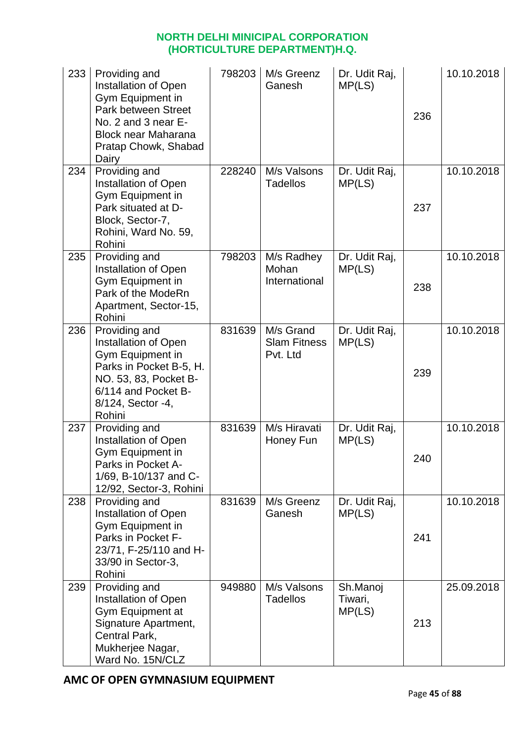| 233 | Providing and<br>Installation of Open<br>Gym Equipment in<br><b>Park between Street</b><br>No. 2 and 3 near E-<br><b>Block near Maharana</b><br>Pratap Chowk, Shabad<br>Dairy | 798203 | M/s Greenz<br>Ganesh                         | Dr. Udit Raj,<br>MP(LS)       | 236 | 10.10.2018 |
|-----|-------------------------------------------------------------------------------------------------------------------------------------------------------------------------------|--------|----------------------------------------------|-------------------------------|-----|------------|
| 234 | Providing and<br>Installation of Open<br>Gym Equipment in<br>Park situated at D-<br>Block, Sector-7,<br>Rohini, Ward No. 59,<br>Rohini                                        | 228240 | M/s Valsons<br><b>Tadellos</b>               | Dr. Udit Raj,<br>MP(LS)       | 237 | 10.10.2018 |
| 235 | Providing and<br>Installation of Open<br>Gym Equipment in<br>Park of the ModeRn<br>Apartment, Sector-15,<br>Rohini                                                            | 798203 | M/s Radhey<br>Mohan<br>International         | Dr. Udit Raj,<br>MP(LS)       | 238 | 10.10.2018 |
| 236 | Providing and<br>Installation of Open<br>Gym Equipment in<br>Parks in Pocket B-5, H.<br>NO. 53, 83, Pocket B-<br>6/114 and Pocket B-<br>8/124, Sector -4,<br>Rohini           | 831639 | M/s Grand<br><b>Slam Fitness</b><br>Pvt. Ltd | Dr. Udit Raj,<br>MP(LS)       | 239 | 10.10.2018 |
| 237 | Providing and<br>Installation of Open<br>Gym Equipment in<br>Parks in Pocket A-<br>1/69, B-10/137 and C-<br>12/92, Sector-3, Rohini                                           | 831639 | M/s Hiravati<br>Honey Fun                    | Dr. Udit Raj,<br>MP(LS)       | 240 | 10.10.2018 |
| 238 | Providing and<br>Installation of Open<br>Gym Equipment in<br>Parks in Pocket F-<br>23/71, F-25/110 and H-<br>33/90 in Sector-3,<br>Rohini                                     | 831639 | M/s Greenz<br>Ganesh                         | Dr. Udit Raj,<br>MP(LS)       | 241 | 10.10.2018 |
| 239 | Providing and<br>Installation of Open<br>Gym Equipment at<br>Signature Apartment,<br>Central Park,<br>Mukherjee Nagar,<br>Ward No. 15N/CLZ                                    | 949880 | M/s Valsons<br><b>Tadellos</b>               | Sh.Manoj<br>Tiwari,<br>MP(LS) | 213 | 25.09.2018 |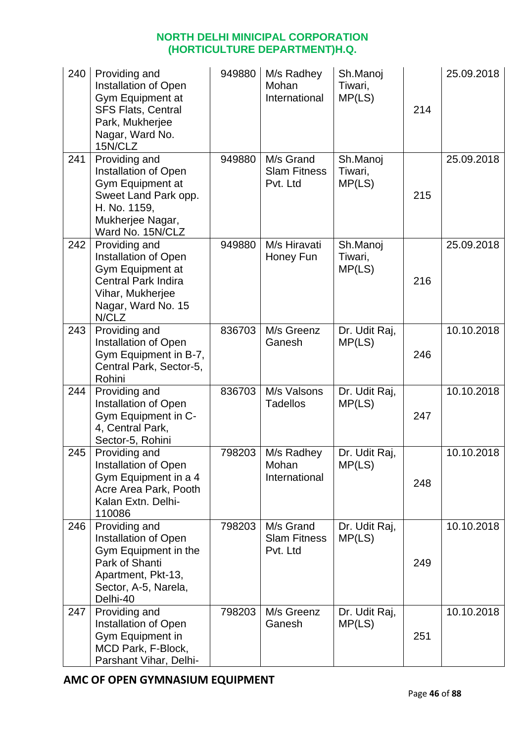| 240 | Providing and<br>Installation of Open<br>Gym Equipment at<br><b>SFS Flats, Central</b><br>Park, Mukherjee<br>Nagar, Ward No.<br>15N/CLZ                 | 949880 | M/s Radhey<br>Mohan<br>International         | Sh.Manoj<br>Tiwari,<br>MP(LS) | 214 | 25.09.2018 |
|-----|---------------------------------------------------------------------------------------------------------------------------------------------------------|--------|----------------------------------------------|-------------------------------|-----|------------|
| 241 | Providing and<br><b>Installation of Open</b><br><b>Gym Equipment at</b><br>Sweet Land Park opp.<br>H. No. 1159,<br>Mukherjee Nagar,<br>Ward No. 15N/CLZ | 949880 | M/s Grand<br><b>Slam Fitness</b><br>Pvt. Ltd | Sh.Manoj<br>Tiwari,<br>MP(LS) | 215 | 25.09.2018 |
| 242 | Providing and<br>Installation of Open<br>Gym Equipment at<br><b>Central Park Indira</b><br>Vihar, Mukherjee<br>Nagar, Ward No. 15<br>N/CLZ              | 949880 | M/s Hiravati<br>Honey Fun                    | Sh.Manoj<br>Tiwari,<br>MP(LS) | 216 | 25.09.2018 |
| 243 | Providing and<br>Installation of Open<br>Gym Equipment in B-7,<br>Central Park, Sector-5,<br>Rohini                                                     | 836703 | M/s Greenz<br>Ganesh                         | Dr. Udit Raj,<br>MP(LS)       | 246 | 10.10.2018 |
| 244 | Providing and<br>Installation of Open<br>Gym Equipment in C-<br>4, Central Park,<br>Sector-5, Rohini                                                    | 836703 | M/s Valsons<br><b>Tadellos</b>               | Dr. Udit Raj,<br>MP(LS)       | 247 | 10.10.2018 |
| 245 | Providing and<br>Installation of Open<br>Gym Equipment in a 4<br>Acre Area Park, Pooth<br>Kalan Extn. Delhi-<br>110086                                  | 798203 | M/s Radhey<br>Mohan<br>International         | Dr. Udit Raj,<br>MP(LS)       | 248 | 10.10.2018 |
| 246 | Providing and<br><b>Installation of Open</b><br>Gym Equipment in the<br>Park of Shanti<br>Apartment, Pkt-13,<br>Sector, A-5, Narela,<br>Delhi-40        | 798203 | M/s Grand<br><b>Slam Fitness</b><br>Pvt. Ltd | Dr. Udit Raj,<br>MP(LS)       | 249 | 10.10.2018 |
| 247 | Providing and<br>Installation of Open<br>Gym Equipment in<br>MCD Park, F-Block,<br>Parshant Vihar, Delhi-                                               | 798203 | M/s Greenz<br>Ganesh                         | Dr. Udit Raj,<br>MP(LS)       | 251 | 10.10.2018 |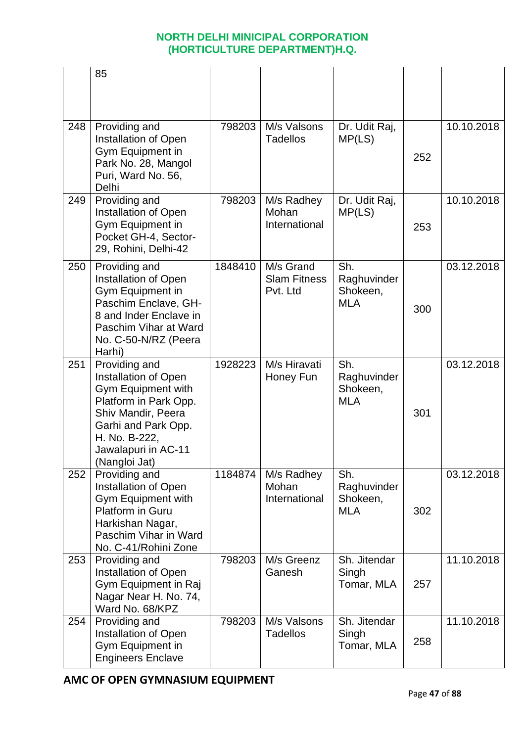|     | 85                                                                                                                                                                                         |         |                                              |                                              |     |            |
|-----|--------------------------------------------------------------------------------------------------------------------------------------------------------------------------------------------|---------|----------------------------------------------|----------------------------------------------|-----|------------|
| 248 | Providing and<br>Installation of Open<br>Gym Equipment in<br>Park No. 28, Mangol<br>Puri, Ward No. 56,<br>Delhi                                                                            | 798203  | M/s Valsons<br>Tadellos                      | Dr. Udit Raj,<br>MP(LS)                      | 252 | 10.10.2018 |
| 249 | Providing and<br>Installation of Open<br>Gym Equipment in<br>Pocket GH-4, Sector-<br>29, Rohini, Delhi-42                                                                                  | 798203  | M/s Radhey<br>Mohan<br>International         | Dr. Udit Raj,<br>MP(LS)                      | 253 | 10.10.2018 |
| 250 | Providing and<br>Installation of Open<br>Gym Equipment in<br>Paschim Enclave, GH-<br>8 and Inder Enclave in<br>Paschim Vihar at Ward<br>No. C-50-N/RZ (Peera<br>Harhi)                     | 1848410 | M/s Grand<br><b>Slam Fitness</b><br>Pvt. Ltd | Sh.<br>Raghuvinder<br>Shokeen,<br><b>MLA</b> | 300 | 03.12.2018 |
| 251 | Providing and<br>Installation of Open<br>Gym Equipment with<br>Platform in Park Opp.<br>Shiv Mandir, Peera<br>Garhi and Park Opp.<br>H. No. B-222,<br>Jawalapuri in AC-11<br>(Nangloi Jat) | 1928223 | M/s Hiravati<br>Honey Fun                    | Sh.<br>Raghuvinder<br>Shokeen,<br><b>MLA</b> | 301 | 03.12.2018 |
| 252 | Providing and<br>Installation of Open<br><b>Gym Equipment with</b><br>Platform in Guru<br>Harkishan Nagar,<br>Paschim Vihar in Ward<br>No. C-41/Rohini Zone                                | 1184874 | M/s Radhey<br>Mohan<br>International         | Sh.<br>Raghuvinder<br>Shokeen,<br><b>MLA</b> | 302 | 03.12.2018 |
| 253 | Providing and<br>Installation of Open<br>Gym Equipment in Raj<br>Nagar Near H. No. 74,<br>Ward No. 68/KPZ                                                                                  | 798203  | M/s Greenz<br>Ganesh                         | Sh. Jitendar<br>Singh<br>Tomar, MLA          | 257 | 11.10.2018 |
| 254 | Providing and<br>Installation of Open<br>Gym Equipment in<br><b>Engineers Enclave</b>                                                                                                      | 798203  | M/s Valsons<br><b>Tadellos</b>               | Sh. Jitendar<br>Singh<br>Tomar, MLA          | 258 | 11.10.2018 |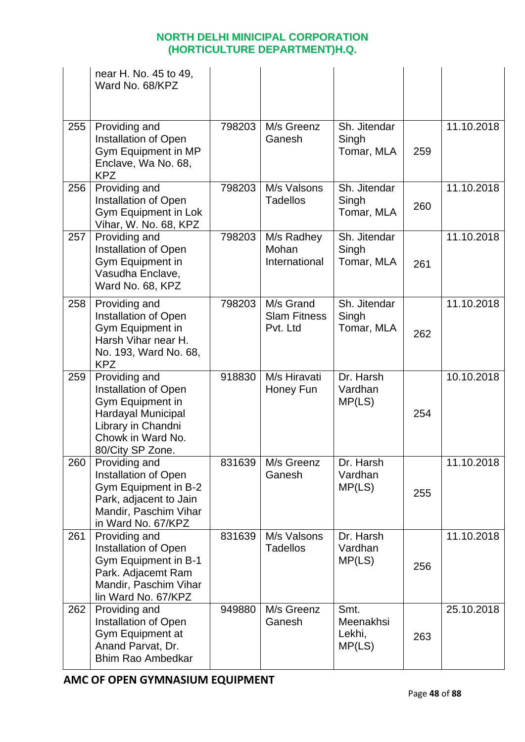|     | near H. No. 45 to 49,<br>Ward No. 68/KPZ                                                                                                       |        |                                              |                                       |     |            |
|-----|------------------------------------------------------------------------------------------------------------------------------------------------|--------|----------------------------------------------|---------------------------------------|-----|------------|
| 255 | Providing and<br>Installation of Open<br>Gym Equipment in MP<br>Enclave, Wa No. 68,<br><b>KPZ</b>                                              | 798203 | M/s Greenz<br>Ganesh                         | Sh. Jitendar<br>Singh<br>Tomar, MLA   | 259 | 11.10.2018 |
| 256 | Providing and<br>Installation of Open<br>Gym Equipment in Lok<br>Vihar, W. No. 68, KPZ                                                         | 798203 | M/s Valsons<br><b>Tadellos</b>               | Sh. Jitendar<br>Singh<br>Tomar, MLA   | 260 | 11.10.2018 |
| 257 | Providing and<br><b>Installation of Open</b><br>Gym Equipment in<br>Vasudha Enclave,<br>Ward No. 68, KPZ                                       | 798203 | M/s Radhey<br>Mohan<br>International         | Sh. Jitendar<br>Singh<br>Tomar, MLA   | 261 | 11.10.2018 |
| 258 | Providing and<br>Installation of Open<br>Gym Equipment in<br>Harsh Vihar near H.<br>No. 193, Ward No. 68,<br><b>KPZ</b>                        | 798203 | M/s Grand<br><b>Slam Fitness</b><br>Pvt. Ltd | Sh. Jitendar<br>Singh<br>Tomar, MLA   | 262 | 11.10.2018 |
| 259 | Providing and<br>Installation of Open<br>Gym Equipment in<br>Hardayal Municipal<br>Library in Chandni<br>Chowk in Ward No.<br>80/City SP Zone. | 918830 | M/s Hiravati<br>Honey Fun                    | Dr. Harsh<br>Vardhan<br>MP(LS)        | 254 | 10.10.2018 |
| 260 | Providing and<br>Installation of Open<br>Gym Equipment in B-2<br>Park, adjacent to Jain<br>Mandir, Paschim Vihar<br>in Ward No. 67/KPZ         | 831639 | M/s Greenz<br>Ganesh                         | Dr. Harsh<br>Vardhan<br>MP(LS)        | 255 | 11.10.2018 |
| 261 | Providing and<br>Installation of Open<br>Gym Equipment in B-1<br>Park. Adjacemt Ram<br>Mandir, Paschim Vihar<br>lin Ward No. 67/KPZ            | 831639 | M/s Valsons<br><b>Tadellos</b>               | Dr. Harsh<br>Vardhan<br>MP(LS)        | 256 | 11.10.2018 |
| 262 | Providing and<br>Installation of Open<br>Gym Equipment at<br>Anand Parvat, Dr.<br><b>Bhim Rao Ambedkar</b>                                     | 949880 | M/s Greenz<br>Ganesh                         | Smt.<br>Meenakhsi<br>Lekhi,<br>MP(LS) | 263 | 25.10.2018 |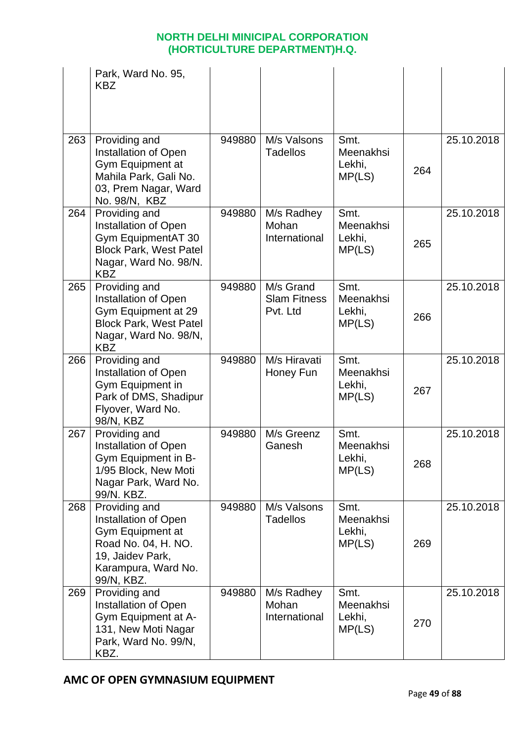|     | Park, Ward No. 95,<br><b>KBZ</b>                                                                                                          |        |                                              |                                       |     |            |
|-----|-------------------------------------------------------------------------------------------------------------------------------------------|--------|----------------------------------------------|---------------------------------------|-----|------------|
| 263 | Providing and<br>Installation of Open<br>Gym Equipment at<br>Mahila Park, Gali No.<br>03, Prem Nagar, Ward<br>No. 98/N, KBZ               | 949880 | M/s Valsons<br><b>Tadellos</b>               | Smt.<br>Meenakhsi<br>Lekhi,<br>MP(LS) | 264 | 25.10.2018 |
| 264 | Providing and<br>Installation of Open<br>Gym EquipmentAT 30<br><b>Block Park, West Patel</b><br>Nagar, Ward No. 98/N.<br><b>KBZ</b>       | 949880 | M/s Radhey<br>Mohan<br>International         | Smt.<br>Meenakhsi<br>Lekhi,<br>MP(LS) | 265 | 25.10.2018 |
| 265 | Providing and<br>Installation of Open<br>Gym Equipment at 29<br><b>Block Park, West Patel</b><br>Nagar, Ward No. 98/N,<br><b>KBZ</b>      | 949880 | M/s Grand<br><b>Slam Fitness</b><br>Pvt. Ltd | Smt.<br>Meenakhsi<br>Lekhi,<br>MP(LS) | 266 | 25.10.2018 |
| 266 | Providing and<br>Installation of Open<br>Gym Equipment in<br>Park of DMS, Shadipur<br>Flyover, Ward No.<br>98/N, KBZ                      | 949880 | M/s Hiravati<br>Honey Fun                    | Smt.<br>Meenakhsi<br>Lekhi,<br>MP(LS) | 267 | 25.10.2018 |
| 267 | Providing and<br>Installation of Open<br>Gym Equipment in B-<br>1/95 Block, New Moti<br>Nagar Park, Ward No.<br>99/N. KBZ.                | 949880 | M/s Greenz<br>Ganesh                         | Smt.<br>Meenakhsi<br>Lekhi,<br>MP(LS) | 268 | 25.10.2018 |
| 268 | Providing and<br>Installation of Open<br>Gym Equipment at<br>Road No. 04, H. NO.<br>19, Jaidev Park,<br>Karampura, Ward No.<br>99/N, KBZ. | 949880 | M/s Valsons<br><b>Tadellos</b>               | Smt.<br>Meenakhsi<br>Lekhi,<br>MP(LS) | 269 | 25.10.2018 |
| 269 | Providing and<br>Installation of Open<br>Gym Equipment at A-<br>131, New Moti Nagar<br>Park, Ward No. 99/N,<br>KBZ.                       | 949880 | M/s Radhey<br>Mohan<br>International         | Smt.<br>Meenakhsi<br>Lekhi,<br>MP(LS) | 270 | 25.10.2018 |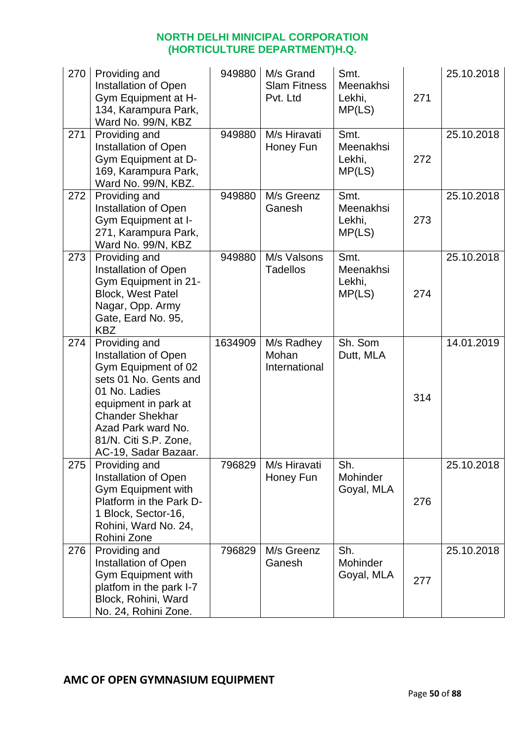| 270 | Providing and<br>Installation of Open<br>Gym Equipment at H-<br>134, Karampura Park,<br>Ward No. 99/N, KBZ                                                                                                                      | 949880  | M/s Grand<br><b>Slam Fitness</b><br>Pvt. Ltd | Smt.<br>Meenakhsi<br>Lekhi,<br>MP(LS) | 271 | 25.10.2018 |
|-----|---------------------------------------------------------------------------------------------------------------------------------------------------------------------------------------------------------------------------------|---------|----------------------------------------------|---------------------------------------|-----|------------|
| 271 | Providing and<br>Installation of Open<br>Gym Equipment at D-<br>169, Karampura Park,<br>Ward No. 99/N, KBZ.                                                                                                                     | 949880  | M/s Hiravati<br>Honey Fun                    | Smt.<br>Meenakhsi<br>Lekhi,<br>MP(LS) | 272 | 25.10.2018 |
| 272 | Providing and<br>Installation of Open<br>Gym Equipment at I-<br>271, Karampura Park,<br>Ward No. 99/N, KBZ                                                                                                                      | 949880  | M/s Greenz<br>Ganesh                         | Smt.<br>Meenakhsi<br>Lekhi,<br>MP(LS) | 273 | 25.10.2018 |
| 273 | Providing and<br><b>Installation of Open</b><br>Gym Equipment in 21-<br><b>Block, West Patel</b><br>Nagar, Opp. Army<br>Gate, Eard No. 95,<br><b>KBZ</b>                                                                        | 949880  | M/s Valsons<br><b>Tadellos</b>               | Smt.<br>Meenakhsi<br>Lekhi,<br>MP(LS) | 274 | 25.10.2018 |
| 274 | Providing and<br>Installation of Open<br>Gym Equipment of 02<br>sets 01 No. Gents and<br>01 No. Ladies<br>equipment in park at<br><b>Chander Shekhar</b><br>Azad Park ward No.<br>81/N. Citi S.P. Zone,<br>AC-19, Sadar Bazaar. | 1634909 | M/s Radhey<br>Mohan<br>International         | Sh. Som<br>Dutt, MLA                  | 314 | 14.01.2019 |
| 275 | Providing and<br>Installation of Open<br>Gym Equipment with<br>Platform in the Park D-<br>1 Block, Sector-16,<br>Rohini, Ward No. 24,<br>Rohini Zone                                                                            | 796829  | M/s Hiravati<br>Honey Fun                    | Sh.<br>Mohinder<br>Goyal, MLA         | 276 | 25.10.2018 |
| 276 | Providing and<br>Installation of Open<br>Gym Equipment with<br>platfom in the park I-7<br>Block, Rohini, Ward<br>No. 24, Rohini Zone.                                                                                           | 796829  | M/s Greenz<br>Ganesh                         | Sh.<br>Mohinder<br>Goyal, MLA         | 277 | 25.10.2018 |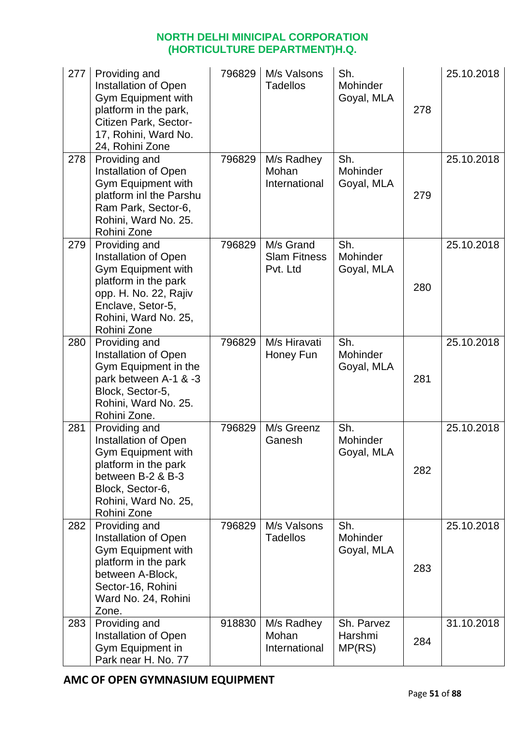| 277 | Providing and<br>Installation of Open<br>Gym Equipment with<br>platform in the park,<br>Citizen Park, Sector-<br>17, Rohini, Ward No.<br>24, Rohini Zone                        | 796829 | M/s Valsons<br><b>Tadellos</b>               | Sh.<br>Mohinder<br>Goyal, MLA   | 278 | 25.10.2018 |
|-----|---------------------------------------------------------------------------------------------------------------------------------------------------------------------------------|--------|----------------------------------------------|---------------------------------|-----|------------|
| 278 | Providing and<br>Installation of Open<br>Gym Equipment with<br>platform inl the Parshu<br>Ram Park, Sector-6,<br>Rohini, Ward No. 25.<br>Rohini Zone                            | 796829 | M/s Radhey<br>Mohan<br>International         | Sh.<br>Mohinder<br>Goyal, MLA   | 279 | 25.10.2018 |
| 279 | Providing and<br>Installation of Open<br><b>Gym Equipment with</b><br>platform in the park<br>opp. H. No. 22, Rajiv<br>Enclave, Setor-5,<br>Rohini, Ward No. 25,<br>Rohini Zone | 796829 | M/s Grand<br><b>Slam Fitness</b><br>Pvt. Ltd | Sh.<br>Mohinder<br>Goyal, MLA   | 280 | 25.10.2018 |
| 280 | Providing and<br>Installation of Open<br>Gym Equipment in the<br>park between A-1 & -3<br>Block, Sector-5,<br>Rohini, Ward No. 25.<br>Rohini Zone.                              | 796829 | M/s Hiravati<br>Honey Fun                    | Sh.<br>Mohinder<br>Goyal, MLA   | 281 | 25.10.2018 |
| 281 | Providing and<br>Installation of Open<br>Gym Equipment with<br>platform in the park<br>between B-2 & B-3<br>Block, Sector-6,<br>Rohini, Ward No. 25,<br>Rohini Zone             | 796829 | M/s Greenz<br>Ganesh                         | Sh.<br>Mohinder<br>Goyal, MLA   | 282 | 25.10.2018 |
| 282 | Providing and<br>Installation of Open<br>Gym Equipment with<br>platform in the park<br>between A-Block,<br>Sector-16, Rohini<br>Ward No. 24, Rohini<br>Zone.                    | 796829 | M/s Valsons<br><b>Tadellos</b>               | Sh.<br>Mohinder<br>Goyal, MLA   | 283 | 25.10.2018 |
| 283 | Providing and<br>Installation of Open<br>Gym Equipment in<br>Park near H. No. 77                                                                                                | 918830 | M/s Radhey<br>Mohan<br>International         | Sh. Parvez<br>Harshmi<br>MP(RS) | 284 | 31.10.2018 |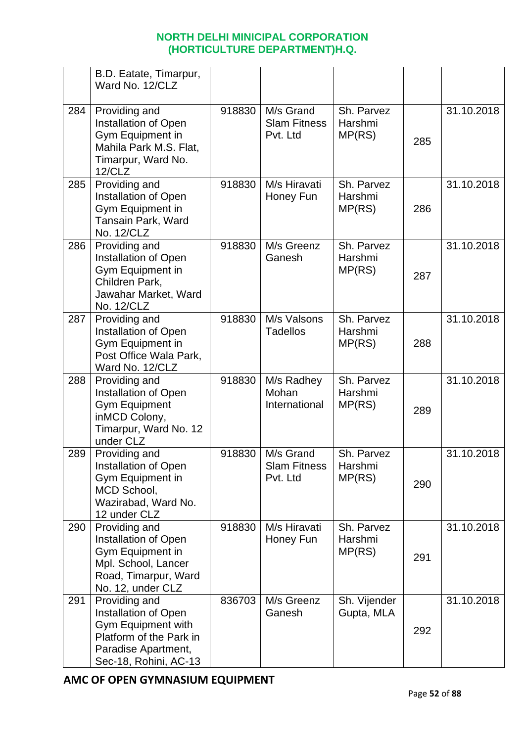|     | B.D. Eatate, Timarpur,<br>Ward No. 12/CLZ                                                                                              |        |                                              |                                 |     |            |
|-----|----------------------------------------------------------------------------------------------------------------------------------------|--------|----------------------------------------------|---------------------------------|-----|------------|
| 284 | Providing and<br>Installation of Open<br>Gym Equipment in<br>Mahila Park M.S. Flat,<br>Timarpur, Ward No.<br>12/CLZ                    | 918830 | M/s Grand<br><b>Slam Fitness</b><br>Pvt. Ltd | Sh. Parvez<br>Harshmi<br>MP(RS) | 285 | 31.10.2018 |
| 285 | Providing and<br>Installation of Open<br>Gym Equipment in<br>Tansain Park, Ward<br>No. 12/CLZ                                          | 918830 | M/s Hiravati<br>Honey Fun                    | Sh. Parvez<br>Harshmi<br>MP(RS) | 286 | 31.10.2018 |
| 286 | Providing and<br>Installation of Open<br>Gym Equipment in<br>Children Park,<br>Jawahar Market, Ward<br>No. 12/CLZ                      | 918830 | M/s Greenz<br>Ganesh                         | Sh. Parvez<br>Harshmi<br>MP(RS) | 287 | 31.10.2018 |
| 287 | Providing and<br>Installation of Open<br>Gym Equipment in<br>Post Office Wala Park,<br>Ward No. 12/CLZ                                 | 918830 | M/s Valsons<br><b>Tadellos</b>               | Sh. Parvez<br>Harshmi<br>MP(RS) | 288 | 31.10.2018 |
| 288 | Providing and<br>Installation of Open<br><b>Gym Equipment</b><br>inMCD Colony,<br>Timarpur, Ward No. 12<br>under CLZ                   | 918830 | M/s Radhey<br>Mohan<br>International         | Sh. Parvez<br>Harshmi<br>MP(RS) | 289 | 31.10.2018 |
| 289 | Providing and<br><b>Installation of Open</b><br>Gym Equipment in<br>MCD School,<br>Wazirabad, Ward No.<br>12 under CLZ                 | 918830 | M/s Grand<br><b>Slam Fitness</b><br>Pvt. Ltd | Sh. Parvez<br>Harshmi<br>MP(RS) | 290 | 31.10.2018 |
| 290 | Providing and<br><b>Installation of Open</b><br>Gym Equipment in<br>Mpl. School, Lancer<br>Road, Timarpur, Ward<br>No. 12, under CLZ   | 918830 | M/s Hiravati<br>Honey Fun                    | Sh. Parvez<br>Harshmi<br>MP(RS) | 291 | 31.10.2018 |
| 291 | Providing and<br>Installation of Open<br>Gym Equipment with<br>Platform of the Park in<br>Paradise Apartment,<br>Sec-18, Rohini, AC-13 | 836703 | M/s Greenz<br>Ganesh                         | Sh. Vijender<br>Gupta, MLA      | 292 | 31.10.2018 |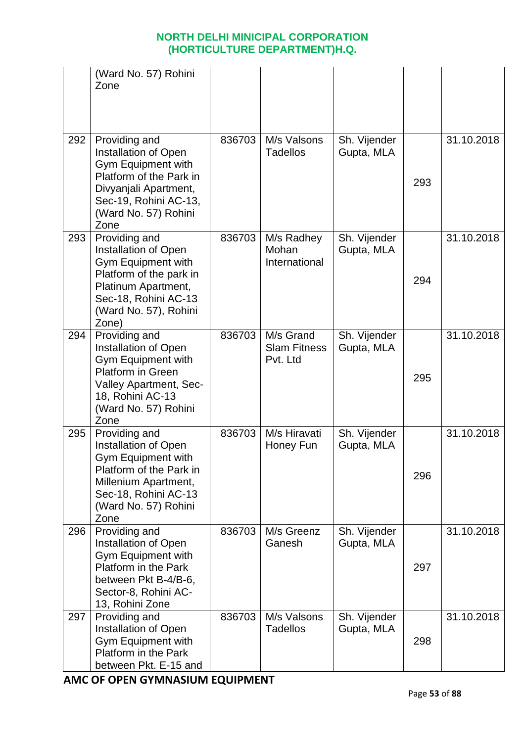|     | (Ward No. 57) Rohini<br>Zone                                                                                                                                                 |        |                                              |                            |     |            |
|-----|------------------------------------------------------------------------------------------------------------------------------------------------------------------------------|--------|----------------------------------------------|----------------------------|-----|------------|
| 292 | Providing and<br>Installation of Open<br>Gym Equipment with<br>Platform of the Park in<br>Divyanjali Apartment,<br>Sec-19, Rohini AC-13,<br>(Ward No. 57) Rohini<br>Zone     | 836703 | M/s Valsons<br><b>Tadellos</b>               | Sh. Vijender<br>Gupta, MLA | 293 | 31.10.2018 |
| 293 | Providing and<br>Installation of Open<br>Gym Equipment with<br>Platform of the park in<br>Platinum Apartment,<br>Sec-18, Rohini AC-13<br>(Ward No. 57), Rohini<br>Zone)      | 836703 | M/s Radhey<br>Mohan<br>International         | Sh. Vijender<br>Gupta, MLA | 294 | 31.10.2018 |
| 294 | Providing and<br>Installation of Open<br>Gym Equipment with<br><b>Platform in Green</b><br><b>Valley Apartment, Sec-</b><br>18, Rohini AC-13<br>(Ward No. 57) Rohini<br>Zone | 836703 | M/s Grand<br><b>Slam Fitness</b><br>Pvt. Ltd | Sh. Vijender<br>Gupta, MLA | 295 | 31.10.2018 |
| 295 | Providing and<br>Installation of Open<br>Gym Equipment with<br>Platform of the Park in<br>Millenium Apartment,<br>Sec-18, Rohini AC-13<br>(Ward No. 57) Rohini<br>Zone       | 836703 | M/s Hiravati<br>Honey Fun                    | Sh. Vijender<br>Gupta, MLA | 296 | 31.10.2018 |
| 296 | Providing and<br><b>Installation of Open</b><br>Gym Equipment with<br>Platform in the Park<br>between Pkt B-4/B-6,<br>Sector-8, Rohini AC-<br>13, Rohini Zone                | 836703 | M/s Greenz<br>Ganesh                         | Sh. Vijender<br>Gupta, MLA | 297 | 31.10.2018 |
| 297 | Providing and<br>Installation of Open<br>Gym Equipment with<br>Platform in the Park<br>between Pkt. E-15 and                                                                 | 836703 | M/s Valsons<br><b>Tadellos</b>               | Sh. Vijender<br>Gupta, MLA | 298 | 31.10.2018 |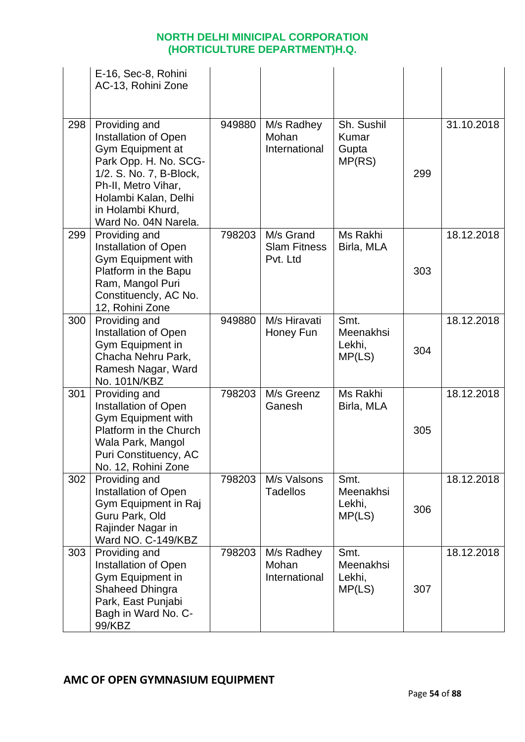|     | E-16, Sec-8, Rohini<br>AC-13, Rohini Zone                                                                                                                                                                 |        |                                              |                                        |     |            |
|-----|-----------------------------------------------------------------------------------------------------------------------------------------------------------------------------------------------------------|--------|----------------------------------------------|----------------------------------------|-----|------------|
| 298 | Providing and<br>Installation of Open<br>Gym Equipment at<br>Park Opp. H. No. SCG-<br>1/2. S. No. 7, B-Block,<br>Ph-II, Metro Vihar,<br>Holambi Kalan, Delhi<br>in Holambi Khurd,<br>Ward No. 04N Narela. | 949880 | M/s Radhey<br>Mohan<br>International         | Sh. Sushil<br>Kumar<br>Gupta<br>MP(RS) | 299 | 31.10.2018 |
| 299 | Providing and<br>Installation of Open<br>Gym Equipment with<br>Platform in the Bapu<br>Ram, Mangol Puri<br>Constituencly, AC No.<br>12, Rohini Zone                                                       | 798203 | M/s Grand<br><b>Slam Fitness</b><br>Pvt. Ltd | Ms Rakhi<br>Birla, MLA                 | 303 | 18.12.2018 |
| 300 | Providing and<br>Installation of Open<br>Gym Equipment in<br>Chacha Nehru Park,<br>Ramesh Nagar, Ward<br>No. 101N/KBZ                                                                                     | 949880 | M/s Hiravati<br>Honey Fun                    | Smt.<br>Meenakhsi<br>Lekhi,<br>MP(LS)  | 304 | 18.12.2018 |
| 301 | Providing and<br>Installation of Open<br>Gym Equipment with<br>Platform in the Church<br>Wala Park, Mangol<br>Puri Constituency, AC<br>No. 12, Rohini Zone                                                | 798203 | M/s Greenz<br>Ganesh                         | Ms Rakhi<br>Birla, MLA                 | 305 | 18.12.2018 |
| 302 | Providing and<br>Installation of Open<br>Gym Equipment in Raj<br>Guru Park, Old<br>Rajinder Nagar in<br>Ward NO. C-149/KBZ                                                                                | 798203 | M/s Valsons<br><b>Tadellos</b>               | Smt.<br>Meenakhsi<br>Lekhi,<br>MP(LS)  | 306 | 18.12.2018 |
| 303 | Providing and<br>Installation of Open<br>Gym Equipment in<br>Shaheed Dhingra<br>Park, East Punjabi<br>Bagh in Ward No. C-<br>99/KBZ                                                                       | 798203 | M/s Radhey<br>Mohan<br>International         | Smt.<br>Meenakhsi<br>Lekhi,<br>MP(LS)  | 307 | 18.12.2018 |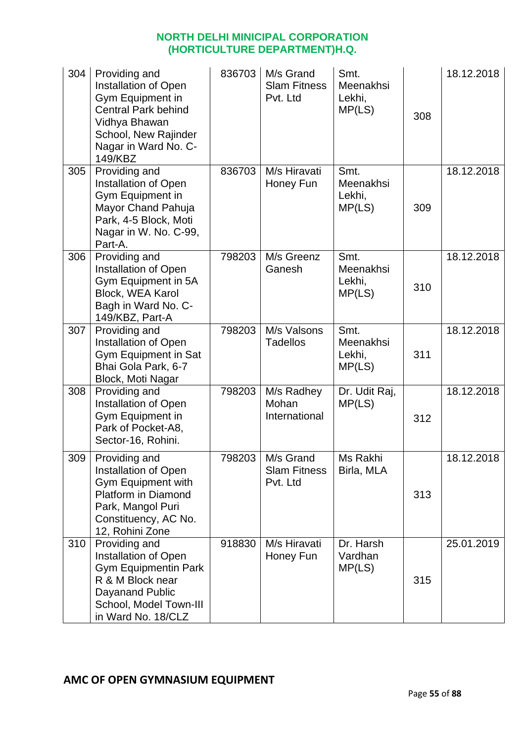| 304 | Providing and<br>Installation of Open<br>Gym Equipment in<br><b>Central Park behind</b><br>Vidhya Bhawan<br>School, New Rajinder<br>Nagar in Ward No. C-<br>149/KBZ | 836703 | M/s Grand<br><b>Slam Fitness</b><br>Pvt. Ltd | Smt.<br>Meenakhsi<br>Lekhi,<br>MP(LS) | 308 | 18.12.2018 |
|-----|---------------------------------------------------------------------------------------------------------------------------------------------------------------------|--------|----------------------------------------------|---------------------------------------|-----|------------|
| 305 | Providing and<br><b>Installation of Open</b><br>Gym Equipment in<br>Mayor Chand Pahuja<br>Park, 4-5 Block, Moti<br>Nagar in W. No. C-99,<br>Part-A.                 | 836703 | M/s Hiravati<br>Honey Fun                    | Smt.<br>Meenakhsi<br>Lekhi,<br>MP(LS) | 309 | 18.12.2018 |
| 306 | Providing and<br>Installation of Open<br>Gym Equipment in 5A<br>Block, WEA Karol<br>Bagh in Ward No. C-<br>149/KBZ, Part-A                                          | 798203 | M/s Greenz<br>Ganesh                         | Smt.<br>Meenakhsi<br>Lekhi,<br>MP(LS) | 310 | 18.12.2018 |
| 307 | Providing and<br>Installation of Open<br>Gym Equipment in Sat<br>Bhai Gola Park, 6-7<br>Block, Moti Nagar                                                           | 798203 | M/s Valsons<br><b>Tadellos</b>               | Smt.<br>Meenakhsi<br>Lekhi,<br>MP(LS) | 311 | 18.12.2018 |
| 308 | Providing and<br>Installation of Open<br>Gym Equipment in<br>Park of Pocket-A8,<br>Sector-16, Rohini.                                                               | 798203 | M/s Radhey<br>Mohan<br>International         | Dr. Udit Raj,<br>MP(LS)               | 312 | 18.12.2018 |
| 309 | Providing and<br>Installation of Open<br>Gym Equipment with<br>Platform in Diamond<br>Park, Mangol Puri<br>Constituency, AC No.<br>12, Rohini Zone                  | 798203 | M/s Grand<br><b>Slam Fitness</b><br>Pvt. Ltd | Ms Rakhi<br>Birla, MLA                | 313 | 18.12.2018 |
| 310 | Providing and<br><b>Installation of Open</b><br><b>Gym Equipmentin Park</b><br>R & M Block near<br>Dayanand Public<br>School, Model Town-III<br>in Ward No. 18/CLZ  | 918830 | M/s Hiravati<br>Honey Fun                    | Dr. Harsh<br>Vardhan<br>MP(LS)        | 315 | 25.01.2019 |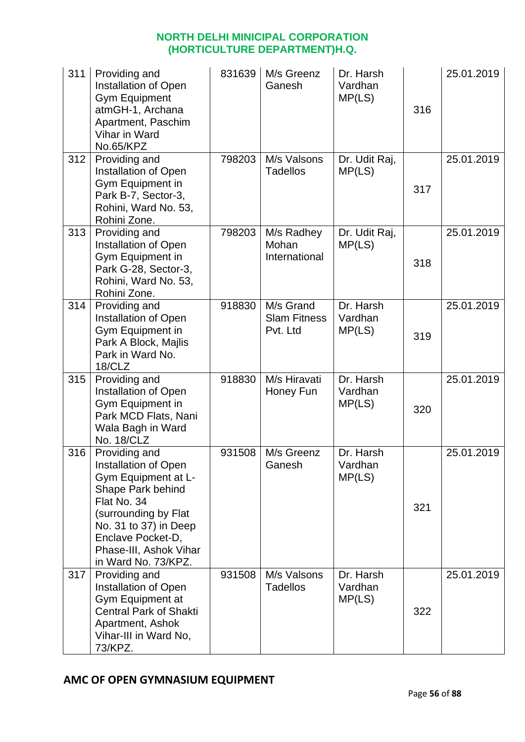| 311 | Providing and<br>Installation of Open<br><b>Gym Equipment</b><br>atmGH-1, Archana<br>Apartment, Paschim<br>Vihar in Ward<br>No.65/KPZ                                                                                   | 831639 | M/s Greenz<br>Ganesh                         | Dr. Harsh<br>Vardhan<br>MP(LS) | 316 | 25.01.2019 |
|-----|-------------------------------------------------------------------------------------------------------------------------------------------------------------------------------------------------------------------------|--------|----------------------------------------------|--------------------------------|-----|------------|
| 312 | Providing and<br>Installation of Open<br>Gym Equipment in<br>Park B-7, Sector-3,<br>Rohini, Ward No. 53,<br>Rohini Zone.                                                                                                | 798203 | M/s Valsons<br><b>Tadellos</b>               | Dr. Udit Raj,<br>MP(LS)        | 317 | 25.01.2019 |
| 313 | Providing and<br><b>Installation of Open</b><br>Gym Equipment in<br>Park G-28, Sector-3,<br>Rohini, Ward No. 53,<br>Rohini Zone.                                                                                        | 798203 | M/s Radhey<br>Mohan<br>International         | Dr. Udit Raj,<br>MP(LS)        | 318 | 25.01.2019 |
| 314 | Providing and<br>Installation of Open<br>Gym Equipment in<br>Park A Block, Majlis<br>Park in Ward No.<br>18/CLZ                                                                                                         | 918830 | M/s Grand<br><b>Slam Fitness</b><br>Pvt. Ltd | Dr. Harsh<br>Vardhan<br>MP(LS) | 319 | 25.01.2019 |
| 315 | Providing and<br>Installation of Open<br>Gym Equipment in<br>Park MCD Flats, Nani<br>Wala Bagh in Ward<br>No. 18/CLZ                                                                                                    | 918830 | M/s Hiravati<br>Honey Fun                    | Dr. Harsh<br>Vardhan<br>MP(LS) | 320 | 25.01.2019 |
| 316 | Providing and<br>Installation of Open<br>Gym Equipment at L-<br>Shape Park behind<br>Flat No. 34<br>(surrounding by Flat<br>No. 31 to 37) in Deep<br>Enclave Pocket-D,<br>Phase-III, Ashok Vihar<br>in Ward No. 73/KPZ. | 931508 | M/s Greenz<br>Ganesh                         | Dr. Harsh<br>Vardhan<br>MP(LS) | 321 | 25.01.2019 |
| 317 | Providing and<br>Installation of Open<br>Gym Equipment at<br><b>Central Park of Shakti</b><br>Apartment, Ashok<br>Vihar-III in Ward No,<br>73/KPZ.                                                                      | 931508 | M/s Valsons<br><b>Tadellos</b>               | Dr. Harsh<br>Vardhan<br>MP(LS) | 322 | 25.01.2019 |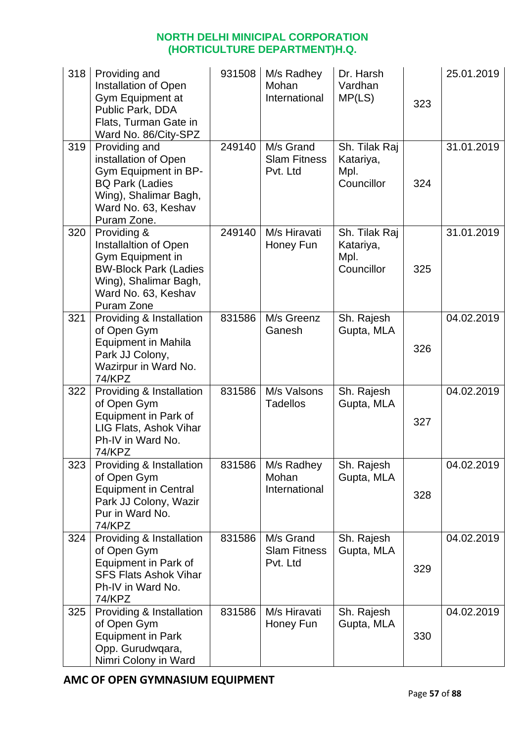| 318 | Providing and<br>Installation of Open<br>Gym Equipment at<br>Public Park, DDA<br>Flats, Turman Gate in<br>Ward No. 86/City-SPZ                         | 931508 | M/s Radhey<br>Mohan<br>International         | Dr. Harsh<br>Vardhan<br>MP(LS)                   | 323 | 25.01.2019 |
|-----|--------------------------------------------------------------------------------------------------------------------------------------------------------|--------|----------------------------------------------|--------------------------------------------------|-----|------------|
| 319 | Providing and<br>installation of Open<br>Gym Equipment in BP-<br><b>BQ Park (Ladies</b><br>Wing), Shalimar Bagh,<br>Ward No. 63, Keshav<br>Puram Zone. | 249140 | M/s Grand<br><b>Slam Fitness</b><br>Pvt. Ltd | Sh. Tilak Raj<br>Katariya,<br>Mpl.<br>Councillor | 324 | 31.01.2019 |
| 320 | Providing &<br>Installaltion of Open<br>Gym Equipment in<br><b>BW-Block Park (Ladies</b><br>Wing), Shalimar Bagh,<br>Ward No. 63, Keshav<br>Puram Zone | 249140 | M/s Hiravati<br>Honey Fun                    | Sh. Tilak Raj<br>Katariya,<br>Mpl.<br>Councillor | 325 | 31.01.2019 |
| 321 | Providing & Installation<br>of Open Gym<br><b>Equipment in Mahila</b><br>Park JJ Colony,<br>Wazirpur in Ward No.<br><b>74/KPZ</b>                      | 831586 | M/s Greenz<br>Ganesh                         | Sh. Rajesh<br>Gupta, MLA                         | 326 | 04.02.2019 |
| 322 | Providing & Installation<br>of Open Gym<br>Equipment in Park of<br>LIG Flats, Ashok Vihar<br>Ph-IV in Ward No.<br>74/KPZ                               | 831586 | M/s Valsons<br><b>Tadellos</b>               | Sh. Rajesh<br>Gupta, MLA                         | 327 | 04.02.2019 |
| 323 | Providing & Installation<br>of Open Gym<br><b>Equipment in Central</b><br>Park JJ Colony, Wazir<br>Pur in Ward No.<br><b>74/KPZ</b>                    | 831586 | M/s Radhey<br>Mohan<br>International         | Sh. Rajesh<br>Gupta, MLA                         | 328 | 04.02.2019 |
| 324 | Providing & Installation<br>of Open Gym<br>Equipment in Park of<br><b>SFS Flats Ashok Vihar</b><br>Ph-IV in Ward No.<br>74/KPZ                         | 831586 | M/s Grand<br><b>Slam Fitness</b><br>Pvt. Ltd | Sh. Rajesh<br>Gupta, MLA                         | 329 | 04.02.2019 |
| 325 | Providing & Installation<br>of Open Gym<br><b>Equipment in Park</b><br>Opp. Gurudwqara,<br>Nimri Colony in Ward                                        | 831586 | M/s Hiravati<br>Honey Fun                    | Sh. Rajesh<br>Gupta, MLA                         | 330 | 04.02.2019 |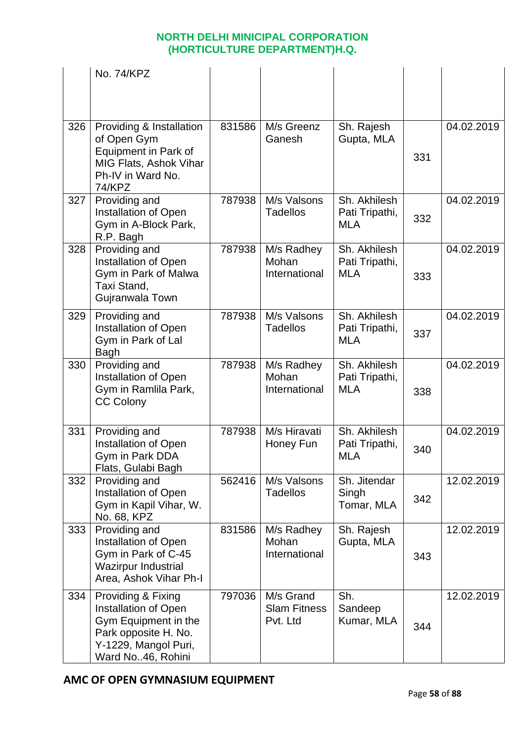|     | No. 74/KPZ                                                                                                                              |        |                                              |                                              |     |            |
|-----|-----------------------------------------------------------------------------------------------------------------------------------------|--------|----------------------------------------------|----------------------------------------------|-----|------------|
| 326 | Providing & Installation<br>of Open Gym<br>Equipment in Park of<br>MIG Flats, Ashok Vihar<br>Ph-IV in Ward No.<br><b>74/KPZ</b>         | 831586 | M/s Greenz<br>Ganesh                         | Sh. Rajesh<br>Gupta, MLA                     | 331 | 04.02.2019 |
| 327 | Providing and<br><b>Installation of Open</b><br>Gym in A-Block Park,<br>R.P. Bagh                                                       | 787938 | M/s Valsons<br><b>Tadellos</b>               | Sh. Akhilesh<br>Pati Tripathi,<br><b>MLA</b> | 332 | 04.02.2019 |
| 328 | Providing and<br>Installation of Open<br>Gym in Park of Malwa<br>Taxi Stand,<br>Gujranwala Town                                         | 787938 | M/s Radhey<br>Mohan<br>International         | Sh. Akhilesh<br>Pati Tripathi,<br><b>MLA</b> | 333 | 04.02.2019 |
| 329 | Providing and<br>Installation of Open<br>Gym in Park of Lal<br><b>Bagh</b>                                                              | 787938 | M/s Valsons<br><b>Tadellos</b>               | Sh. Akhilesh<br>Pati Tripathi,<br><b>MLA</b> | 337 | 04.02.2019 |
| 330 | Providing and<br>Installation of Open<br>Gym in Ramlila Park,<br><b>CC Colony</b>                                                       | 787938 | M/s Radhey<br>Mohan<br>International         | Sh. Akhilesh<br>Pati Tripathi,<br><b>MLA</b> | 338 | 04.02.2019 |
| 331 | Providing and<br><b>Installation of Open</b><br>Gym in Park DDA<br>Flats, Gulabi Bagh                                                   | 787938 | M/s Hiravati<br>Honey Fun                    | Sh. Akhilesh<br>Pati Tripathi,<br><b>MLA</b> | 340 | 04.02.2019 |
| 332 | Providing and<br><b>Installation of Open</b><br>Gym in Kapil Vihar, W.<br>No. 68, KPZ                                                   | 562416 | M/s Valsons<br><b>Tadellos</b>               | Sh. Jitendar<br>Singh<br>Tomar, MLA          | 342 | 12.02.2019 |
| 333 | Providing and<br>Installation of Open<br>Gym in Park of C-45<br><b>Wazirpur Industrial</b><br>Area, Ashok Vihar Ph-I                    | 831586 | M/s Radhey<br>Mohan<br>International         | Sh. Rajesh<br>Gupta, MLA                     | 343 | 12.02.2019 |
| 334 | Providing & Fixing<br>Installation of Open<br>Gym Equipment in the<br>Park opposite H. No.<br>Y-1229, Mangol Puri,<br>Ward No46, Rohini | 797036 | M/s Grand<br><b>Slam Fitness</b><br>Pvt. Ltd | Sh.<br>Sandeep<br>Kumar, MLA                 | 344 | 12.02.2019 |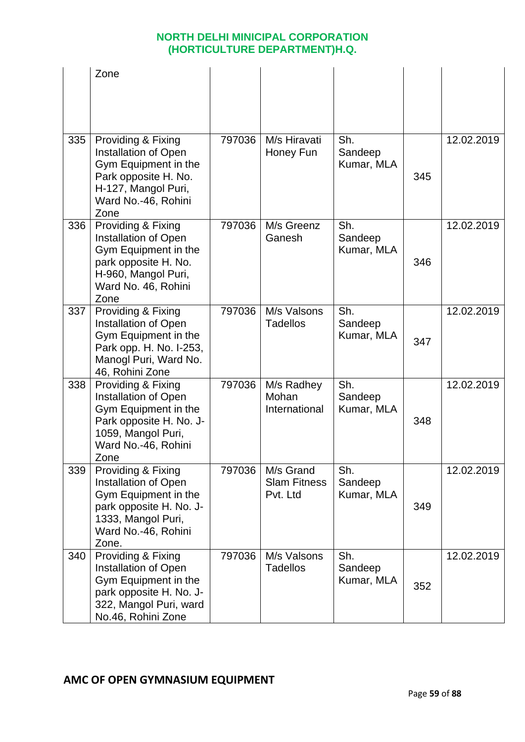|     | Zone                                                                                                                                                |        |                                              |                              |     |            |
|-----|-----------------------------------------------------------------------------------------------------------------------------------------------------|--------|----------------------------------------------|------------------------------|-----|------------|
|     |                                                                                                                                                     |        |                                              |                              |     |            |
| 335 | Providing & Fixing<br>Installation of Open<br>Gym Equipment in the<br>Park opposite H. No.<br>H-127, Mangol Puri,<br>Ward No.-46, Rohini<br>Zone    | 797036 | M/s Hiravati<br>Honey Fun                    | Sh.<br>Sandeep<br>Kumar, MLA | 345 | 12.02.2019 |
| 336 | Providing & Fixing<br>Installation of Open<br>Gym Equipment in the<br>park opposite H. No.<br>H-960, Mangol Puri,<br>Ward No. 46, Rohini<br>Zone    | 797036 | M/s Greenz<br>Ganesh                         | Sh.<br>Sandeep<br>Kumar, MLA | 346 | 12.02.2019 |
| 337 | Providing & Fixing<br>Installation of Open<br>Gym Equipment in the<br>Park opp. H. No. I-253,<br>Manogl Puri, Ward No.<br>46, Rohini Zone           | 797036 | M/s Valsons<br><b>Tadellos</b>               | Sh.<br>Sandeep<br>Kumar, MLA | 347 | 12.02.2019 |
| 338 | Providing & Fixing<br>Installation of Open<br>Gym Equipment in the<br>Park opposite H. No. J-<br>1059, Mangol Puri,<br>Ward No.-46, Rohini<br>Zone  | 797036 | M/s Radhey<br>Mohan<br>International         | Sh.<br>Sandeep<br>Kumar, MLA | 348 | 12.02.2019 |
| 339 | Providing & Fixing<br>Installation of Open<br>Gym Equipment in the<br>park opposite H. No. J-<br>1333, Mangol Puri,<br>Ward No.-46, Rohini<br>Zone. | 797036 | M/s Grand<br><b>Slam Fitness</b><br>Pvt. Ltd | Sh.<br>Sandeep<br>Kumar, MLA | 349 | 12.02.2019 |
| 340 | Providing & Fixing<br>Installation of Open<br>Gym Equipment in the<br>park opposite H. No. J-<br>322, Mangol Puri, ward<br>No.46, Rohini Zone       | 797036 | M/s Valsons<br><b>Tadellos</b>               | Sh.<br>Sandeep<br>Kumar, MLA | 352 | 12.02.2019 |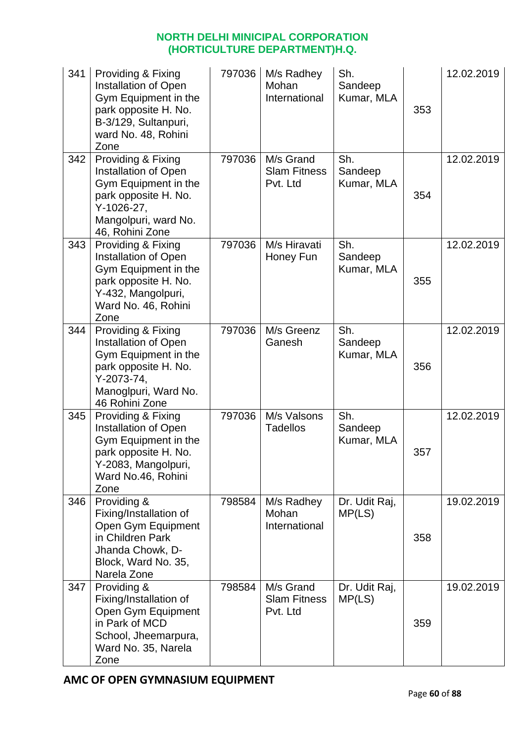| 341 | Providing & Fixing<br>Installation of Open<br>Gym Equipment in the<br>park opposite H. No.<br>B-3/129, Sultanpuri,<br>ward No. 48, Rohini<br>Zone   | 797036 | M/s Radhey<br>Mohan<br>International         | Sh.<br>Sandeep<br>Kumar, MLA | 353 | 12.02.2019 |
|-----|-----------------------------------------------------------------------------------------------------------------------------------------------------|--------|----------------------------------------------|------------------------------|-----|------------|
| 342 | Providing & Fixing<br>Installation of Open<br>Gym Equipment in the<br>park opposite H. No.<br>Y-1026-27,<br>Mangolpuri, ward No.<br>46, Rohini Zone | 797036 | M/s Grand<br><b>Slam Fitness</b><br>Pvt. Ltd | Sh.<br>Sandeep<br>Kumar, MLA | 354 | 12.02.2019 |
| 343 | Providing & Fixing<br>Installation of Open<br>Gym Equipment in the<br>park opposite H. No.<br>Y-432, Mangolpuri,<br>Ward No. 46, Rohini<br>Zone     | 797036 | M/s Hiravati<br>Honey Fun                    | Sh.<br>Sandeep<br>Kumar, MLA | 355 | 12.02.2019 |
| 344 | Providing & Fixing<br>Installation of Open<br>Gym Equipment in the<br>park opposite H. No.<br>Y-2073-74,<br>Manoglpuri, Ward No.<br>46 Rohini Zone  | 797036 | M/s Greenz<br>Ganesh                         | Sh.<br>Sandeep<br>Kumar, MLA | 356 | 12.02.2019 |
| 345 | Providing & Fixing<br>Installation of Open<br>Gym Equipment in the<br>park opposite H. No.<br>Y-2083, Mangolpuri,<br>Ward No.46, Rohini<br>Zone     | 797036 | M/s Valsons<br><b>Tadellos</b>               | Sh.<br>Sandeep<br>Kumar, MLA | 357 | 12.02.2019 |
| 346 | Providing &<br>Fixing/Installation of<br>Open Gym Equipment<br>in Children Park<br>Jhanda Chowk, D-<br>Block, Ward No. 35,<br>Narela Zone           | 798584 | M/s Radhey<br>Mohan<br>International         | Dr. Udit Raj,<br>MP(LS)      | 358 | 19.02.2019 |
| 347 | Providing &<br>Fixing/Installation of<br>Open Gym Equipment<br>in Park of MCD<br>School, Jheemarpura,<br>Ward No. 35, Narela<br>Zone                | 798584 | M/s Grand<br><b>Slam Fitness</b><br>Pvt. Ltd | Dr. Udit Raj,<br>MP(LS)      | 359 | 19.02.2019 |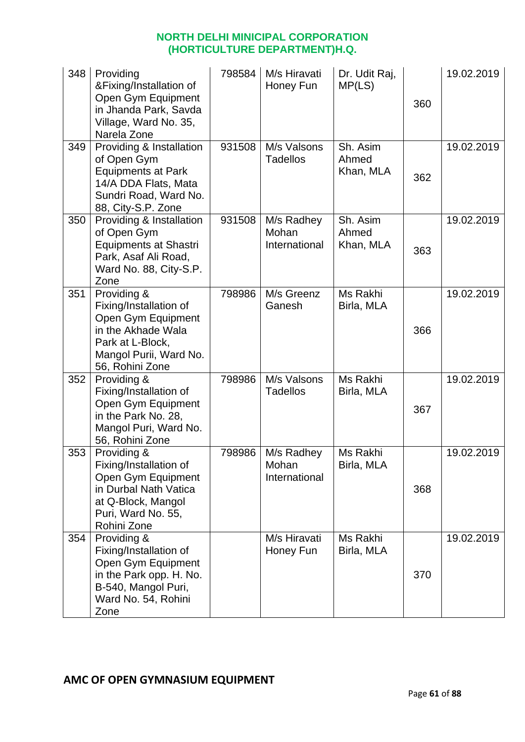| 348 | Providing<br>&Fixing/Installation of<br>Open Gym Equipment<br>in Jhanda Park, Savda<br>Village, Ward No. 35,<br>Narela Zone                        | 798584 | M/s Hiravati<br>Honey Fun            | Dr. Udit Raj,<br>MP(LS)        | 360 | 19.02.2019 |
|-----|----------------------------------------------------------------------------------------------------------------------------------------------------|--------|--------------------------------------|--------------------------------|-----|------------|
| 349 | Providing & Installation<br>of Open Gym<br><b>Equipments at Park</b><br>14/A DDA Flats, Mata<br>Sundri Road, Ward No.<br>88, City-S.P. Zone        | 931508 | M/s Valsons<br><b>Tadellos</b>       | Sh. Asim<br>Ahmed<br>Khan, MLA | 362 | 19.02.2019 |
| 350 | Providing & Installation<br>of Open Gym<br><b>Equipments at Shastri</b><br>Park, Asaf Ali Road,<br>Ward No. 88, City-S.P.<br>Zone                  | 931508 | M/s Radhey<br>Mohan<br>International | Sh. Asim<br>Ahmed<br>Khan, MLA | 363 | 19.02.2019 |
| 351 | Providing &<br>Fixing/Installation of<br>Open Gym Equipment<br>in the Akhade Wala<br>Park at L-Block,<br>Mangol Purii, Ward No.<br>56, Rohini Zone | 798986 | M/s Greenz<br>Ganesh                 | Ms Rakhi<br>Birla, MLA         | 366 | 19.02.2019 |
| 352 | Providing &<br>Fixing/Installation of<br>Open Gym Equipment<br>in the Park No. 28,<br>Mangol Puri, Ward No.<br>56, Rohini Zone                     | 798986 | M/s Valsons<br><b>Tadellos</b>       | Ms Rakhi<br>Birla, MLA         | 367 | 19.02.2019 |
| 353 | Providing &<br>Fixing/Installation of<br>Open Gym Equipment<br>in Durbal Nath Vatica<br>at Q-Block, Mangol<br>Puri, Ward No. 55,<br>Rohini Zone    | 798986 | M/s Radhey<br>Mohan<br>International | Ms Rakhi<br>Birla, MLA         | 368 | 19.02.2019 |
| 354 | Providing &<br>Fixing/Installation of<br>Open Gym Equipment<br>in the Park opp. H. No.<br>B-540, Mangol Puri,<br>Ward No. 54, Rohini<br>Zone       |        | M/s Hiravati<br>Honey Fun            | Ms Rakhi<br>Birla, MLA         | 370 | 19.02.2019 |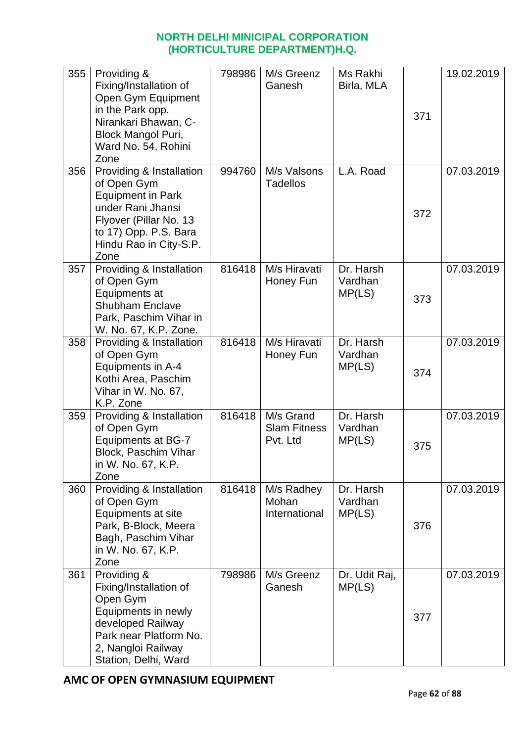| 355 | Providing &<br>Fixing/Installation of<br>Open Gym Equipment<br>in the Park opp.<br>Nirankari Bhawan, C-<br><b>Block Mangol Puri,</b><br>Ward No. 54, Rohini<br>Zone           | 798986 | M/s Greenz<br>Ganesh                         | Ms Rakhi<br>Birla, MLA         | 371 | 19.02.2019 |
|-----|-------------------------------------------------------------------------------------------------------------------------------------------------------------------------------|--------|----------------------------------------------|--------------------------------|-----|------------|
| 356 | Providing & Installation<br>of Open Gym<br><b>Equipment in Park</b><br>under Rani Jhansi<br>Flyover (Pillar No. 13<br>to 17) Opp. P.S. Bara<br>Hindu Rao in City-S.P.<br>Zone | 994760 | M/s Valsons<br><b>Tadellos</b>               | L.A. Road                      | 372 | 07.03.2019 |
| 357 | Providing & Installation<br>of Open Gym<br>Equipments at<br><b>Shubham Enclave</b><br>Park, Paschim Vihar in<br>W. No. 67, K.P. Zone.                                         | 816418 | M/s Hiravati<br>Honey Fun                    | Dr. Harsh<br>Vardhan<br>MP(LS) | 373 | 07.03.2019 |
| 358 | Providing & Installation<br>of Open Gym<br>Equipments in A-4<br>Kothi Area, Paschim<br>Vihar in W. No. 67,<br>K.P. Zone                                                       | 816418 | M/s Hiravati<br>Honey Fun                    | Dr. Harsh<br>Vardhan<br>MP(LS) | 374 | 07.03.2019 |
| 359 | Providing & Installation<br>of Open Gym<br><b>Equipments at BG-7</b><br><b>Block, Paschim Vihar</b><br>in W. No. 67, K.P.<br>Zone                                             | 816418 | M/s Grand<br><b>Slam Fitness</b><br>Pvt. Ltd | Dr. Harsh<br>Vardhan<br>MP(LS) | 375 | 07.03.2019 |
| 360 | Providing & Installation<br>of Open Gym<br>Equipments at site<br>Park, B-Block, Meera<br>Bagh, Paschim Vihar<br>in W. No. 67, K.P.<br>Zone                                    | 816418 | M/s Radhey<br>Mohan<br>International         | Dr. Harsh<br>Vardhan<br>MP(LS) | 376 | 07.03.2019 |
| 361 | Providing &<br>Fixing/Installation of<br>Open Gym<br>Equipments in newly<br>developed Railway<br>Park near Platform No.<br>2, Nangloi Railway<br>Station, Delhi, Ward         | 798986 | M/s Greenz<br>Ganesh                         | Dr. Udit Raj,<br>MP(LS)        | 377 | 07.03.2019 |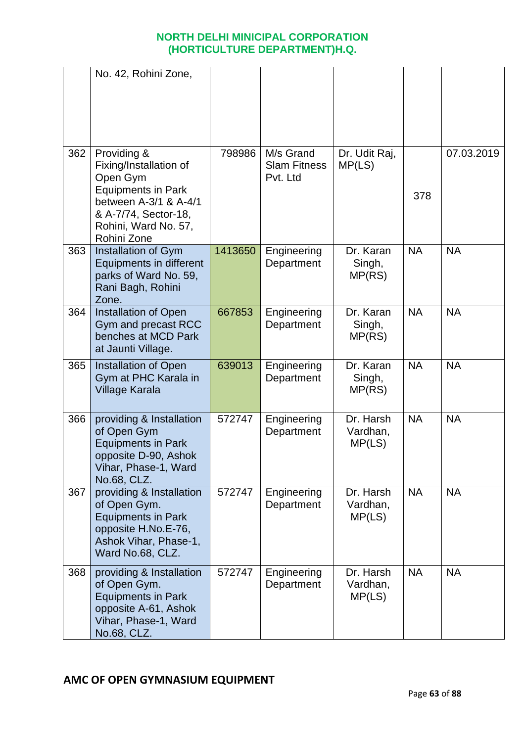|     | No. 42, Rohini Zone,                                                                                                                                                   |         |                                              |                                 |           |            |
|-----|------------------------------------------------------------------------------------------------------------------------------------------------------------------------|---------|----------------------------------------------|---------------------------------|-----------|------------|
| 362 | Providing &<br>Fixing/Installation of<br>Open Gym<br><b>Equipments in Park</b><br>between A-3/1 & A-4/1<br>& A-7/74, Sector-18,<br>Rohini, Ward No. 57,<br>Rohini Zone | 798986  | M/s Grand<br><b>Slam Fitness</b><br>Pvt. Ltd | Dr. Udit Raj,<br>MP(LS)         | 378       | 07.03.2019 |
| 363 | Installation of Gym<br>Equipments in different<br>parks of Ward No. 59,<br>Rani Bagh, Rohini<br>Zone.                                                                  | 1413650 | Engineering<br>Department                    | Dr. Karan<br>Singh,<br>MP(RS)   | <b>NA</b> | <b>NA</b>  |
| 364 | <b>Installation of Open</b><br>Gym and precast RCC<br>benches at MCD Park<br>at Jaunti Village.                                                                        | 667853  | Engineering<br>Department                    | Dr. Karan<br>Singh,<br>MP(RS)   | <b>NA</b> | <b>NA</b>  |
| 365 | <b>Installation of Open</b><br>Gym at PHC Karala in<br><b>Village Karala</b>                                                                                           | 639013  | Engineering<br>Department                    | Dr. Karan<br>Singh,<br>MP(RS)   | <b>NA</b> | <b>NA</b>  |
| 366 | providing & Installation<br>of Open Gym<br><b>Equipments in Park</b><br>opposite D-90, Ashok<br>Vihar, Phase-1, Ward<br>No.68, CLZ.                                    | 572747  | Engineering<br>Department                    | Dr. Harsh<br>Vardhan,<br>MP(LS) | <b>NA</b> | <b>NA</b>  |
| 367 | providing & Installation<br>of Open Gym.<br><b>Equipments in Park</b><br>opposite H.No.E-76,<br>Ashok Vihar, Phase-1,<br>Ward No.68, CLZ.                              | 572747  | Engineering<br>Department                    | Dr. Harsh<br>Vardhan,<br>MP(LS) | <b>NA</b> | <b>NA</b>  |
| 368 | providing & Installation<br>of Open Gym.<br><b>Equipments in Park</b><br>opposite A-61, Ashok<br>Vihar, Phase-1, Ward<br>No.68, CLZ.                                   | 572747  | Engineering<br>Department                    | Dr. Harsh<br>Vardhan,<br>MP(LS) | <b>NA</b> | <b>NA</b>  |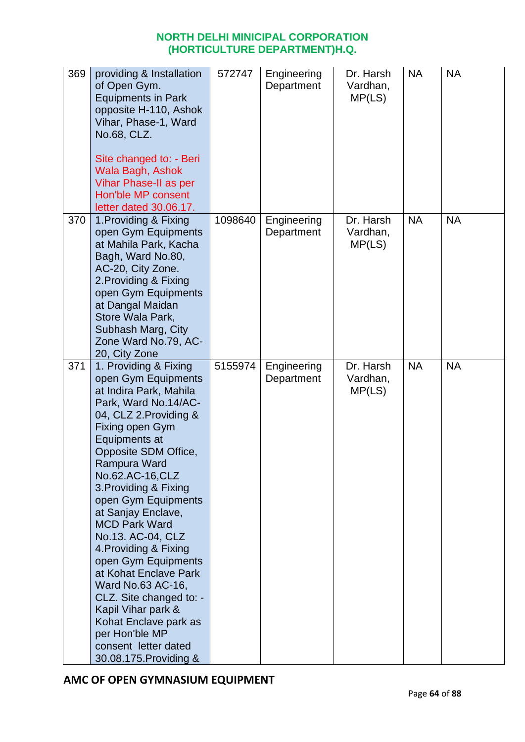| 369 | providing & Installation<br>of Open Gym.<br><b>Equipments in Park</b><br>opposite H-110, Ashok<br>Vihar, Phase-1, Ward<br>No.68, CLZ.<br>Site changed to: - Beri<br>Wala Bagh, Ashok<br>Vihar Phase-II as per<br>Hon'ble MP consent<br>letter dated 30.06.17.                                                                                                                                                                                                                                                                                                                          | 572747  | Engineering<br>Department | Dr. Harsh<br>Vardhan,<br>MP(LS) | <b>NA</b> | <b>NA</b> |
|-----|----------------------------------------------------------------------------------------------------------------------------------------------------------------------------------------------------------------------------------------------------------------------------------------------------------------------------------------------------------------------------------------------------------------------------------------------------------------------------------------------------------------------------------------------------------------------------------------|---------|---------------------------|---------------------------------|-----------|-----------|
| 370 | 1. Providing & Fixing<br>open Gym Equipments<br>at Mahila Park, Kacha<br>Bagh, Ward No.80,<br>AC-20, City Zone.<br>2. Providing & Fixing<br>open Gym Equipments<br>at Dangal Maidan<br>Store Wala Park,<br>Subhash Marg, City<br>Zone Ward No.79, AC-<br>20, City Zone                                                                                                                                                                                                                                                                                                                 | 1098640 | Engineering<br>Department | Dr. Harsh<br>Vardhan,<br>MP(LS) | <b>NA</b> | <b>NA</b> |
| 371 | 1. Providing & Fixing<br>open Gym Equipments<br>at Indira Park, Mahila<br>Park, Ward No.14/AC-<br>04, CLZ 2. Providing &<br>Fixing open Gym<br>Equipments at<br>Opposite SDM Office,<br>Rampura Ward<br>No.62.AC-16,CLZ<br>3. Providing & Fixing<br>open Gym Equipments<br>at Sanjay Enclave,<br><b>MCD Park Ward</b><br>No.13. AC-04, CLZ<br>4. Providing & Fixing<br>open Gym Equipments<br>at Kohat Enclave Park<br>Ward No.63 AC-16,<br>CLZ. Site changed to: -<br>Kapil Vihar park &<br>Kohat Enclave park as<br>per Hon'ble MP<br>consent letter dated<br>30.08.175. Providing & | 5155974 | Engineering<br>Department | Dr. Harsh<br>Vardhan,<br>MP(LS) | <b>NA</b> | <b>NA</b> |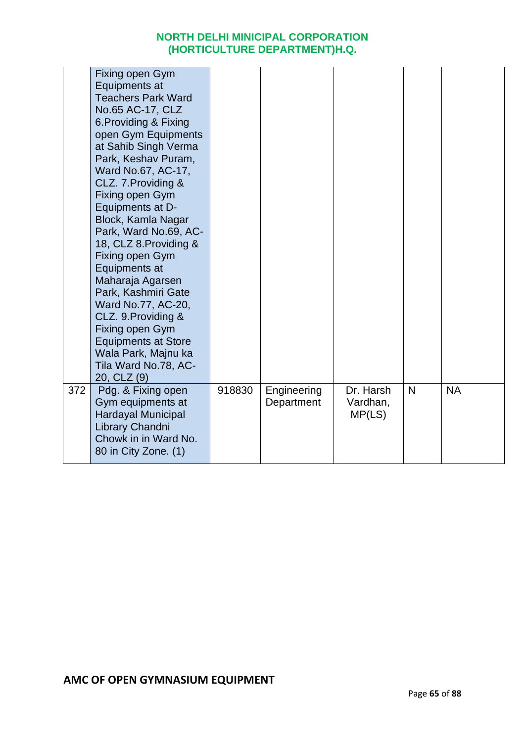|     | Fixing open Gym<br>Equipments at<br><b>Teachers Park Ward</b><br>No.65 AC-17, CLZ<br>6. Providing & Fixing<br>open Gym Equipments<br>at Sahib Singh Verma<br>Park, Keshav Puram,<br>Ward No.67, AC-17,<br>CLZ. 7. Providing &<br>Fixing open Gym<br>Equipments at D-<br>Block, Kamla Nagar<br>Park, Ward No.69, AC-<br>18, CLZ 8. Providing &<br>Fixing open Gym<br>Equipments at<br>Maharaja Agarsen<br>Park, Kashmiri Gate<br>Ward No.77, AC-20,<br>CLZ. 9. Providing &<br>Fixing open Gym<br><b>Equipments at Store</b><br>Wala Park, Majnu ka<br>Tila Ward No.78, AC-<br>20, CLZ (9) |        |                           |                                 |   |           |  |
|-----|------------------------------------------------------------------------------------------------------------------------------------------------------------------------------------------------------------------------------------------------------------------------------------------------------------------------------------------------------------------------------------------------------------------------------------------------------------------------------------------------------------------------------------------------------------------------------------------|--------|---------------------------|---------------------------------|---|-----------|--|
| 372 | Pdg. & Fixing open<br>Gym equipments at<br><b>Hardayal Municipal</b><br>Library Chandni<br>Chowk in in Ward No.<br>80 in City Zone. (1)                                                                                                                                                                                                                                                                                                                                                                                                                                                  | 918830 | Engineering<br>Department | Dr. Harsh<br>Vardhan,<br>MP(LS) | N | <b>NA</b> |  |
|     |                                                                                                                                                                                                                                                                                                                                                                                                                                                                                                                                                                                          |        |                           |                                 |   |           |  |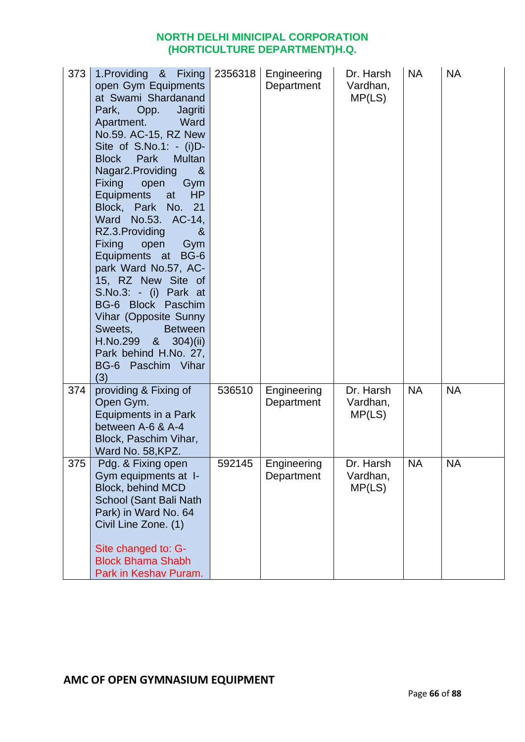| 373 | 1. Providing & Fixing<br>open Gym Equipments<br>at Swami Shardanand<br>Park,<br>Opp.<br>Jagriti<br>Apartment.<br>Ward<br>No.59. AC-15, RZ New<br>Site of $S.No.1: - (i)D-$<br>Park<br><b>Block</b><br><b>Multan</b><br>Nagar2.Providing<br>8 <sub>l</sub><br><b>Fixing</b><br>open<br>Gym<br><b>HP</b><br>Equipments<br>at<br>Block, Park No. 21<br>Ward<br>No.53. AC-14,<br>RZ.3. Providing<br>&<br><b>Fixing</b><br>open<br>Gym<br>Equipments at<br><b>BG-6</b><br>park Ward No.57, AC-<br>15, RZ New Site of<br>S.No.3: - (i) Park at<br>BG-6 Block Paschim<br>Vihar (Opposite Sunny<br>Sweets,<br><b>Between</b><br>8 <sub>1</sub><br>H.No.299<br>304)(ii)<br>Park behind H.No. 27,<br>BG-6 Paschim Vihar<br>(3) | 2356318 | Engineering<br>Department | Dr. Harsh<br>Vardhan,<br>MP(LS) | <b>NA</b> | <b>NA</b> |
|-----|----------------------------------------------------------------------------------------------------------------------------------------------------------------------------------------------------------------------------------------------------------------------------------------------------------------------------------------------------------------------------------------------------------------------------------------------------------------------------------------------------------------------------------------------------------------------------------------------------------------------------------------------------------------------------------------------------------------------|---------|---------------------------|---------------------------------|-----------|-----------|
| 374 | providing & Fixing of<br>Open Gym.<br>Equipments in a Park<br>between A-6 & A-4<br>Block, Paschim Vihar,<br>Ward No. 58, KPZ.                                                                                                                                                                                                                                                                                                                                                                                                                                                                                                                                                                                        | 536510  | Engineering<br>Department | Dr. Harsh<br>Vardhan,<br>MP(LS) | <b>NA</b> | <b>NA</b> |
| 375 | Pdg. & Fixing open<br>Gym equipments at I-<br><b>Block, behind MCD</b><br>School (Sant Bali Nath<br>Park) in Ward No. 64<br>Civil Line Zone. (1)<br>Site changed to: G-<br><b>Block Bhama Shabh</b><br>Park in Keshav Puram.                                                                                                                                                                                                                                                                                                                                                                                                                                                                                         | 592145  | Engineering<br>Department | Dr. Harsh<br>Vardhan,<br>MP(LS) | <b>NA</b> | <b>NA</b> |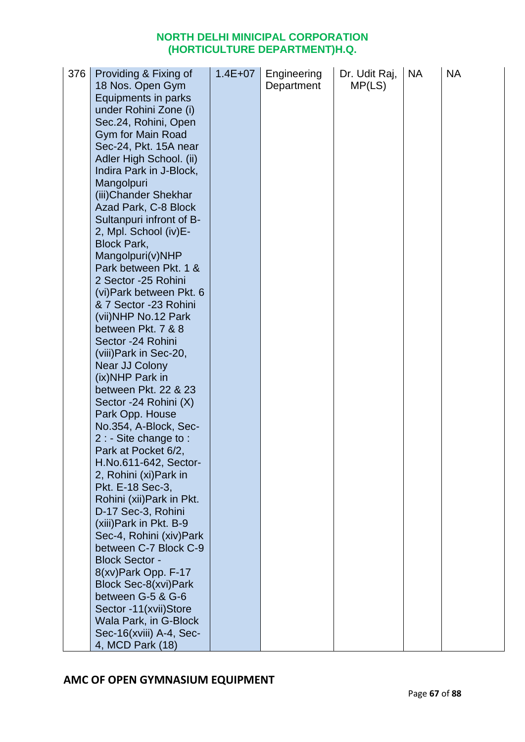| 376 | Providing & Fixing of                             | $1.4E + 07$ | Engineering | Dr. Udit Raj, | <b>NA</b> | <b>NA</b> |
|-----|---------------------------------------------------|-------------|-------------|---------------|-----------|-----------|
|     | 18 Nos. Open Gym<br>Equipments in parks           |             | Department  | MP(LS)        |           |           |
|     | under Rohini Zone (i)                             |             |             |               |           |           |
|     | Sec.24, Rohini, Open                              |             |             |               |           |           |
|     | Gym for Main Road                                 |             |             |               |           |           |
|     | Sec-24, Pkt. 15A near                             |             |             |               |           |           |
|     | Adler High School. (ii)                           |             |             |               |           |           |
|     | Indira Park in J-Block,                           |             |             |               |           |           |
|     | Mangolpuri                                        |             |             |               |           |           |
|     | (iii) Chander Shekhar                             |             |             |               |           |           |
|     | Azad Park, C-8 Block                              |             |             |               |           |           |
|     | Sultanpuri infront of B-<br>2, Mpl. School (iv)E- |             |             |               |           |           |
|     | <b>Block Park,</b>                                |             |             |               |           |           |
|     | Mangolpuri(v)NHP                                  |             |             |               |           |           |
|     | Park between Pkt. 1 &                             |             |             |               |           |           |
|     | 2 Sector -25 Rohini                               |             |             |               |           |           |
|     | (vi) Park between Pkt. 6                          |             |             |               |           |           |
|     | & 7 Sector -23 Rohini                             |             |             |               |           |           |
|     | (vii)NHP No.12 Park                               |             |             |               |           |           |
|     | between Pkt. 7 & 8                                |             |             |               |           |           |
|     | Sector -24 Rohini                                 |             |             |               |           |           |
|     | (viii) Park in Sec-20,<br>Near JJ Colony          |             |             |               |           |           |
|     | (ix)NHP Park in                                   |             |             |               |           |           |
|     | between Pkt. 22 & 23                              |             |             |               |           |           |
|     | Sector -24 Rohini (X)                             |             |             |               |           |           |
|     | Park Opp. House                                   |             |             |               |           |           |
|     | No.354, A-Block, Sec-                             |             |             |               |           |           |
|     | $2:$ - Site change to :                           |             |             |               |           |           |
|     | Park at Pocket 6/2,                               |             |             |               |           |           |
|     | H.No.611-642, Sector-                             |             |             |               |           |           |
|     | 2, Rohini (xi) Park in<br>Pkt. E-18 Sec-3,        |             |             |               |           |           |
|     | Rohini (xii) Park in Pkt.                         |             |             |               |           |           |
|     | D-17 Sec-3, Rohini                                |             |             |               |           |           |
|     | (xiii) Park in Pkt. B-9                           |             |             |               |           |           |
|     | Sec-4, Rohini (xiv) Park                          |             |             |               |           |           |
|     | between C-7 Block C-9                             |             |             |               |           |           |
|     | <b>Block Sector -</b>                             |             |             |               |           |           |
|     | 8(xv) Park Opp. F-17                              |             |             |               |           |           |
|     | Block Sec-8(xvi)Park                              |             |             |               |           |           |
|     | between G-5 & G-6                                 |             |             |               |           |           |
|     | Sector -11(xvii)Store<br>Wala Park, in G-Block    |             |             |               |           |           |
|     | Sec-16(xviii) A-4, Sec-                           |             |             |               |           |           |
|     | 4, MCD Park (18)                                  |             |             |               |           |           |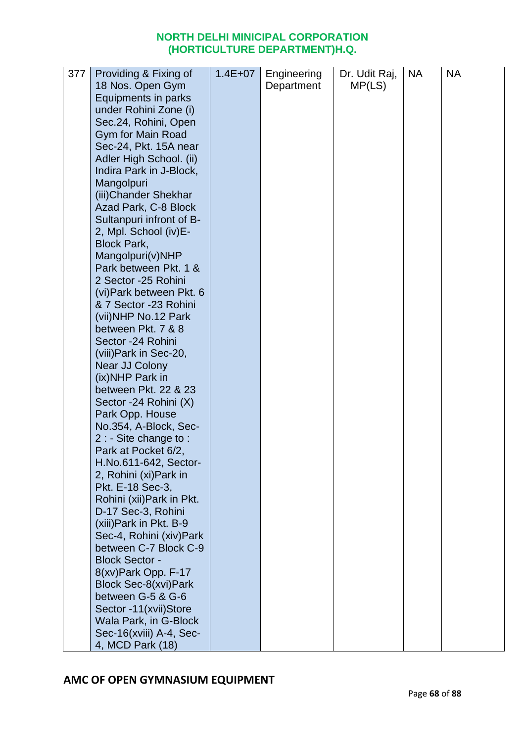| Equipments in parks<br>under Rohini Zone (i)<br>Sec.24, Rohini, Open<br>Gym for Main Road<br>Sec-24, Pkt. 15A near<br>Adler High School. (ii)<br>Indira Park in J-Block,<br>Mangolpuri<br>(iii) Chander Shekhar<br>Azad Park, C-8 Block<br>Sultanpuri infront of B-<br>2, Mpl. School (iv)E-<br><b>Block Park,</b><br>Mangolpuri(v)NHP<br>Park between Pkt. 1 &<br>2 Sector -25 Rohini<br>(vi) Park between Pkt. 6<br>& 7 Sector -23 Rohini<br>(vii)NHP No.12 Park<br>between Pkt. 7 & 8<br>Sector -24 Rohini<br>(viii) Park in Sec-20,<br>Near JJ Colony<br>(ix)NHP Park in<br>between Pkt. 22 & 23<br>Sector -24 Rohini (X)<br>Park Opp. House<br>No.354, A-Block, Sec-<br>$2:$ - Site change to :<br>Park at Pocket 6/2,<br>H.No.611-642, Sector-<br>2, Rohini (xi) Park in<br>Pkt. E-18 Sec-3,<br>Rohini (xii) Park in Pkt.<br>D-17 Sec-3, Rohini<br>(xiii) Park in Pkt. B-9<br>Sec-4, Rohini (xiv) Park<br>between C-7 Block C-9<br><b>Block Sector -</b><br>8(xv) Park Opp. F-17<br>Block Sec-8(xvi)Park<br>between G-5 & G-6<br>Sector -11(xvii)Store<br>Wala Park, in G-Block<br>Sec-16(xviii) A-4, Sec- | 377 | Providing & Fixing of | $1.4E + 07$ | Engineering | Dr. Udit Raj, | <b>NA</b> | <b>NA</b> |
|------------------------------------------------------------------------------------------------------------------------------------------------------------------------------------------------------------------------------------------------------------------------------------------------------------------------------------------------------------------------------------------------------------------------------------------------------------------------------------------------------------------------------------------------------------------------------------------------------------------------------------------------------------------------------------------------------------------------------------------------------------------------------------------------------------------------------------------------------------------------------------------------------------------------------------------------------------------------------------------------------------------------------------------------------------------------------------------------------------------|-----|-----------------------|-------------|-------------|---------------|-----------|-----------|
|                                                                                                                                                                                                                                                                                                                                                                                                                                                                                                                                                                                                                                                                                                                                                                                                                                                                                                                                                                                                                                                                                                                  |     | 18 Nos. Open Gym      |             | Department  | MP(LS)        |           |           |
|                                                                                                                                                                                                                                                                                                                                                                                                                                                                                                                                                                                                                                                                                                                                                                                                                                                                                                                                                                                                                                                                                                                  |     |                       |             |             |               |           |           |
|                                                                                                                                                                                                                                                                                                                                                                                                                                                                                                                                                                                                                                                                                                                                                                                                                                                                                                                                                                                                                                                                                                                  |     |                       |             |             |               |           |           |
|                                                                                                                                                                                                                                                                                                                                                                                                                                                                                                                                                                                                                                                                                                                                                                                                                                                                                                                                                                                                                                                                                                                  |     |                       |             |             |               |           |           |
|                                                                                                                                                                                                                                                                                                                                                                                                                                                                                                                                                                                                                                                                                                                                                                                                                                                                                                                                                                                                                                                                                                                  |     |                       |             |             |               |           |           |
|                                                                                                                                                                                                                                                                                                                                                                                                                                                                                                                                                                                                                                                                                                                                                                                                                                                                                                                                                                                                                                                                                                                  |     |                       |             |             |               |           |           |
|                                                                                                                                                                                                                                                                                                                                                                                                                                                                                                                                                                                                                                                                                                                                                                                                                                                                                                                                                                                                                                                                                                                  |     |                       |             |             |               |           |           |
|                                                                                                                                                                                                                                                                                                                                                                                                                                                                                                                                                                                                                                                                                                                                                                                                                                                                                                                                                                                                                                                                                                                  |     |                       |             |             |               |           |           |
|                                                                                                                                                                                                                                                                                                                                                                                                                                                                                                                                                                                                                                                                                                                                                                                                                                                                                                                                                                                                                                                                                                                  |     |                       |             |             |               |           |           |
|                                                                                                                                                                                                                                                                                                                                                                                                                                                                                                                                                                                                                                                                                                                                                                                                                                                                                                                                                                                                                                                                                                                  |     |                       |             |             |               |           |           |
|                                                                                                                                                                                                                                                                                                                                                                                                                                                                                                                                                                                                                                                                                                                                                                                                                                                                                                                                                                                                                                                                                                                  |     |                       |             |             |               |           |           |
|                                                                                                                                                                                                                                                                                                                                                                                                                                                                                                                                                                                                                                                                                                                                                                                                                                                                                                                                                                                                                                                                                                                  |     |                       |             |             |               |           |           |
|                                                                                                                                                                                                                                                                                                                                                                                                                                                                                                                                                                                                                                                                                                                                                                                                                                                                                                                                                                                                                                                                                                                  |     |                       |             |             |               |           |           |
|                                                                                                                                                                                                                                                                                                                                                                                                                                                                                                                                                                                                                                                                                                                                                                                                                                                                                                                                                                                                                                                                                                                  |     |                       |             |             |               |           |           |
|                                                                                                                                                                                                                                                                                                                                                                                                                                                                                                                                                                                                                                                                                                                                                                                                                                                                                                                                                                                                                                                                                                                  |     |                       |             |             |               |           |           |
|                                                                                                                                                                                                                                                                                                                                                                                                                                                                                                                                                                                                                                                                                                                                                                                                                                                                                                                                                                                                                                                                                                                  |     |                       |             |             |               |           |           |
|                                                                                                                                                                                                                                                                                                                                                                                                                                                                                                                                                                                                                                                                                                                                                                                                                                                                                                                                                                                                                                                                                                                  |     |                       |             |             |               |           |           |
|                                                                                                                                                                                                                                                                                                                                                                                                                                                                                                                                                                                                                                                                                                                                                                                                                                                                                                                                                                                                                                                                                                                  |     |                       |             |             |               |           |           |
|                                                                                                                                                                                                                                                                                                                                                                                                                                                                                                                                                                                                                                                                                                                                                                                                                                                                                                                                                                                                                                                                                                                  |     |                       |             |             |               |           |           |
|                                                                                                                                                                                                                                                                                                                                                                                                                                                                                                                                                                                                                                                                                                                                                                                                                                                                                                                                                                                                                                                                                                                  |     |                       |             |             |               |           |           |
|                                                                                                                                                                                                                                                                                                                                                                                                                                                                                                                                                                                                                                                                                                                                                                                                                                                                                                                                                                                                                                                                                                                  |     |                       |             |             |               |           |           |
|                                                                                                                                                                                                                                                                                                                                                                                                                                                                                                                                                                                                                                                                                                                                                                                                                                                                                                                                                                                                                                                                                                                  |     |                       |             |             |               |           |           |
|                                                                                                                                                                                                                                                                                                                                                                                                                                                                                                                                                                                                                                                                                                                                                                                                                                                                                                                                                                                                                                                                                                                  |     |                       |             |             |               |           |           |
|                                                                                                                                                                                                                                                                                                                                                                                                                                                                                                                                                                                                                                                                                                                                                                                                                                                                                                                                                                                                                                                                                                                  |     |                       |             |             |               |           |           |
|                                                                                                                                                                                                                                                                                                                                                                                                                                                                                                                                                                                                                                                                                                                                                                                                                                                                                                                                                                                                                                                                                                                  |     |                       |             |             |               |           |           |
|                                                                                                                                                                                                                                                                                                                                                                                                                                                                                                                                                                                                                                                                                                                                                                                                                                                                                                                                                                                                                                                                                                                  |     |                       |             |             |               |           |           |
|                                                                                                                                                                                                                                                                                                                                                                                                                                                                                                                                                                                                                                                                                                                                                                                                                                                                                                                                                                                                                                                                                                                  |     |                       |             |             |               |           |           |
|                                                                                                                                                                                                                                                                                                                                                                                                                                                                                                                                                                                                                                                                                                                                                                                                                                                                                                                                                                                                                                                                                                                  |     |                       |             |             |               |           |           |
|                                                                                                                                                                                                                                                                                                                                                                                                                                                                                                                                                                                                                                                                                                                                                                                                                                                                                                                                                                                                                                                                                                                  |     |                       |             |             |               |           |           |
|                                                                                                                                                                                                                                                                                                                                                                                                                                                                                                                                                                                                                                                                                                                                                                                                                                                                                                                                                                                                                                                                                                                  |     |                       |             |             |               |           |           |
|                                                                                                                                                                                                                                                                                                                                                                                                                                                                                                                                                                                                                                                                                                                                                                                                                                                                                                                                                                                                                                                                                                                  |     |                       |             |             |               |           |           |
|                                                                                                                                                                                                                                                                                                                                                                                                                                                                                                                                                                                                                                                                                                                                                                                                                                                                                                                                                                                                                                                                                                                  |     |                       |             |             |               |           |           |
|                                                                                                                                                                                                                                                                                                                                                                                                                                                                                                                                                                                                                                                                                                                                                                                                                                                                                                                                                                                                                                                                                                                  |     |                       |             |             |               |           |           |
|                                                                                                                                                                                                                                                                                                                                                                                                                                                                                                                                                                                                                                                                                                                                                                                                                                                                                                                                                                                                                                                                                                                  |     |                       |             |             |               |           |           |
|                                                                                                                                                                                                                                                                                                                                                                                                                                                                                                                                                                                                                                                                                                                                                                                                                                                                                                                                                                                                                                                                                                                  |     |                       |             |             |               |           |           |
|                                                                                                                                                                                                                                                                                                                                                                                                                                                                                                                                                                                                                                                                                                                                                                                                                                                                                                                                                                                                                                                                                                                  |     |                       |             |             |               |           |           |
|                                                                                                                                                                                                                                                                                                                                                                                                                                                                                                                                                                                                                                                                                                                                                                                                                                                                                                                                                                                                                                                                                                                  |     |                       |             |             |               |           |           |
|                                                                                                                                                                                                                                                                                                                                                                                                                                                                                                                                                                                                                                                                                                                                                                                                                                                                                                                                                                                                                                                                                                                  |     |                       |             |             |               |           |           |
|                                                                                                                                                                                                                                                                                                                                                                                                                                                                                                                                                                                                                                                                                                                                                                                                                                                                                                                                                                                                                                                                                                                  |     |                       |             |             |               |           |           |
|                                                                                                                                                                                                                                                                                                                                                                                                                                                                                                                                                                                                                                                                                                                                                                                                                                                                                                                                                                                                                                                                                                                  |     |                       |             |             |               |           |           |
|                                                                                                                                                                                                                                                                                                                                                                                                                                                                                                                                                                                                                                                                                                                                                                                                                                                                                                                                                                                                                                                                                                                  |     |                       |             |             |               |           |           |
|                                                                                                                                                                                                                                                                                                                                                                                                                                                                                                                                                                                                                                                                                                                                                                                                                                                                                                                                                                                                                                                                                                                  |     |                       |             |             |               |           |           |
| 4, MCD Park (18)                                                                                                                                                                                                                                                                                                                                                                                                                                                                                                                                                                                                                                                                                                                                                                                                                                                                                                                                                                                                                                                                                                 |     |                       |             |             |               |           |           |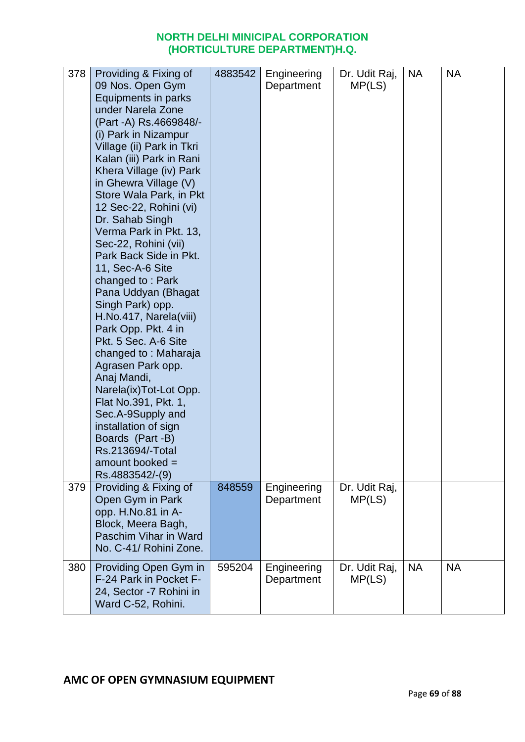| 378<br>379 | Providing & Fixing of<br>09 Nos. Open Gym<br>Equipments in parks<br>under Narela Zone<br>(Part -A) Rs.4669848/-<br>(i) Park in Nizampur<br>Village (ii) Park in Tkri<br>Kalan (iii) Park in Rani<br>Khera Village (iv) Park<br>in Ghewra Village (V)<br>Store Wala Park, in Pkt<br>12 Sec-22, Rohini (vi)<br>Dr. Sahab Singh<br>Verma Park in Pkt. 13,<br>Sec-22, Rohini (vii)<br>Park Back Side in Pkt.<br>11, Sec-A-6 Site<br>changed to: Park<br>Pana Uddyan (Bhagat<br>Singh Park) opp.<br>H.No.417, Narela(viii)<br>Park Opp. Pkt. 4 in<br>Pkt. 5 Sec. A-6 Site<br>changed to: Maharaja<br>Agrasen Park opp.<br>Anaj Mandi,<br>Narela(ix)Tot-Lot Opp.<br>Flat No.391, Pkt. 1,<br>Sec.A-9Supply and<br>installation of sign<br>Boards (Part -B)<br>Rs.213694/-Total<br>amount booked =<br>Rs.4883542/-(9) | 4883542<br>848559 | Engineering<br>Department | Dr. Udit Raj,<br>MP(LS)<br>Dr. Udit Raj, | <b>NA</b> | <b>NA</b> |
|------------|---------------------------------------------------------------------------------------------------------------------------------------------------------------------------------------------------------------------------------------------------------------------------------------------------------------------------------------------------------------------------------------------------------------------------------------------------------------------------------------------------------------------------------------------------------------------------------------------------------------------------------------------------------------------------------------------------------------------------------------------------------------------------------------------------------------|-------------------|---------------------------|------------------------------------------|-----------|-----------|
|            | Providing & Fixing of<br>Open Gym in Park<br>opp. H.No.81 in A-<br>Block, Meera Bagh,<br>Paschim Vihar in Ward<br>No. C-41/ Rohini Zone.                                                                                                                                                                                                                                                                                                                                                                                                                                                                                                                                                                                                                                                                      |                   | Engineering<br>Department | MP(LS)                                   |           |           |
| 380        | Providing Open Gym in<br>F-24 Park in Pocket F-<br>24, Sector -7 Rohini in<br>Ward C-52, Rohini.                                                                                                                                                                                                                                                                                                                                                                                                                                                                                                                                                                                                                                                                                                              | 595204            | Engineering<br>Department | Dr. Udit Raj,<br>MP(LS)                  | <b>NA</b> | <b>NA</b> |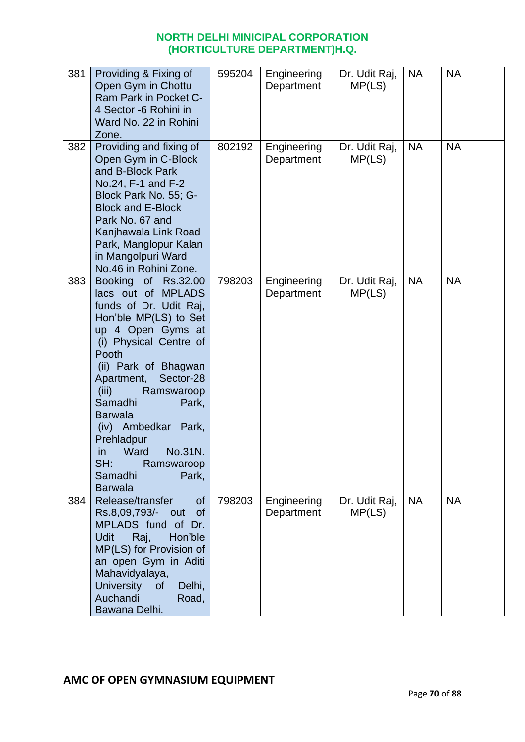| 381 | Providing & Fixing of<br>Open Gym in Chottu<br>Ram Park in Pocket C-<br>4 Sector -6 Rohini in<br>Ward No. 22 in Rohini<br>Zone.                                                                                                                                                                                                                                                                      | 595204 | Engineering<br>Department | Dr. Udit Raj,<br>MP(LS) | <b>NA</b> | <b>NA</b> |
|-----|------------------------------------------------------------------------------------------------------------------------------------------------------------------------------------------------------------------------------------------------------------------------------------------------------------------------------------------------------------------------------------------------------|--------|---------------------------|-------------------------|-----------|-----------|
| 382 | Providing and fixing of<br>Open Gym in C-Block<br>and B-Block Park<br>No.24, F-1 and F-2<br>Block Park No. 55; G-<br><b>Block and E-Block</b><br>Park No. 67 and<br>Kanjhawala Link Road<br>Park, Manglopur Kalan<br>in Mangolpuri Ward<br>No.46 in Rohini Zone.                                                                                                                                     | 802192 | Engineering<br>Department | Dr. Udit Raj,<br>MP(LS) | <b>NA</b> | <b>NA</b> |
| 383 | Booking of Rs.32.00<br>lacs out of MPLADS<br>funds of Dr. Udit Raj,<br>Hon'ble MP(LS) to Set<br>up 4 Open Gyms at<br>(i) Physical Centre of<br>Pooth<br>(ii) Park of Bhagwan<br>Sector-28<br>Apartment,<br>(iii)<br>Ramswaroop<br>Samadhi<br>Park,<br><b>Barwala</b><br>(iv) Ambedkar Park,<br>Prehladpur<br>No.31N.<br>Ward<br><i>in</i><br>SH:<br>Ramswaroop<br>Samadhi<br>Park,<br><b>Barwala</b> | 798203 | Engineering<br>Department | Dr. Udit Raj,<br>MP(LS) | <b>NA</b> | <b>NA</b> |
| 384 | Release/transfer<br><b>of</b><br>Rs.8,09,793/- out<br><b>of</b><br>MPLADS fund of Dr.<br>Hon'ble<br><b>Udit</b><br>Raj,<br>MP(LS) for Provision of<br>an open Gym in Aditi<br>Mahavidyalaya,<br><b>University</b><br><b>of</b><br>Delhi,<br>Auchandi<br>Road,<br>Bawana Delhi.                                                                                                                       | 798203 | Engineering<br>Department | Dr. Udit Raj,<br>MP(LS) | <b>NA</b> | <b>NA</b> |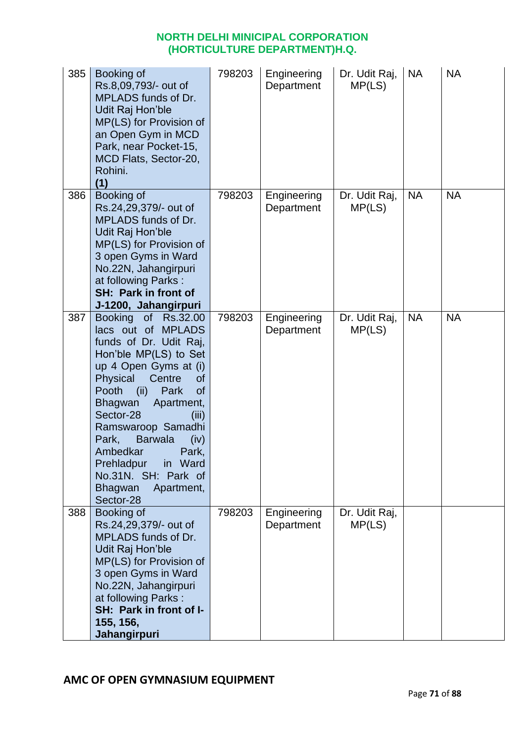| 385 | Booking of<br>Rs.8,09,793/- out of<br>MPLADS funds of Dr.<br>Udit Raj Hon'ble<br>MP(LS) for Provision of<br>an Open Gym in MCD<br>Park, near Pocket-15,<br>MCD Flats, Sector-20,<br>Rohini.<br>(1)                                                                                                                                                                                                                   | 798203 | Engineering<br>Department | Dr. Udit Raj,<br>MP(LS) | <b>NA</b> | <b>NA</b> |
|-----|----------------------------------------------------------------------------------------------------------------------------------------------------------------------------------------------------------------------------------------------------------------------------------------------------------------------------------------------------------------------------------------------------------------------|--------|---------------------------|-------------------------|-----------|-----------|
| 386 | Booking of<br>Rs.24,29,379/- out of<br>MPLADS funds of Dr.<br>Udit Raj Hon'ble<br>MP(LS) for Provision of<br>3 open Gyms in Ward<br>No.22N, Jahangirpuri<br>at following Parks:<br><b>SH: Park in front of</b><br>J-1200, Jahangirpuri                                                                                                                                                                               | 798203 | Engineering<br>Department | Dr. Udit Raj,<br>MP(LS) | <b>NA</b> | <b>NA</b> |
| 387 | <b>Booking</b><br>of Rs.32.00<br>lacs out of MPLADS<br>funds of Dr. Udit Raj,<br>Hon'ble MP(LS) to Set<br>up 4 Open Gyms at (i)<br>Physical<br>Centre<br>of<br>Pooth<br>(ii)<br>Park<br><b>of</b><br>Bhagwan<br>Apartment,<br>Sector-28<br>(iii)<br>Ramswaroop Samadhi<br>Park,<br><b>Barwala</b><br>(iv)<br>Ambedkar<br>Park,<br>Prehladpur<br>in Ward<br>No.31N. SH: Park of<br>Bhagwan<br>Apartment,<br>Sector-28 | 798203 | Engineering<br>Department | Dr. Udit Raj,<br>MP(LS) | <b>NA</b> | <b>NA</b> |
| 388 | Booking of<br>Rs.24,29,379/- out of<br>MPLADS funds of Dr.<br>Udit Raj Hon'ble<br>MP(LS) for Provision of<br>3 open Gyms in Ward<br>No.22N, Jahangirpuri<br>at following Parks:<br>SH: Park in front of I-<br>155, 156,<br><b>Jahangirpuri</b>                                                                                                                                                                       | 798203 | Engineering<br>Department | Dr. Udit Raj,<br>MP(LS) |           |           |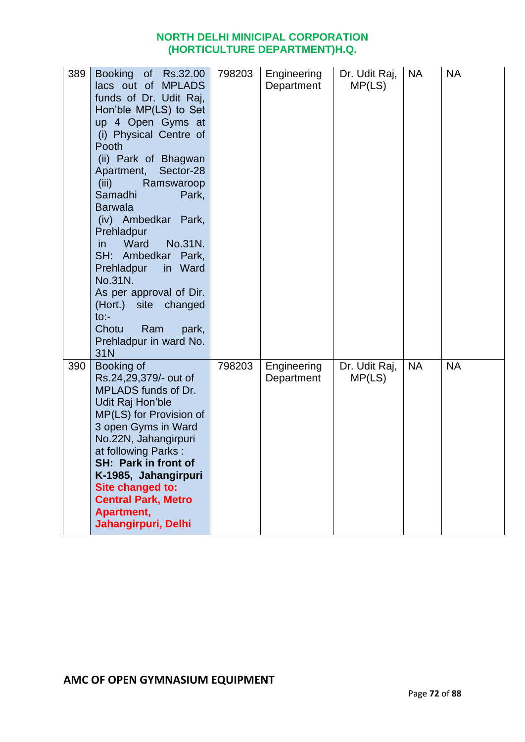| 389 | Booking of Rs.32.00<br>lacs out of MPLADS<br>funds of Dr. Udit Raj,<br>Hon'ble MP(LS) to Set<br>up 4 Open Gyms at<br>(i) Physical Centre of<br>Pooth<br>(ii) Park of Bhagwan<br>Sector-28<br>Apartment,<br>(iii)<br>Ramswaroop<br>Samadhi<br>Park,<br><b>Barwala</b><br>(iv) Ambedkar Park,<br>Prehladpur<br>Ward<br>No.31N.<br>in.<br>SH: Ambedkar Park,<br>Prehladpur<br>in Ward<br>No.31N.<br>As per approval of Dir.<br>(Hort.) site<br>changed<br>$to$ :-<br>Chotu<br>Ram<br>park,<br>Prehladpur in ward No.<br>31N | 798203 | Engineering<br>Department | Dr. Udit Raj,<br>MP(LS) | <b>NA</b> | <b>NA</b> |
|-----|--------------------------------------------------------------------------------------------------------------------------------------------------------------------------------------------------------------------------------------------------------------------------------------------------------------------------------------------------------------------------------------------------------------------------------------------------------------------------------------------------------------------------|--------|---------------------------|-------------------------|-----------|-----------|
| 390 | Booking of<br>Rs.24,29,379/- out of<br>MPLADS funds of Dr.<br>Udit Raj Hon'ble<br>MP(LS) for Provision of<br>3 open Gyms in Ward<br>No.22N, Jahangirpuri<br>at following Parks:<br>SH: Park in front of<br>K-1985, Jahangirpuri<br>Site changed to:<br><b>Central Park, Metro</b><br>Apartment,<br>Jahangirpuri, Delhi                                                                                                                                                                                                   | 798203 | Engineering<br>Department | Dr. Udit Raj,<br>MP(LS) | <b>NA</b> | <b>NA</b> |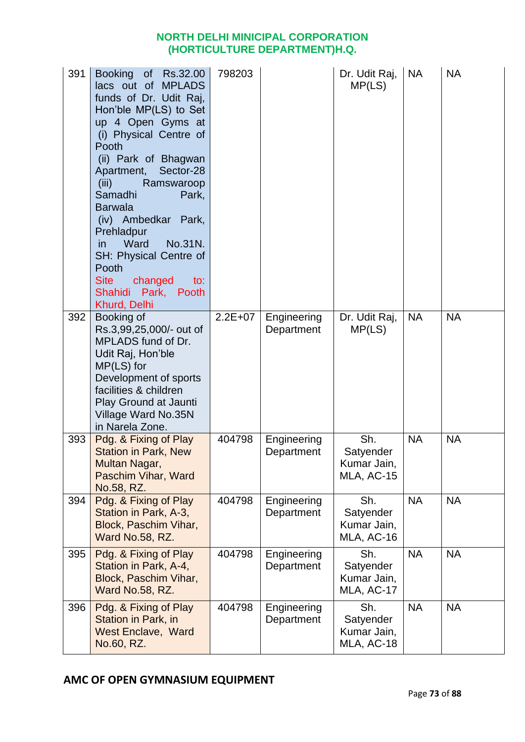| 391 | Booking of Rs.32.00<br>lacs out of MPLADS<br>funds of Dr. Udit Raj,<br>Hon'ble MP(LS) to Set<br>up 4 Open Gyms at<br>(i) Physical Centre of<br>Pooth<br>(ii) Park of Bhagwan<br>Sector-28<br>Apartment,<br>(iii)<br>Ramswaroop<br>Samadhi<br>Park,<br><b>Barwala</b><br>(iv) Ambedkar Park,<br>Prehladpur<br>in<br>Ward<br>No.31N.<br>SH: Physical Centre of<br>Pooth<br><b>Site</b><br>changed<br>to:<br>Shahidi Park, Pooth<br>Khurd, Delhi | 798203    |                           | Dr. Udit Raj,<br>MP(LS)                       | <b>NA</b> | <b>NA</b> |
|-----|-----------------------------------------------------------------------------------------------------------------------------------------------------------------------------------------------------------------------------------------------------------------------------------------------------------------------------------------------------------------------------------------------------------------------------------------------|-----------|---------------------------|-----------------------------------------------|-----------|-----------|
| 392 | Booking of<br>Rs.3,99,25,000/- out of<br>MPLADS fund of Dr.<br>Udit Raj, Hon'ble<br>$MP(LS)$ for<br>Development of sports<br>facilities & children<br>Play Ground at Jaunti<br>Village Ward No.35N<br>in Narela Zone.                                                                                                                                                                                                                         | $2.2E+07$ | Engineering<br>Department | Dr. Udit Raj,<br>MP(LS)                       | <b>NA</b> | <b>NA</b> |
| 393 | Pdg. & Fixing of Play<br><b>Station in Park, New</b><br>Multan Nagar,<br>Paschim Vihar, Ward<br>No.58, RZ.                                                                                                                                                                                                                                                                                                                                    | 404798    | Engineering<br>Department | Sh.<br>Satyender<br>Kumar Jain,<br>MLA, AC-15 | <b>NA</b> | <b>NA</b> |
| 394 | Pdg. & Fixing of Play<br>Station in Park, A-3,<br>Block, Paschim Vihar,<br>Ward No.58, RZ.                                                                                                                                                                                                                                                                                                                                                    | 404798    | Engineering<br>Department | Sh.<br>Satyender<br>Kumar Jain,<br>MLA, AC-16 | <b>NA</b> | <b>NA</b> |
| 395 | Pdg. & Fixing of Play<br>Station in Park, A-4,<br>Block, Paschim Vihar,<br>Ward No.58, RZ.                                                                                                                                                                                                                                                                                                                                                    | 404798    | Engineering<br>Department | Sh.<br>Satyender<br>Kumar Jain,<br>MLA, AC-17 | <b>NA</b> | <b>NA</b> |
| 396 | Pdg. & Fixing of Play<br>Station in Park, in<br><b>West Enclave, Ward</b><br>No.60, RZ.                                                                                                                                                                                                                                                                                                                                                       | 404798    | Engineering<br>Department | Sh.<br>Satyender<br>Kumar Jain,<br>MLA, AC-18 | <b>NA</b> | <b>NA</b> |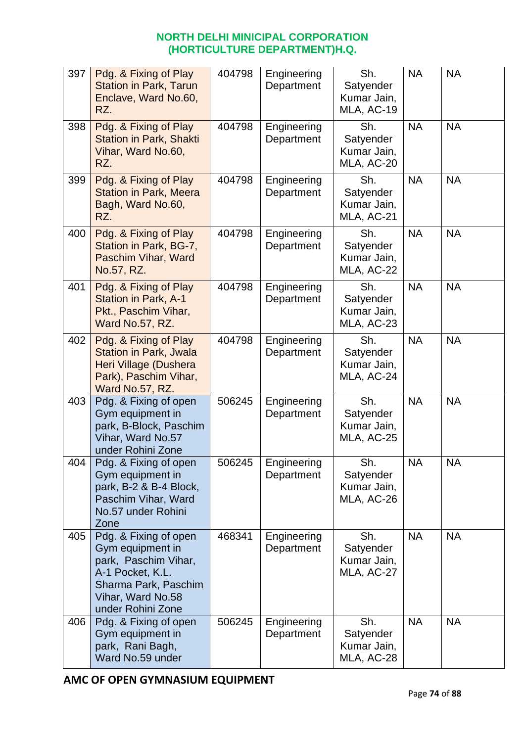| 397 | Pdg. & Fixing of Play<br><b>Station in Park, Tarun</b><br>Enclave, Ward No.60,<br>RZ.                                                                   | 404798 | Engineering<br>Department | Sh.<br>Satyender<br>Kumar Jain,<br>MLA, AC-19 | <b>NA</b> | <b>NA</b> |
|-----|---------------------------------------------------------------------------------------------------------------------------------------------------------|--------|---------------------------|-----------------------------------------------|-----------|-----------|
| 398 | Pdg. & Fixing of Play<br><b>Station in Park, Shakti</b><br>Vihar, Ward No.60,<br>RZ.                                                                    | 404798 | Engineering<br>Department | Sh.<br>Satyender<br>Kumar Jain,<br>MLA, AC-20 | <b>NA</b> | <b>NA</b> |
| 399 | Pdg. & Fixing of Play<br><b>Station in Park, Meera</b><br>Bagh, Ward No.60,<br>RZ.                                                                      | 404798 | Engineering<br>Department | Sh.<br>Satyender<br>Kumar Jain,<br>MLA, AC-21 | <b>NA</b> | <b>NA</b> |
| 400 | Pdg. & Fixing of Play<br>Station in Park, BG-7,<br>Paschim Vihar, Ward<br>No.57, RZ.                                                                    | 404798 | Engineering<br>Department | Sh.<br>Satyender<br>Kumar Jain,<br>MLA, AC-22 | <b>NA</b> | <b>NA</b> |
| 401 | Pdg. & Fixing of Play<br><b>Station in Park, A-1</b><br>Pkt., Paschim Vihar,<br>Ward No.57, RZ.                                                         | 404798 | Engineering<br>Department | Sh.<br>Satyender<br>Kumar Jain,<br>MLA, AC-23 | <b>NA</b> | <b>NA</b> |
| 402 | Pdg. & Fixing of Play<br><b>Station in Park, Jwala</b><br>Heri Village (Dushera<br>Park), Paschim Vihar,<br>Ward No.57, RZ.                             | 404798 | Engineering<br>Department | Sh.<br>Satyender<br>Kumar Jain,<br>MLA, AC-24 | <b>NA</b> | <b>NA</b> |
| 403 | Pdg. & Fixing of open<br>Gym equipment in<br>park, B-Block, Paschim<br>Vihar, Ward No.57<br>under Rohini Zone                                           | 506245 | Engineering<br>Department | Sh.<br>Satyender<br>Kumar Jain,<br>MLA, AC-25 | <b>NA</b> | <b>NA</b> |
| 404 | Pdg. & Fixing of open<br>Gym equipment in<br>park, B-2 & B-4 Block,<br>Paschim Vihar, Ward<br>No.57 under Rohini<br>Zone                                | 506245 | Engineering<br>Department | Sh.<br>Satyender<br>Kumar Jain,<br>MLA, AC-26 | <b>NA</b> | <b>NA</b> |
| 405 | Pdg. & Fixing of open<br>Gym equipment in<br>park, Paschim Vihar,<br>A-1 Pocket, K.L.<br>Sharma Park, Paschim<br>Vihar, Ward No.58<br>under Rohini Zone | 468341 | Engineering<br>Department | Sh.<br>Satyender<br>Kumar Jain,<br>MLA, AC-27 | <b>NA</b> | <b>NA</b> |
| 406 | Pdg. & Fixing of open<br>Gym equipment in<br>park, Rani Bagh,<br>Ward No.59 under                                                                       | 506245 | Engineering<br>Department | Sh.<br>Satyender<br>Kumar Jain,<br>MLA, AC-28 | <b>NA</b> | <b>NA</b> |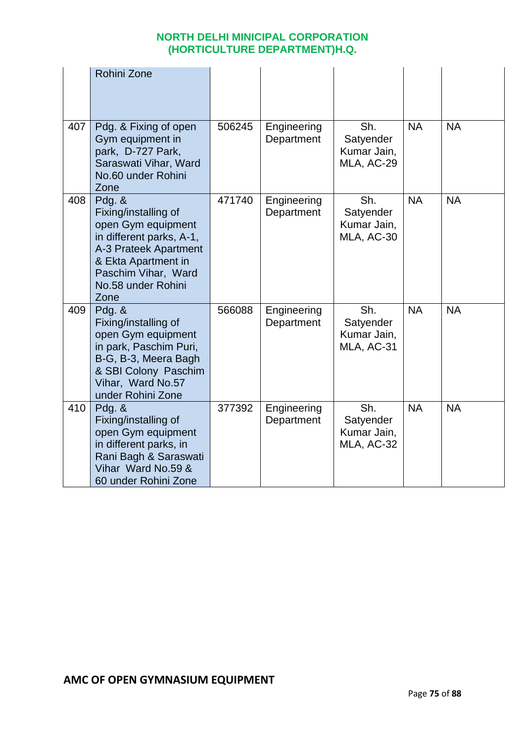|     | Rohini Zone                                                                                                                                                                             |        |                           |                                               |           |           |
|-----|-----------------------------------------------------------------------------------------------------------------------------------------------------------------------------------------|--------|---------------------------|-----------------------------------------------|-----------|-----------|
| 407 | Pdg. & Fixing of open<br>Gym equipment in<br>park, D-727 Park,<br>Saraswati Vihar, Ward<br>No.60 under Rohini<br>Zone                                                                   | 506245 | Engineering<br>Department | Sh.<br>Satyender<br>Kumar Jain,<br>MLA, AC-29 | <b>NA</b> | <b>NA</b> |
| 408 | Pdg. $&$<br>Fixing/installing of<br>open Gym equipment<br>in different parks, A-1,<br>A-3 Prateek Apartment<br>& Ekta Apartment in<br>Paschim Vihar, Ward<br>No.58 under Rohini<br>Zone | 471740 | Engineering<br>Department | Sh.<br>Satyender<br>Kumar Jain,<br>MLA, AC-30 | <b>NA</b> | <b>NA</b> |
| 409 | Pdg. $&$<br>Fixing/installing of<br>open Gym equipment<br>in park, Paschim Puri,<br>B-G, B-3, Meera Bagh<br>& SBI Colony Paschim<br>Vihar, Ward No.57<br>under Rohini Zone              | 566088 | Engineering<br>Department | Sh.<br>Satyender<br>Kumar Jain,<br>MLA, AC-31 | <b>NA</b> | <b>NA</b> |
| 410 | Pdg. &<br>Fixing/installing of<br>open Gym equipment<br>in different parks, in<br>Rani Bagh & Saraswati<br>Vihar Ward No.59 &<br>60 under Rohini Zone                                   | 377392 | Engineering<br>Department | Sh.<br>Satyender<br>Kumar Jain,<br>MLA, AC-32 | <b>NA</b> | <b>NA</b> |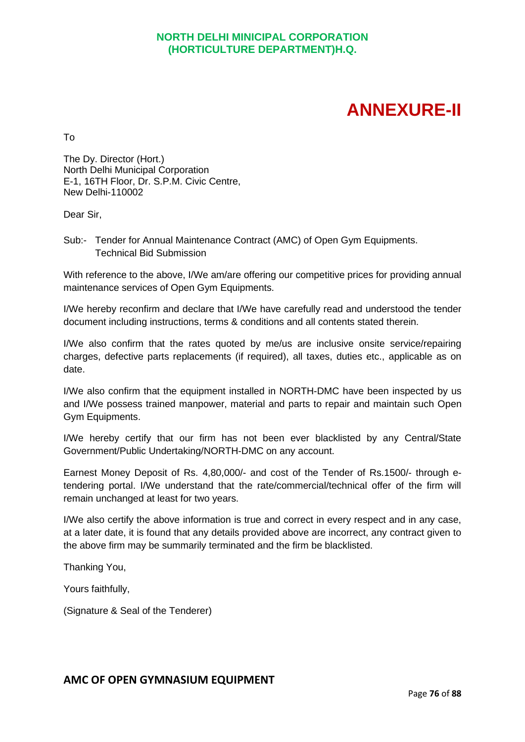# **ANNEXURE-II**

To

The Dy. Director (Hort.) North Delhi Municipal Corporation E-1, 16TH Floor, Dr. S.P.M. Civic Centre, New Delhi-110002

Dear Sir,

Sub:- Tender for Annual Maintenance Contract (AMC) of Open Gym Equipments. Technical Bid Submission

With reference to the above, I/We am/are offering our competitive prices for providing annual maintenance services of Open Gym Equipments.

I/We hereby reconfirm and declare that I/We have carefully read and understood the tender document including instructions, terms & conditions and all contents stated therein.

I/We also confirm that the rates quoted by me/us are inclusive onsite service/repairing charges, defective parts replacements (if required), all taxes, duties etc., applicable as on date.

I/We also confirm that the equipment installed in NORTH-DMC have been inspected by us and I/We possess trained manpower, material and parts to repair and maintain such Open Gym Equipments.

I/We hereby certify that our firm has not been ever blacklisted by any Central/State Government/Public Undertaking/NORTH-DMC on any account.

Earnest Money Deposit of Rs. 4,80,000/- and cost of the Tender of Rs.1500/- through etendering portal. I/We understand that the rate/commercial/technical offer of the firm will remain unchanged at least for two years.

I/We also certify the above information is true and correct in every respect and in any case, at a later date, it is found that any details provided above are incorrect, any contract given to the above firm may be summarily terminated and the firm be blacklisted.

Thanking You,

Yours faithfully,

(Signature & Seal of the Tenderer)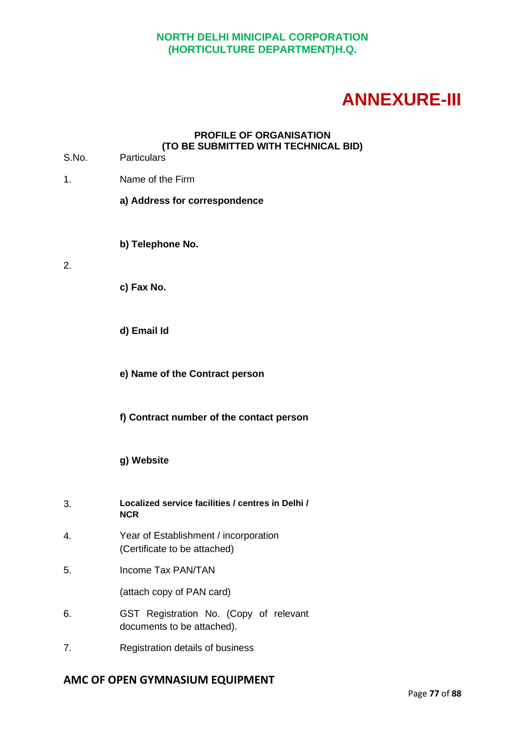# **ANNEXURE-III**

#### **PROFILE OF ORGANISATION (TO BE SUBMITTED WITH TECHNICAL BID)**

- S.No. Particulars
- 1. Name of the Firm
	- **a) Address for correspondence**
	- **b) Telephone No.**
- 2.
- **c) Fax No.**
- **d) Email Id**

**e) Name of the Contract person**

- **f) Contract number of the contact person**
- **g) Website**
- 3. **Localized service facilities / centres in Delhi / NCR**
- 4. Year of Establishment / incorporation (Certificate to be attached)
- 5. Income Tax PAN/TAN

(attach copy of PAN card)

- 6. GST Registration No. (Copy of relevant documents to be attached).
- 7. Registration details of business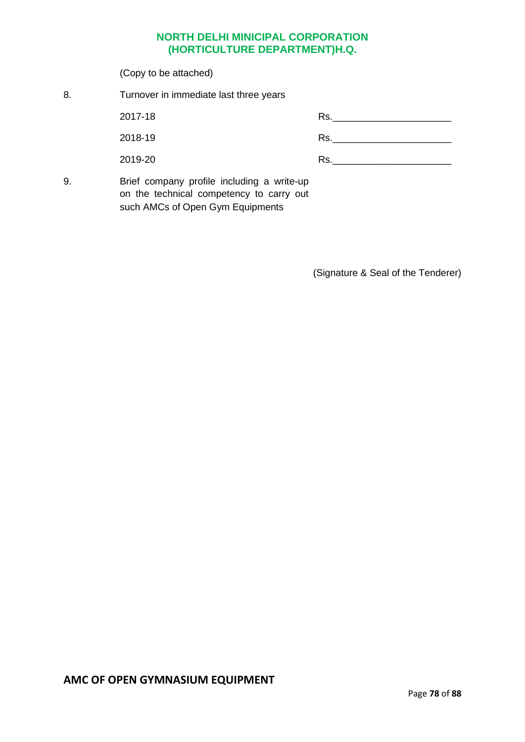(Copy to be attached) 8. Turnover in immediate last three years 2017-18 2018-19 2019-20 Rs.\_\_\_\_\_\_\_\_\_\_\_\_\_\_\_\_\_\_\_\_\_\_ Rs.\_\_\_\_\_\_\_\_\_\_\_\_\_\_\_\_\_\_\_\_\_\_ Rs.\_\_\_\_\_\_\_\_\_\_\_\_\_\_\_\_\_\_\_\_\_\_ 9. Brief company profile including a write-up on the technical competency to carry out such AMCs of Open Gym Equipments

(Signature & Seal of the Tenderer)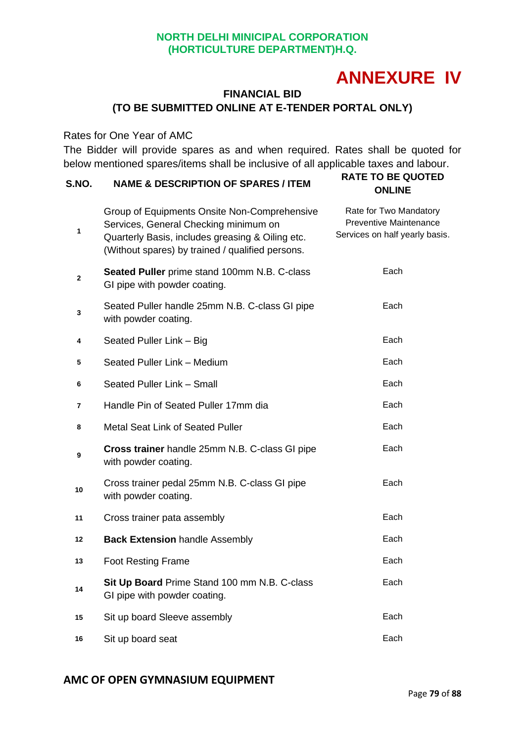## **ANNEXURE IV**

## **FINANCIAL BID (TO BE SUBMITTED ONLINE AT E-TENDER PORTAL ONLY)**

Rates for One Year of AMC

The Bidder will provide spares as and when required. Rates shall be quoted for below mentioned spares/items shall be inclusive of all applicable taxes and labour.<br>RATE TO BE OUOTED

| S.NO.        | <b>NAME &amp; DESCRIPTION OF SPARES / ITEM</b>                                                                                                                                                | <b>RATE TO BE QUOTED</b><br><b>ONLINE</b>                                                 |
|--------------|-----------------------------------------------------------------------------------------------------------------------------------------------------------------------------------------------|-------------------------------------------------------------------------------------------|
| $\mathbf{1}$ | Group of Equipments Onsite Non-Comprehensive<br>Services, General Checking minimum on<br>Quarterly Basis, includes greasing & Oiling etc.<br>(Without spares) by trained / qualified persons. | Rate for Two Mandatory<br><b>Preventive Maintenance</b><br>Services on half yearly basis. |
| $\mathbf{2}$ | Seated Puller prime stand 100mm N.B. C-class<br>GI pipe with powder coating.                                                                                                                  | Each                                                                                      |
| 3            | Seated Puller handle 25mm N.B. C-class GI pipe<br>with powder coating.                                                                                                                        | Each                                                                                      |
| 4            | Seated Puller Link - Big                                                                                                                                                                      | Each                                                                                      |
| 5            | Seated Puller Link - Medium                                                                                                                                                                   | Each                                                                                      |
| 6            | Seated Puller Link - Small                                                                                                                                                                    | Each                                                                                      |
| 7            | Handle Pin of Seated Puller 17mm dia                                                                                                                                                          | Each                                                                                      |
| 8            | Metal Seat Link of Seated Puller                                                                                                                                                              | Each                                                                                      |
| 9            | Cross trainer handle 25mm N.B. C-class GI pipe<br>with powder coating.                                                                                                                        | Each                                                                                      |
| 10           | Cross trainer pedal 25mm N.B. C-class GI pipe<br>with powder coating.                                                                                                                         | Each                                                                                      |
| 11           | Cross trainer pata assembly                                                                                                                                                                   | Each                                                                                      |
| 12           | <b>Back Extension handle Assembly</b>                                                                                                                                                         | Each                                                                                      |
| 13           | <b>Foot Resting Frame</b>                                                                                                                                                                     | Each                                                                                      |
| 14           | Sit Up Board Prime Stand 100 mm N.B. C-class<br>GI pipe with powder coating.                                                                                                                  | Each                                                                                      |
| 15           | Sit up board Sleeve assembly                                                                                                                                                                  | Each                                                                                      |
| 16           | Sit up board seat                                                                                                                                                                             | Each                                                                                      |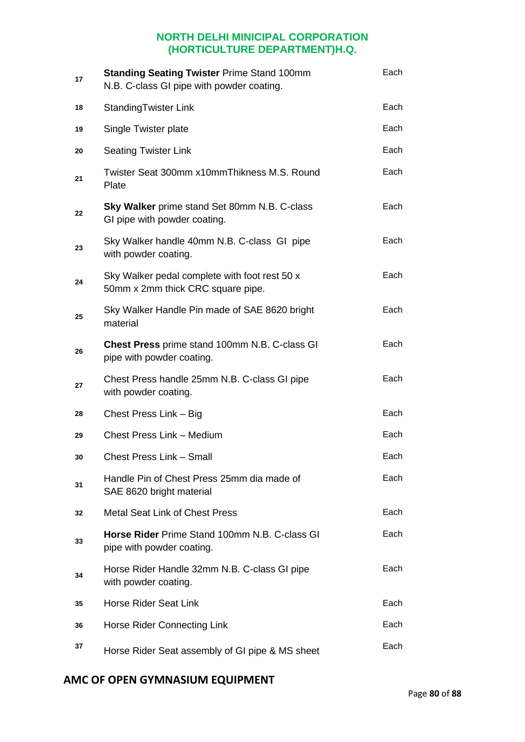| 17 | <b>Standing Seating Twister Prime Stand 100mm</b><br>N.B. C-class GI pipe with powder coating. | Each |
|----|------------------------------------------------------------------------------------------------|------|
| 18 | <b>StandingTwister Link</b>                                                                    | Each |
| 19 | Single Twister plate                                                                           | Each |
| 20 | <b>Seating Twister Link</b>                                                                    | Each |
| 21 | Twister Seat 300mm x10mmThikness M.S. Round<br>Plate                                           | Each |
| 22 | <b>Sky Walker</b> prime stand Set 80mm N.B. C-class<br>GI pipe with powder coating.            | Each |
| 23 | Sky Walker handle 40mm N.B. C-class GI pipe<br>with powder coating.                            | Each |
| 24 | Sky Walker pedal complete with foot rest 50 x<br>50mm x 2mm thick CRC square pipe.             | Each |
| 25 | Sky Walker Handle Pin made of SAE 8620 bright<br>material                                      | Each |
| 26 | <b>Chest Press</b> prime stand 100mm N.B. C-class GI<br>pipe with powder coating.              | Each |
| 27 | Chest Press handle 25mm N.B. C-class GI pipe<br>with powder coating.                           | Each |
| 28 | Chest Press Link - Big                                                                         | Each |
| 29 | Chest Press Link - Medium                                                                      | Each |
| 30 | <b>Chest Press Link - Small</b>                                                                | Each |
| 31 | Handle Pin of Chest Press 25mm dia made of<br>SAE 8620 bright material                         | Each |
| 32 | <b>Metal Seat Link of Chest Press</b>                                                          | Each |
| 33 | <b>Horse Rider Prime Stand 100mm N.B. C-class GI</b><br>pipe with powder coating.              | Each |
| 34 | Horse Rider Handle 32mm N.B. C-class GI pipe<br>with powder coating.                           | Each |
| 35 | <b>Horse Rider Seat Link</b>                                                                   | Each |
| 36 | Horse Rider Connecting Link                                                                    | Each |
| 37 | Horse Rider Seat assembly of GI pipe & MS sheet                                                | Each |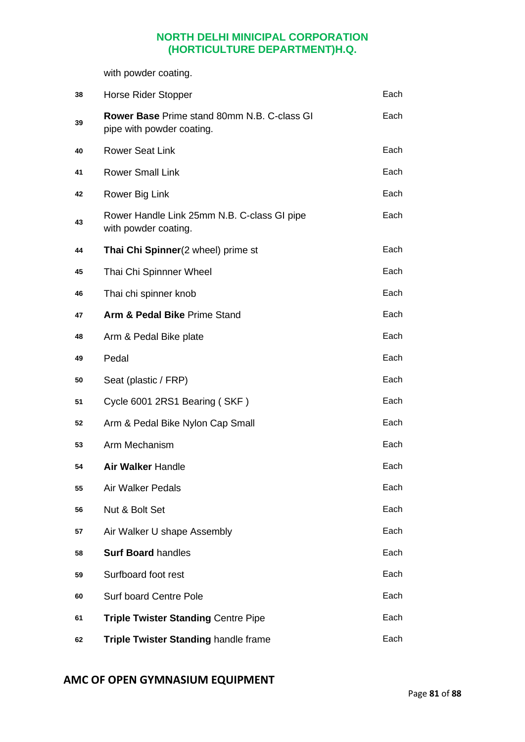with powder coating.

| 38 | <b>Horse Rider Stopper</b>                                                      | Each |
|----|---------------------------------------------------------------------------------|------|
| 39 | <b>Rower Base Prime stand 80mm N.B. C-class GI</b><br>pipe with powder coating. | Each |
| 40 | <b>Rower Seat Link</b>                                                          | Each |
| 41 | <b>Rower Small Link</b>                                                         | Each |
| 42 | Rower Big Link                                                                  | Each |
| 43 | Rower Handle Link 25mm N.B. C-class GI pipe<br>with powder coating.             | Each |
| 44 | Thai Chi Spinner(2 wheel) prime st                                              | Each |
| 45 | Thai Chi Spinnner Wheel                                                         | Each |
| 46 | Thai chi spinner knob                                                           | Each |
| 47 | Arm & Pedal Bike Prime Stand                                                    | Each |
| 48 | Arm & Pedal Bike plate                                                          | Each |
| 49 | Pedal                                                                           | Each |
| 50 | Seat (plastic / FRP)                                                            | Each |
| 51 | Cycle 6001 2RS1 Bearing (SKF)                                                   | Each |
| 52 | Arm & Pedal Bike Nylon Cap Small                                                | Each |
| 53 | Arm Mechanism                                                                   | Each |
| 54 | <b>Air Walker Handle</b>                                                        | Each |
| 55 | <b>Air Walker Pedals</b>                                                        | Each |
| 56 | Nut & Bolt Set                                                                  | Each |
| 57 | Air Walker U shape Assembly                                                     | Each |
| 58 | <b>Surf Board handles</b>                                                       | Each |
| 59 | Surfboard foot rest                                                             | Each |
| 60 | <b>Surf board Centre Pole</b>                                                   | Each |
| 61 | <b>Triple Twister Standing Centre Pipe</b>                                      | Each |
| 62 | Triple Twister Standing handle frame                                            | Each |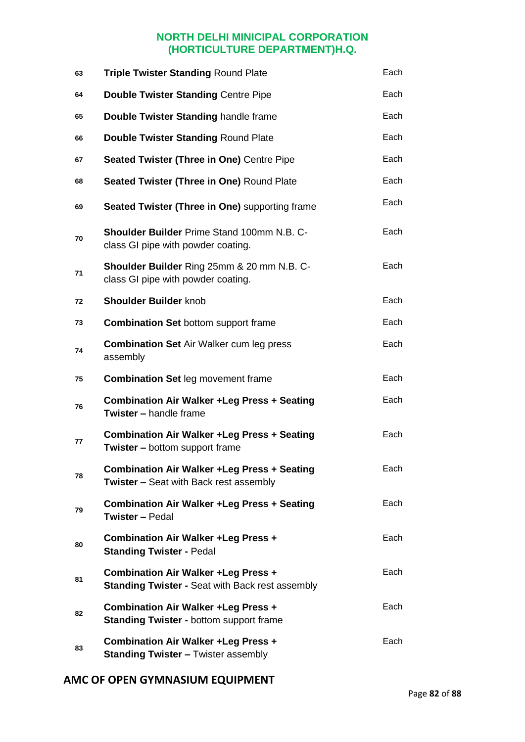| 63 | <b>Triple Twister Standing Round Plate</b>                                                           | Each |
|----|------------------------------------------------------------------------------------------------------|------|
| 64 | <b>Double Twister Standing Centre Pipe</b>                                                           | Each |
| 65 | Double Twister Standing handle frame                                                                 | Each |
| 66 | <b>Double Twister Standing Round Plate</b>                                                           | Each |
| 67 | Seated Twister (Three in One) Centre Pipe                                                            | Each |
| 68 | Seated Twister (Three in One) Round Plate                                                            | Each |
| 69 | Seated Twister (Three in One) supporting frame                                                       | Each |
| 70 | <b>Shoulder Builder Prime Stand 100mm N.B. C-</b><br>class GI pipe with powder coating.              | Each |
| 71 | <b>Shoulder Builder Ring 25mm &amp; 20 mm N.B. C-</b><br>class GI pipe with powder coating.          | Each |
| 72 | <b>Shoulder Builder knob</b>                                                                         | Each |
| 73 | <b>Combination Set bottom support frame</b>                                                          | Each |
| 74 | <b>Combination Set Air Walker cum leg press</b><br>assembly                                          | Each |
| 75 | <b>Combination Set leg movement frame</b>                                                            | Each |
| 76 | <b>Combination Air Walker +Leg Press + Seating</b><br><b>Twister - handle frame</b>                  | Each |
| 77 | <b>Combination Air Walker +Leg Press + Seating</b><br><b>Twister - bottom support frame</b>          | Each |
| 78 | <b>Combination Air Walker +Leg Press + Seating</b><br><b>Twister – Seat with Back rest assembly</b>  | Each |
| 79 | <b>Combination Air Walker +Leg Press + Seating</b><br><b>Twister – Pedal</b>                         | Each |
| 80 | Combination Air Walker + Leg Press +<br><b>Standing Twister - Pedal</b>                              | Each |
| 81 | <b>Combination Air Walker +Leg Press +</b><br><b>Standing Twister - Seat with Back rest assembly</b> | Each |
| 82 | Combination Air Walker + Leg Press +<br><b>Standing Twister - bottom support frame</b>               | Each |
| 83 | <b>Combination Air Walker +Leg Press +</b><br><b>Standing Twister - Twister assembly</b>             | Each |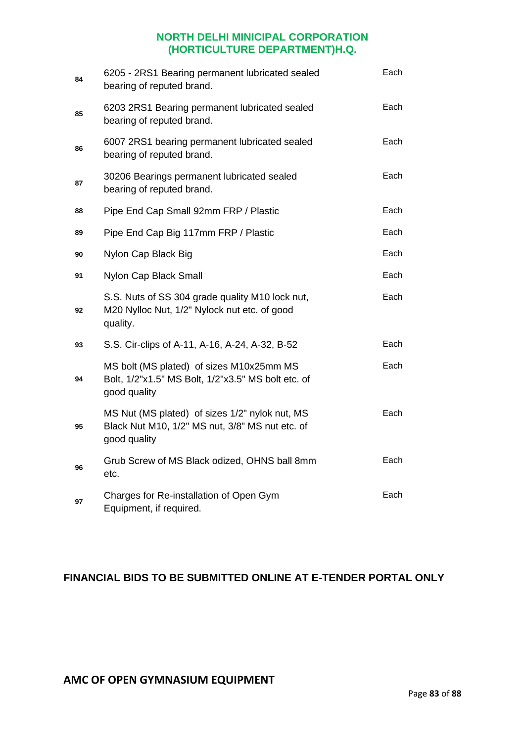| 84 | 6205 - 2RS1 Bearing permanent lubricated sealed<br>bearing of reputed brand.                                      | Each |
|----|-------------------------------------------------------------------------------------------------------------------|------|
| 85 | 6203 2RS1 Bearing permanent lubricated sealed<br>bearing of reputed brand.                                        | Each |
| 86 | 6007 2RS1 bearing permanent lubricated sealed<br>bearing of reputed brand.                                        | Each |
| 87 | 30206 Bearings permanent lubricated sealed<br>bearing of reputed brand.                                           | Each |
| 88 | Pipe End Cap Small 92mm FRP / Plastic                                                                             | Each |
| 89 | Pipe End Cap Big 117mm FRP / Plastic                                                                              | Each |
| 90 | Nylon Cap Black Big                                                                                               | Each |
| 91 | Nylon Cap Black Small                                                                                             | Each |
| 92 | S.S. Nuts of SS 304 grade quality M10 lock nut,<br>M20 Nylloc Nut, 1/2" Nylock nut etc. of good<br>quality.       | Each |
| 93 | S.S. Cir-clips of A-11, A-16, A-24, A-32, B-52                                                                    | Each |
| 94 | MS bolt (MS plated) of sizes M10x25mm MS<br>Bolt, 1/2"x1.5" MS Bolt, 1/2"x3.5" MS bolt etc. of<br>good quality    | Each |
| 95 | MS Nut (MS plated) of sizes 1/2" nylok nut, MS<br>Black Nut M10, 1/2" MS nut, 3/8" MS nut etc. of<br>good quality | Each |
| 96 | Grub Screw of MS Black odized, OHNS ball 8mm<br>etc.                                                              | Each |
| 97 | Charges for Re-installation of Open Gym<br>Equipment, if required.                                                | Each |

## **FINANCIAL BIDS TO BE SUBMITTED ONLINE AT E-TENDER PORTAL ONLY**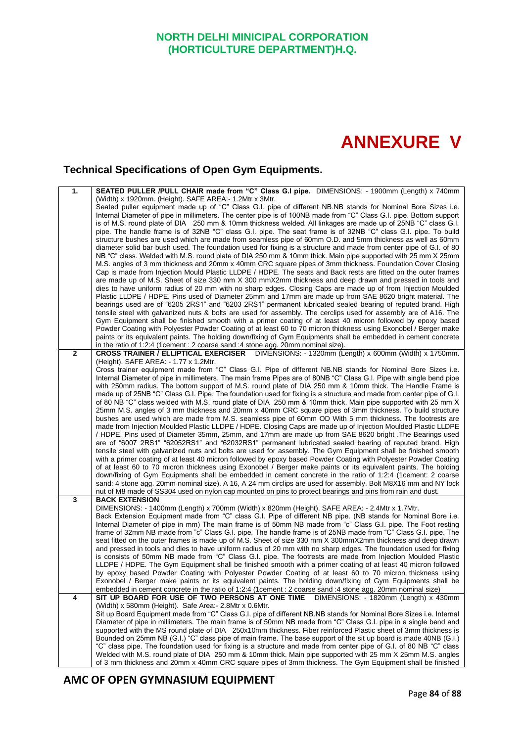## **ANNEXURE V**

## **Technical Specifications of Open Gym Equipments.**

| 1.           | SEATED PULLER /PULL CHAIR made from "C" Class G.I pipe. DIMENSIONS: - 1900mm (Length) x 740mm                                                                                                                                   |
|--------------|---------------------------------------------------------------------------------------------------------------------------------------------------------------------------------------------------------------------------------|
|              | (Width) x 1920mm. (Height). SAFE AREA: - 1.2Mtr x 3Mtr.                                                                                                                                                                         |
|              | Seated puller equipment made up of "C" Class G.I. pipe of different NB.NB stands for Nominal Bore Sizes i.e.                                                                                                                    |
|              | Internal Diameter of pipe in millimeters. The center pipe is of 100NB made from "C" Class G.I. pipe. Bottom support                                                                                                             |
|              | is of M.S. round plate of DIA 250 mm & 10mm thickness welded. All linkages are made up of 25NB "C" class G.I.                                                                                                                   |
|              | pipe. The handle frame is of 32NB "C" class G.I. pipe. The seat frame is of 32NB "C" class G.I. pipe. To build                                                                                                                  |
|              | structure bushes are used which are made from seamless pipe of 60mm O.D. and 5mm thickness as well as 60mm                                                                                                                      |
|              | diameter solid bar bush used. The foundation used for fixing is a structure and made from center pipe of G.I. of 80                                                                                                             |
|              | NB "C" class. Welded with M.S. round plate of DIA 250 mm & 10mm thick. Main pipe supported with 25 mm X 25mm                                                                                                                    |
|              | M.S. angles of 3 mm thickness and 20mm x 40mm CRC square pipes of 3mm thickness. Foundation Cover Closing                                                                                                                       |
|              | Cap is made from Injection Mould Plastic LLDPE / HDPE. The seats and Back rests are fitted on the outer frames<br>are made up of M.S. Sheet of size 330 mm X 300 mmX2mm thickness and deep drawn and pressed in tools and       |
|              | dies to have uniform radius of 20 mm with no sharp edges. Closing Caps are made up of from Injection Moulded                                                                                                                    |
|              | Plastic LLDPE / HDPE. Pins used of Diameter 25mm and 17mm are made up from SAE 8620 bright material. The                                                                                                                        |
|              | bearings used are of "6205 2RS1" and "6203 2RS1" permanent lubricated sealed bearing of reputed brand. High                                                                                                                     |
|              | tensile steel with galvanized nuts & bolts are used for assembly. The cerclips used for assembly are of A16. The                                                                                                                |
|              | Gym Equipment shall be finished smooth with a primer coating of at least 40 micron followed by epoxy based                                                                                                                      |
|              | Powder Coating with Polyester Powder Coating of at least 60 to 70 micron thickness using Exonobel / Berger make                                                                                                                 |
|              | paints or its equivalent paints. The holding down/fixing of Gym Equipments shall be embedded in cement concrete                                                                                                                 |
|              | in the ratio of 1:2:4 (1cement : 2 coarse sand :4 stone agg. 20mm nominal size).                                                                                                                                                |
| $\mathbf{2}$ | CROSS TRAINER / ELLIPTICAL EXERCISER DIMENSIONS: - 1320mm (Length) x 600mm (Width) x 1750mm.                                                                                                                                    |
|              | (Height). SAFE AREA: - 1.77 x 1.2Mtr.                                                                                                                                                                                           |
|              | Cross trainer equipment made from "C" Class G.I. Pipe of different NB.NB stands for Nominal Bore Sizes i.e.                                                                                                                     |
|              | Internal Diameter of pipe in millimeters. The main frame Pipes are of 80NB "C" Class G.I. Pipe with single bend pipe                                                                                                            |
|              | with 250mm radius. The bottom support of M.S. round plate of DIA 250 mm & 10mm thick. The Handle Frame is                                                                                                                       |
|              | made up of 25NB "C" Class G.I. Pipe. The foundation used for fixing is a structure and made from center pipe of G.I.                                                                                                            |
|              | of 80 NB "C" class welded with M.S. round plate of DIA 250 mm & 10mm thick. Main pipe supported with 25 mm X                                                                                                                    |
|              | 25mm M.S. angles of 3 mm thickness and 20mm x 40mm CRC square pipes of 3mm thickness. To build structure                                                                                                                        |
|              | bushes are used which are made from M.S. seamless pipe of 60mm OD With 5 mm thickness. The footrests are<br>made from Injection Moulded Plastic LLDPE / HDPE. Closing Caps are made up of Injection Moulded Plastic LLDPE       |
|              | HDPE. Pins used of Diameter 35mm, 25mm, and 17mm are made up from SAE 8620 bright .The Bearings used                                                                                                                            |
|              | are of "6007 2RS1" "62052RS1" and "62032RS1" permanent lubricated sealed bearing of reputed brand. High                                                                                                                         |
|              | tensile steel with galvanized nuts and bolts are used for assembly. The Gym Equipment shall be finished smooth                                                                                                                  |
|              | with a primer coating of at least 40 micron followed by epoxy based Powder Coating with Polyester Powder Coating                                                                                                                |
|              | of at least 60 to 70 micron thickness using Exonobel / Berger make paints or its equivalent paints. The holding                                                                                                                 |
|              | down/fixing of Gym Equipments shall be embedded in cement concrete in the ratio of 1:2:4 (1cement: 2 coarse                                                                                                                     |
|              | sand: 4 stone agg. 20mm nominal size). A 16, A 24 mm circlips are used for assembly. Bolt M8X16 mm and NY lock                                                                                                                  |
|              | nut of M8 made of SS304 used on nylon cap mounted on pins to protect bearings and pins from rain and dust.                                                                                                                      |
| 3            | <b>BACK EXTENSION</b>                                                                                                                                                                                                           |
|              | DIMENSIONS: - 1400mm (Length) x 700mm (Width) x 820mm (Height). SAFE AREA: - 2.4Mtr x 1.7Mtr.                                                                                                                                   |
|              | Back Extension Equipment made from "C" class G.I. Pipe of different NB pipe. (NB stands for Nominal Bore i.e.                                                                                                                   |
|              | Internal Diameter of pipe in mm) The main frame is of 50mm NB made from "c" Class G.I. pipe. The Foot resting<br>frame of 32mm NB made from "c" Class G.I. pipe. The handle frame is of 25NB made from "C" Class G.I. pipe. The |
|              | seat fitted on the outer frames is made up of M.S. Sheet of size 330 mm X 300mmX2mm thickness and deep drawn                                                                                                                    |
|              | and pressed in tools and dies to have uniform radius of 20 mm with no sharp edges. The foundation used for fixing                                                                                                               |
|              | is consists of 50mm NB made from "C" Class G.I. pipe. The footrests are made from Injection Moulded Plastic                                                                                                                     |
|              | LLDPE / HDPE. The Gym Equipment shall be finished smooth with a primer coating of at least 40 micron followed                                                                                                                   |
|              | by epoxy based Powder Coating with Polyester Powder Coating of at least 60 to 70 micron thickness using                                                                                                                         |
|              | Exonobel / Berger make paints or its equivalent paints. The holding down/fixing of Gym Equipments shall be                                                                                                                      |
|              | embedded in cement concrete in the ratio of 1:2:4 (1cement : 2 coarse sand :4 stone agg. 20mm nominal size)                                                                                                                     |
| 4            | DIMENSIONS: - 1820mm (Length) x 430mm<br>SIT UP BOARD FOR USE OF TWO PERSONS AT ONE TIME                                                                                                                                        |
|              | (Width) x 580mm (Height). Safe Area: - 2.8Mtr x 0.6Mtr.                                                                                                                                                                         |
|              | Sit up Board Equipment made from "C" Class G.I. pipe of different NB.NB stands for Nominal Bore Sizes i.e. Internal                                                                                                             |
|              | Diameter of pipe in millimeters. The main frame is of 50mm NB made from "C" Class G.I. pipe in a single bend and                                                                                                                |
|              | supported with the MS round plate of DIA 250x10mm thickness. Fiber reinforced Plastic sheet of 3mm thickness is                                                                                                                 |
|              | Bounded on 25mm NB (G.I.) "C" class pipe of main frame. The base support of the sit up board is made 40NB (G.I.)                                                                                                                |
|              | "C" class pipe. The foundation used for fixing is a structure and made from center pipe of G.I. of 80 NB "C" class                                                                                                              |
|              | Welded with M.S. round plate of DIA 250 mm & 10mm thick. Main pipe supported with 25 mm X 25mm M.S. angles                                                                                                                      |
|              | of 3 mm thickness and 20mm x 40mm CRC square pipes of 3mm thickness. The Gym Equipment shall be finished                                                                                                                        |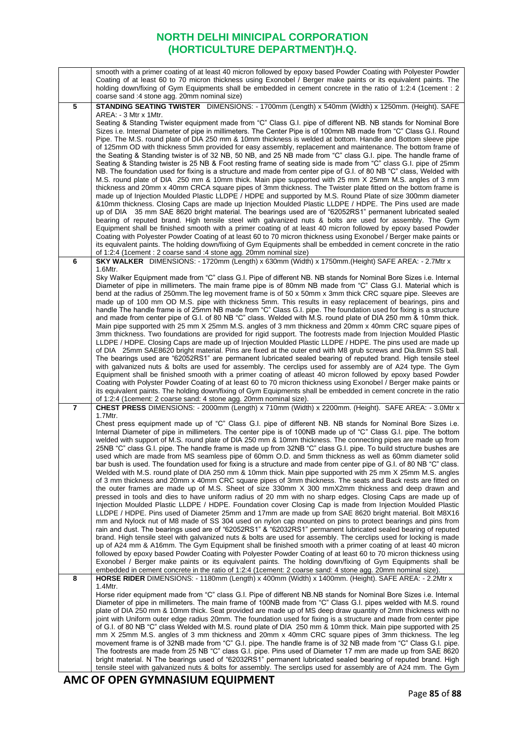|                | smooth with a primer coating of at least 40 micron followed by epoxy based Powder Coating with Polyester Powder                                                                                                                          |
|----------------|------------------------------------------------------------------------------------------------------------------------------------------------------------------------------------------------------------------------------------------|
|                | Coating of at least 60 to 70 micron thickness using Exonobel / Berger make paints or its equivalent paints. The<br>holding down/fixing of Gym Equipments shall be embedded in cement concrete in the ratio of 1:2:4 (1cement : 2)        |
|                | coarse sand :4 stone agg. 20mm nominal size)                                                                                                                                                                                             |
| 5              | STANDING SEATING TWISTER DIMENSIONS: - 1700mm (Length) x 540mm (Width) x 1250mm. (Height). SAFE                                                                                                                                          |
|                | AREA: - 3 Mtr x 1 Mtr.                                                                                                                                                                                                                   |
|                | Seating & Standing Twister equipment made from "C" Class G.I. pipe of different NB. NB stands for Nominal Bore<br>Sizes i.e. Internal Diameter of pipe in millimeters. The Center Pipe is of 100mm NB made from "C" Class G.I. Round     |
|                | Pipe. The M.S. round plate of DIA 250 mm & 10mm thickness is welded at bottom. Handle and Bottom sleeve pipe                                                                                                                             |
|                | of 125mm OD with thickness 5mm provided for easy assembly, replacement and maintenance. The bottom frame of                                                                                                                              |
|                | the Seating & Standing twister is of 32 NB, 50 NB, and 25 NB made from "C" class G.I. pipe. The handle frame of                                                                                                                          |
|                | Seating & Standing twister is 25 NB & Foot resting frame of seating side is made from "C" class G.I. pipe of 25mm<br>NB. The foundation used for fixing is a structure and made from center pipe of G.I. of 80 NB "C" class, Welded with |
|                | M.S. round plate of DIA 250 mm & 10mm thick. Main pipe supported with 25 mm X 25mm M.S. angles of 3 mm                                                                                                                                   |
|                | thickness and 20mm x 40mm CRCA square pipes of 3mm thickness. The Twister plate fitted on the bottom frame is                                                                                                                            |
|                | made up of Injection Moulded Plastic LLDPE / HDPE and supported by M.S. Round Plate of size 300mm diameter<br>&10mm thickness. Closing Caps are made up Injection Moulded Plastic LLDPE / HDPE. The Pins used are made                   |
|                | up of DIA 35 mm SAE 8620 bright material. The bearings used are of "62052RS1" permanent lubricated sealed                                                                                                                                |
|                | bearing of reputed brand. High tensile steel with galvanized nuts & bolts are used for assembly. The Gym                                                                                                                                 |
|                | Equipment shall be finished smooth with a primer coating of at least 40 micron followed by epoxy based Powder<br>Coating with Polyester Powder Coating of at least 60 to 70 micron thickness using Exonobel / Berger make paints or      |
|                | its equivalent paints. The holding down/fixing of Gym Equipments shall be embedded in cement concrete in the ratio                                                                                                                       |
|                | of 1:2:4 (1 cement : 2 coarse sand : 4 stone agg. 20mm nominal size)                                                                                                                                                                     |
| 6              | SKY WALKER DIMENSIONS: - 1720mm (Length) x 630mm (Width) x 1750mm. (Height) SAFE AREA: - 2.7Mtr x                                                                                                                                        |
|                | 1.6Mtr.<br>Sky Walker Equipment made from "C" class G.I. Pipe of different NB. NB stands for Nominal Bore Sizes i.e. Internal                                                                                                            |
|                | Diameter of pipe in millimeters. The main frame pipe is of 80mm NB made from "C" Class G.I. Material which is                                                                                                                            |
|                | bend at the radius of 250mm. The leg movement frame is of 50 x 50mm x 3mm thick CRC square pipe. Sleeves are                                                                                                                             |
|                | made up of 100 mm OD M.S. pipe with thickness 5mm. This results in easy replacement of bearings, pins and<br>handle The handle frame is of 25mm NB made from "C" Class G.I. pipe. The foundation used for fixing is a structure          |
|                | and made from center pipe of G.I. of 80 NB "C" class. Welded with M.S. round plate of DIA 250 mm & 10mm thick.                                                                                                                           |
|                | Main pipe supported with 25 mm X 25mm M.S. angles of 3 mm thickness and 20mm x 40mm CRC square pipes of                                                                                                                                  |
|                | 3mm thickness. Two foundations are provided for rigid support. The footrests made from Injection Moulded Plastic<br>LLDPE / HDPE. Closing Caps are made up of Injection Moulded Plastic LLDPE / HDPE. The pins used are made up          |
|                | of DIA 25mm SAE8620 bright material. Pins are fixed at the outer end with M8 grub screws and Dia.8mm SS ball.                                                                                                                            |
|                | The bearings used are "62052RS1" are permanent lubricated sealed bearing of reputed brand. High tensile steel                                                                                                                            |
|                | with galvanized nuts & bolts are used for assembly. The cerclips used for assembly are of A24 type. The Gym<br>Equipment shall be finished smooth with a primer coating of atleast 40 micron followed by epoxy based Powder              |
|                | Coating with Polyster Powder Coating of at least 60 to 70 micron thickness using Exonobel / Berger make paints or                                                                                                                        |
|                | its equivalent paints. The holding down/fixing of Gym Equipments shall be embedded in cement concrete in the ratio                                                                                                                       |
| $\overline{7}$ | of 1:2:4 (1 cement: 2 coarse sand: 4 stone agg. 20 mm nominal size).<br>CHEST PRESS DIMENSIONS: - 2000mm (Length) x 710mm (Width) x 2200mm. (Height). SAFE AREA: - 3.0Mtr x                                                              |
|                | $1.7$ Mtr.                                                                                                                                                                                                                               |
|                | Chest press equipment made up of "C" Class G.I. pipe of different NB. NB stands for Nominal Bore Sizes i.e.                                                                                                                              |
|                | Internal Diameter of pipe in millimeters. The center pipe is of 100NB made up of "C" Class G.I. pipe. The bottom<br>welded with support of M.S. round plate of DIA 250 mm & 10mm thickness. The connecting pipes are made up from        |
|                | 25NB "C" class G.I. pipe. The handle frame is made up from 32NB "C" class G.I. pipe. To build structure bushes are                                                                                                                       |
|                | used which are made from MS seamless pipe of 60mm O.D. and 5mm thickness as well as 60mm diameter solid                                                                                                                                  |
|                | bar bush is used. The foundation used for fixing is a structure and made from center pipe of G.I. of 80 NB "C" class.<br>Welded with M.S. round plate of DIA 250 mm & 10mm thick. Main pipe supported with 25 mm X 25mm M.S. angles      |
|                | of 3 mm thickness and 20mm x 40mm CRC square pipes of 3mm thickness. The seats and Back rests are fitted on                                                                                                                              |
|                | the outer frames are made up of M.S. Sheet of size 330mm X 300 mmX2mm thickness and deep drawn and                                                                                                                                       |
|                | pressed in tools and dies to have uniform radius of 20 mm with no sharp edges. Closing Caps are made up of<br>Injection Moulded Plastic LLDPE / HDPE. Foundation cover Closing Cap is made from Injection Moulded Plastic                |
|                | LLDPE / HDPE. Pins used of Diameter 25mm and 17mm are made up from SAE 8620 bright material. Bolt M8X16                                                                                                                                  |
|                | mm and Nylock nut of M8 made of SS 304 used on nylon cap mounted on pins to protect bearings and pins from                                                                                                                               |
|                | rain and dust. The bearings used are of "62052RS1" & "62032RS1" permanent lubricated sealed bearing of reputed<br>brand. High tensile steel with galvanized nuts & bolts are used for assembly. The cerclips used for locking is made    |
|                | up of A24 mm & A16mm. The Gym Equipment shall be finished smooth with a primer coating of at least 40 micron                                                                                                                             |
|                | followed by epoxy based Powder Coating with Polyester Powder Coating of at least 60 to 70 micron thickness using                                                                                                                         |
|                | Exonobel / Berger make paints or its equivalent paints. The holding down/fixing of Gym Equipments shall be<br>embedded in cement concrete in the ratio of 1:2:4 (1cement: 2 coarse sand: 4 stone agg. 20mm nominal size).                |
| 8              | HORSE RIDER DIMENSIONS: - 1180mm (Length) x 400mm (Width) x 1400mm. (Height). SAFE AREA: - 2.2Mtr x                                                                                                                                      |
|                | 1.4Mtr.                                                                                                                                                                                                                                  |
|                | Horse rider equipment made from "C" class G.I. Pipe of different NB.NB stands for Nominal Bore Sizes i.e. Internal<br>Diameter of pipe in millimeters. The main frame of 100NB made from "C" Class G.I. pipes welded with M.S. round     |
|                | plate of DIA 250 mm & 10mm thick. Seat provided are made up of MS deep draw quantity of 2mm thickness with no                                                                                                                            |
|                | joint with Uniform outer edge radius 20mm. The foundation used for fixing is a structure and made from center pipe                                                                                                                       |
|                | of G.I. of 80 NB "C" class Welded with M.S. round plate of DIA 250 mm & 10mm thick. Main pipe supported with 25<br>mm X 25mm M.S. angles of 3 mm thickness and 20mm x 40mm CRC square pipes of 3mm thickness. The leg                    |
|                | movement frame is of 32NB made from "C" G.I. pipe. The handle frame is of 32 NB made from "C" Class G.I. pipe.                                                                                                                           |
|                | The footrests are made from 25 NB "C" class G.I. pipe. Pins used of Diameter 17 mm are made up from SAE 8620                                                                                                                             |
|                | bright material. N The bearings used of "62032RS1" permanent lubricated sealed bearing of reputed brand. High<br>tensile steel with galvanized nuts & bolts for assembly. The serclips used for assembly are of A24 mm. The Gym          |
|                |                                                                                                                                                                                                                                          |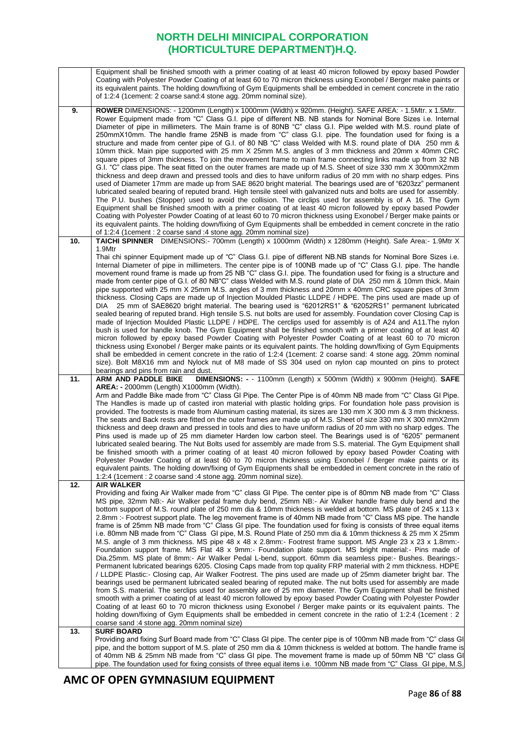|     | Equipment shall be finished smooth with a primer coating of at least 40 micron followed by epoxy based Powder                                                                                                                            |
|-----|------------------------------------------------------------------------------------------------------------------------------------------------------------------------------------------------------------------------------------------|
|     | Coating with Polyester Powder Coating of at least 60 to 70 micron thickness using Exonobel / Berger make paints or<br>its equivalent paints. The holding down/fixing of Gym Equipments shall be embedded in cement concrete in the ratio |
|     | of 1:2:4 (1 cement: 2 coarse sand: 4 stone agg. 20mm nominal size).                                                                                                                                                                      |
|     |                                                                                                                                                                                                                                          |
| 9.  | ROWER DIMENSIONS: - 1200mm (Length) x 1000mm (Width) x 920mm. (Height). SAFE AREA: - 1.5Mtr. x 1.5Mtr.                                                                                                                                   |
|     | Rower Equipment made from "C" Class G.I. pipe of different NB. NB stands for Nominal Bore Sizes i.e. Internal                                                                                                                            |
|     | Diameter of pipe in millimeters. The Main frame is of 80NB "C" class G.I. Pipe welded with M.S. round plate of<br>250mmX10mm. The handle frame 25NB is made from "C" class G.I. pipe. The foundation used for fixing is a                |
|     | structure and made from center pipe of G.I. of 80 NB "C" class Welded with M.S. round plate of DIA 250 mm &                                                                                                                              |
|     | 10mm thick. Main pipe supported with 25 mm X 25mm M.S. angles of 3 mm thickness and 20mm x 40mm CRC                                                                                                                                      |
|     | square pipes of 3mm thickness. To join the movement frame to main frame connecting links made up from 32 NB                                                                                                                              |
|     | G.I. "C" class pipe. The seat fitted on the outer frames are made up of M.S. Sheet of size 330 mm X 300mmX2mm                                                                                                                            |
|     | thickness and deep drawn and pressed tools and dies to have uniform radius of 20 mm with no sharp edges. Pins                                                                                                                            |
|     | used of Diameter 17mm are made up from SAE 8620 bright material. The bearings used are of "6203zz" permanent                                                                                                                             |
|     | lubricated sealed bearing of reputed brand. High tensile steel with galvanized nuts and bolts are used for assembly.<br>The P.U. bushes (Stopper) used to avoid the collision. The circlips used for assembly is of A 16. The Gym        |
|     | Equipment shall be finished smooth with a primer coating of at least 40 micron followed by epoxy based Powder                                                                                                                            |
|     | Coating with Polyester Powder Coating of at least 60 to 70 micron thickness using Exonobel / Berger make paints or                                                                                                                       |
|     | its equivalent paints. The holding down/fixing of Gym Equipments shall be embedded in cement concrete in the ratio                                                                                                                       |
|     | of 1:2:4 (1 cement : 2 coarse sand : 4 stone agg. 20mm nominal size)                                                                                                                                                                     |
| 10. | TAICHI SPINNER DIMENSIONS:- 700mm (Length) x 1000mm (Width) x 1280mm (Height). Safe Area:- 1.9Mtr X                                                                                                                                      |
|     | 1.9Mtr                                                                                                                                                                                                                                   |
|     | Thai chi spinner Equipment made up of "C" Class G.I. pipe of different NB.NB stands for Nominal Bore Sizes i.e.<br>Internal Diameter of pipe in millimeters. The center pipe is of 100NB made up of "C" Class G.I. pipe. The handle      |
|     | movement round frame is made up from 25 NB "C" class G.I. pipe. The foundation used for fixing is a structure and                                                                                                                        |
|     | made from center pipe of G.I. of 80 NB"C" class Welded with M.S. round plate of DIA 250 mm & 10mm thick. Main                                                                                                                            |
|     | pipe supported with 25 mm X 25mm M.S. angles of 3 mm thickness and 20mm x 40mm CRC square pipes of 3mm                                                                                                                                   |
|     | thickness. Closing Caps are made up of Injection Moulded Plastic LLDPE / HDPE. The pins used are made up of                                                                                                                              |
|     | 25 mm of SAE8620 bright material. The bearing used is "62012RS1" & "62052RS1" permanent lubricated<br>DIA                                                                                                                                |
|     | sealed bearing of reputed brand. High tensile S.S. nut bolts are used for assembly. Foundation cover Closing Cap is<br>made of Injection Moulded Plastic LLDPE / HDPE. The cerclips used for assembly is of A24 and A11. The nylon       |
|     | bush is used for handle knob. The Gym Equipment shall be finished smooth with a primer coating of at least 40                                                                                                                            |
|     | micron followed by epoxy based Powder Coating with Polyester Powder Coating of at least 60 to 70 micron                                                                                                                                  |
|     | thickness using Exonobel / Berger make paints or its equivalent paints. The holding down/fixing of Gym Equipments                                                                                                                        |
|     | shall be embedded in cement concrete in the ratio of 1:2:4 (1 cement: 2 coarse sand: 4 stone agg. 20mm nominal                                                                                                                           |
|     | size). Bolt M8X16 mm and Nylock nut of M8 made of SS 304 used on nylon cap mounted on pins to protect                                                                                                                                    |
| 11. | bearings and pins from rain and dust.<br>DIMENSIONS: - - 1100mm (Length) x 500mm (Width) x 900mm (Height). SAFE<br>ARM AND PADDLE BIKE                                                                                                   |
|     | <b>AREA: -</b> 2000mm (Length) X1000mm (Width).                                                                                                                                                                                          |
|     | Arm and Paddle Bike made from "C" Class GI Pipe. The Center Pipe is of 40mm NB made from "C" Class GI Pipe.                                                                                                                              |
|     | The Handles is made up of casted iron material with plastic holding grips. For foundation hole pass provision is                                                                                                                         |
|     | provided. The footrests is made from Aluminum casting material, its sizes are 130 mm X 300 mm & 3 mm thickness.                                                                                                                          |
|     | The seats and Back rests are fitted on the outer frames are made up of M.S. Sheet of size 330 mm X 300 mmX2mm<br>thickness and deep drawn and pressed in tools and dies to have uniform radius of 20 mm with no sharp edges. The         |
|     | Pins used is made up of 25 mm diameter Harden low carbon steel. The Bearings used is of "6205" permanent                                                                                                                                 |
|     | lubricated sealed bearing. The Nut Bolts used for assembly are made from S.S. material. The Gym Equipment shall                                                                                                                          |
|     | be finished smooth with a primer coating of at least 40 micron followed by epoxy based Powder Coating with                                                                                                                               |
|     | Polyester Powder Coating of at least 60 to 70 micron thickness using Exonobel / Berger make paints or its                                                                                                                                |
|     | equivalent paints. The holding down/fixing of Gym Equipments shall be embedded in cement concrete in the ratio of                                                                                                                        |
| 12. | 1:2:4 (1cement : 2 coarse sand : 4 stone agg. 20mm nominal size).<br><b>AIR WALKER</b>                                                                                                                                                   |
|     | Providing and fixing Air Walker made from "C" class GI Pipe. The center pipe is of 80mm NB made from "C" Class                                                                                                                           |
|     | MS pipe, 32mm NB:- Air Walker pedal frame duly bend, 25mm NB:- Air Walker handle frame duly bend and the                                                                                                                                 |
|     | bottom support of M.S. round plate of 250 mm dia & 10mm thickness is welded at bottom. MS plate of 245 x 113 x                                                                                                                           |
|     | 2.8mm :- Footrest support plate. The leg movement frame is of 40mm NB made from "C" Class MS pipe. The handle                                                                                                                            |
|     | frame is of 25mm NB made from "C" Class GI pipe. The foundation used for fixing is consists of three equal items                                                                                                                         |
|     | i.e. 80mm NB made from "C" Class GI pipe, M.S. Round Plate of 250 mm dia & 10mm thickness & 25 mm X 25mm<br>M.S. angle of 3 mm thickness. MS pipe 48 x 48 x 2.8mm:- Footrest frame support. MS Angle 23 x 23 x 1.8mm:-                   |
|     | Foundation support frame. MS Flat 48 x 9mm:- Foundation plate support. MS bright material:- Pins made of                                                                                                                                 |
|     | Dia.25mm. MS plate of 8mm:- Air Walker Pedal L-bend, support. 60mm dia seamless pipe:- Bushes. Bearings:-                                                                                                                                |
|     | Permanent lubricated bearings 6205. Closing Caps made from top quality FRP material with 2 mm thickness. HDPE                                                                                                                            |
|     | / LLDPE Plastic:- Closing cap, Air Walker Footrest. The pins used are made up of 25mm diameter bright bar. The                                                                                                                           |
|     | bearings used be permanent lubricated sealed bearing of reputed make. The nut bolts used for assembly are made                                                                                                                           |
|     | from S.S. material. The serclips used for assembly are of 25 mm diameter. The Gym Equipment shall be finished                                                                                                                            |
|     | smooth with a primer coating of at least 40 micron followed by epoxy based Powder Coating with Polyester Powder<br>Coating of at least 60 to 70 micron thickness using Exonobel / Berger make paints or its equivalent paints. The       |
|     | holding down/fixing of Gym Equipments shall be embedded in cement concrete in the ratio of 1:2:4 (1cement : 2                                                                                                                            |
|     | coarse sand :4 stone agg. 20mm nominal size)                                                                                                                                                                                             |
| 13. | <b>SURF BOARD</b>                                                                                                                                                                                                                        |
|     | Providing and fixing Surf Board made from "C" Class GI pipe. The center pipe is of 100mm NB made from "C" class GI                                                                                                                       |
|     | pipe, and the bottom support of M.S. plate of 250 mm dia & 10mm thickness is welded at bottom. The handle frame is<br>of 40mm NB & 25mm NB made from "C" class GI pipe. The movement frame is made up of 50mm NB "C" class GI            |
|     | pipe. The foundation used for fixing consists of three equal items i.e. 100mm NB made from "C" Class GI pipe, M.S.                                                                                                                       |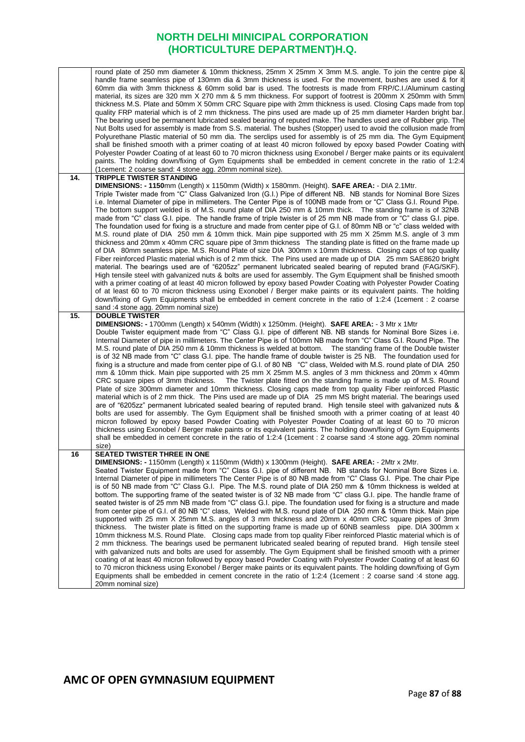|     | round plate of 250 mm diameter & 10mm thickness, 25mm X 25mm X 3mm M.S. angle. To join the centre pipe &<br>handle frame seamless pipe of 130mm dia & 3mm thickness is used. For the movement, bushes are used & for it<br>60mm dia with 3mm thickness & 60mm solid bar is used. The footrests is made from FRP/C.I./Aluminum casting<br>material, its sizes are 320 mm X 270 mm & 5 mm thickness. For support of footrest is 200mm X 250mm with 5mm<br>thickness M.S. Plate and 50mm X 50mm CRC Square pipe with 2mm thickness is used. Closing Caps made from top<br>quality FRP material which is of 2 mm thickness. The pins used are made up of 25 mm diameter Harden bright bar.<br>The bearing used be permanent lubricated sealed bearing of reputed make. The handles used are of Rubber grip. The<br>Nut Bolts used for assembly is made from S.S. material. The bushes (Stopper) used to avoid the collusion made from<br>Polyurethane Plastic material of 50 mm dia. The serclips used for assembly is of 25 mm dia. The Gym Equipment<br>shall be finished smooth with a primer coating of at least 40 micron followed by epoxy based Powder Coating with<br>Polyester Powder Coating of at least 60 to 70 micron thickness using Exonobel / Berger make paints or its equivalent<br>paints. The holding down/fixing of Gym Equipments shall be embedded in cement concrete in the ratio of 1:2:4                                                                                                                                                                                                                                                                              |
|-----|---------------------------------------------------------------------------------------------------------------------------------------------------------------------------------------------------------------------------------------------------------------------------------------------------------------------------------------------------------------------------------------------------------------------------------------------------------------------------------------------------------------------------------------------------------------------------------------------------------------------------------------------------------------------------------------------------------------------------------------------------------------------------------------------------------------------------------------------------------------------------------------------------------------------------------------------------------------------------------------------------------------------------------------------------------------------------------------------------------------------------------------------------------------------------------------------------------------------------------------------------------------------------------------------------------------------------------------------------------------------------------------------------------------------------------------------------------------------------------------------------------------------------------------------------------------------------------------------------------------------------------------------------------------------------------------------|
| 14. | (1 cement: 2 coarse sand: 4 stone agg. 20mm nominal size).<br>TRIPPLE TWISTER STANDING                                                                                                                                                                                                                                                                                                                                                                                                                                                                                                                                                                                                                                                                                                                                                                                                                                                                                                                                                                                                                                                                                                                                                                                                                                                                                                                                                                                                                                                                                                                                                                                                      |
|     | DIMENSIONS: - 1150mm (Length) x 1150mm (Width) x 1580mm. (Height). SAFE AREA: - DIA 2.1Mtr.<br>Triple Twister made from "C" Class Galvanized Iron (G.I.) Pipe of different NB. NB stands for Nominal Bore Sizes<br>i.e. Internal Diameter of pipe in millimeters. The Center Pipe is of 100NB made from or "C" Class G.I. Round Pipe.<br>The bottom support welded is of M.S. round plate of DIA 250 mm & 10mm thick. The standing frame is of 32NB<br>made from "C" class G.I. pipe. The handle frame of triple twister is of 25 mm NB made from or "C" class G.I. pipe.<br>The foundation used for fixing is a structure and made from center pipe of G.I. of 80mm NB or "c" class welded with<br>M.S. round plate of DIA 250 mm & 10mm thick. Main pipe supported with 25 mm X 25mm M.S. angle of 3 mm<br>thickness and 20mm x 40mm CRC square pipe of 3mm thickness The standing plate is fitted on the frame made up                                                                                                                                                                                                                                                                                                                                                                                                                                                                                                                                                                                                                                                                                                                                                                   |
|     | of DIA 80mm seamless pipe. M.S. Round Plate of size DIA 300mm x 10mm thickness. Closing caps of top quality<br>Fiber reinforced Plastic material which is of 2 mm thick. The Pins used are made up of DIA 25 mm SAE8620 bright<br>material. The bearings used are of "6205zz" permanent lubricated sealed bearing of reputed brand (FAG/SKF).<br>High tensile steel with galvanized nuts & bolts are used for assembly. The Gym Equipment shall be finished smooth<br>with a primer coating of at least 40 micron followed by epoxy based Powder Coating with Polyester Powder Coating<br>of at least 60 to 70 micron thickness using Exonobel / Berger make paints or its equivalent paints. The holding<br>down/fixing of Gym Equipments shall be embedded in cement concrete in the ratio of 1:2:4 (1cement : 2 coarse<br>sand :4 stone agg. 20mm nominal size)                                                                                                                                                                                                                                                                                                                                                                                                                                                                                                                                                                                                                                                                                                                                                                                                                          |
| 15. | <b>DOUBLE TWISTER</b><br>DIMENSIONS: - 1700mm (Length) x 540mm (Width) x 1250mm. (Height). SAFE AREA: - 3 Mtr x 1Mtr                                                                                                                                                                                                                                                                                                                                                                                                                                                                                                                                                                                                                                                                                                                                                                                                                                                                                                                                                                                                                                                                                                                                                                                                                                                                                                                                                                                                                                                                                                                                                                        |
| 16  | Double Twister equipment made from "C" Class G.I. pipe of different NB. NB stands for Nominal Bore Sizes i.e.<br>Internal Diameter of pipe in millimeters. The Center Pipe is of 100mm NB made from "C" Class G.I. Round Pipe. The<br>M.S. round plate of DIA 250 mm & 10mm thickness is welded at bottom. The standing frame of the Double twister<br>is of 32 NB made from "C" class G.I. pipe. The handle frame of double twister is 25 NB. The foundation used for<br>fixing is a structure and made from center pipe of G.I. of 80 NB "C" class, Welded with M.S. round plate of DIA 250<br>mm & 10mm thick. Main pipe supported with 25 mm X 25mm M.S. angles of 3 mm thickness and 20mm x 40mm<br>The Twister plate fitted on the standing frame is made up of M.S. Round<br>CRC square pipes of 3mm thickness.<br>Plate of size 300mm diameter and 10mm thickness. Closing caps made from top quality Fiber reinforced Plastic<br>material which is of 2 mm thick. The Pins used are made up of DIA 25 mm MS bright material. The bearings used<br>are of "6205zz" permanent lubricated sealed bearing of reputed brand. High tensile steel with galvanized nuts &<br>bolts are used for assembly. The Gym Equipment shall be finished smooth with a primer coating of at least 40<br>micron followed by epoxy based Powder Coating with Polyester Powder Coating of at least 60 to 70 micron<br>thickness using Exonobel / Berger make paints or its equivalent paints. The holding down/fixing of Gym Equipments<br>shall be embedded in cement concrete in the ratio of 1:2:4 (1cement : 2 coarse sand :4 stone agg. 20mm nominal<br>size)<br><b>SEATED TWISTER THREE IN ONE</b> |
|     | DIMENSIONS: - 1150mm (Length) x 1150mm (Width) x 1300mm (Height). SAFE AREA: - 2Mtr x 2Mtr.                                                                                                                                                                                                                                                                                                                                                                                                                                                                                                                                                                                                                                                                                                                                                                                                                                                                                                                                                                                                                                                                                                                                                                                                                                                                                                                                                                                                                                                                                                                                                                                                 |
|     | Seated Twister Equipment made from "C" Class G.I. pipe of different NB. NB stands for Nominal Bore Sizes i.e.<br>Internal Diameter of pipe in millimeters The Center Pipe is of 80 NB made from "C" Class G.I. Pipe. The chair Pipe                                                                                                                                                                                                                                                                                                                                                                                                                                                                                                                                                                                                                                                                                                                                                                                                                                                                                                                                                                                                                                                                                                                                                                                                                                                                                                                                                                                                                                                         |
|     | is of 50 NB made from "C" Class G.I. Pipe. The M.S. round plate of DIA 250 mm & 10mm thickness is welded at                                                                                                                                                                                                                                                                                                                                                                                                                                                                                                                                                                                                                                                                                                                                                                                                                                                                                                                                                                                                                                                                                                                                                                                                                                                                                                                                                                                                                                                                                                                                                                                 |
|     | bottom. The supporting frame of the seated twister is of 32 NB made from "C" class G.I. pipe. The handle frame of<br>seated twister is of 25 mm NB made from "C" class G.I. pipe. The foundation used for fixing is a structure and made                                                                                                                                                                                                                                                                                                                                                                                                                                                                                                                                                                                                                                                                                                                                                                                                                                                                                                                                                                                                                                                                                                                                                                                                                                                                                                                                                                                                                                                    |
|     | from center pipe of G.I. of 80 NB "C" class, Welded with M.S. round plate of DIA 250 mm & 10mm thick. Main pipe<br>supported with 25 mm X 25mm M.S. angles of 3 mm thickness and 20mm x 40mm CRC square pipes of 3mm                                                                                                                                                                                                                                                                                                                                                                                                                                                                                                                                                                                                                                                                                                                                                                                                                                                                                                                                                                                                                                                                                                                                                                                                                                                                                                                                                                                                                                                                        |
|     | thickness. The twister plate is fitted on the supporting frame is made up of 60NB seamless pipe. DIA 300mm x<br>10mm thickness M.S. Round Plate. Closing caps made from top quality Fiber reinforced Plastic material which is of                                                                                                                                                                                                                                                                                                                                                                                                                                                                                                                                                                                                                                                                                                                                                                                                                                                                                                                                                                                                                                                                                                                                                                                                                                                                                                                                                                                                                                                           |
|     | 2 mm thickness. The bearings used be permanent lubricated sealed bearing of reputed brand. High tensile steel                                                                                                                                                                                                                                                                                                                                                                                                                                                                                                                                                                                                                                                                                                                                                                                                                                                                                                                                                                                                                                                                                                                                                                                                                                                                                                                                                                                                                                                                                                                                                                               |
|     | with galvanized nuts and bolts are used for assembly. The Gym Equipment shall be finished smooth with a primer<br>coating of at least 40 micron followed by epoxy based Powder Coating with Polyester Powder Coating of at least 60<br>to 70 micron thickness using Exonobel / Berger make paints or its equivalent paints. The holding down/fixing of Gym<br>Equipments shall be embedded in cement concrete in the ratio of 1:2:4 (1cement : 2 coarse sand :4 stone agg.                                                                                                                                                                                                                                                                                                                                                                                                                                                                                                                                                                                                                                                                                                                                                                                                                                                                                                                                                                                                                                                                                                                                                                                                                  |
|     | 20mm nominal size)                                                                                                                                                                                                                                                                                                                                                                                                                                                                                                                                                                                                                                                                                                                                                                                                                                                                                                                                                                                                                                                                                                                                                                                                                                                                                                                                                                                                                                                                                                                                                                                                                                                                          |